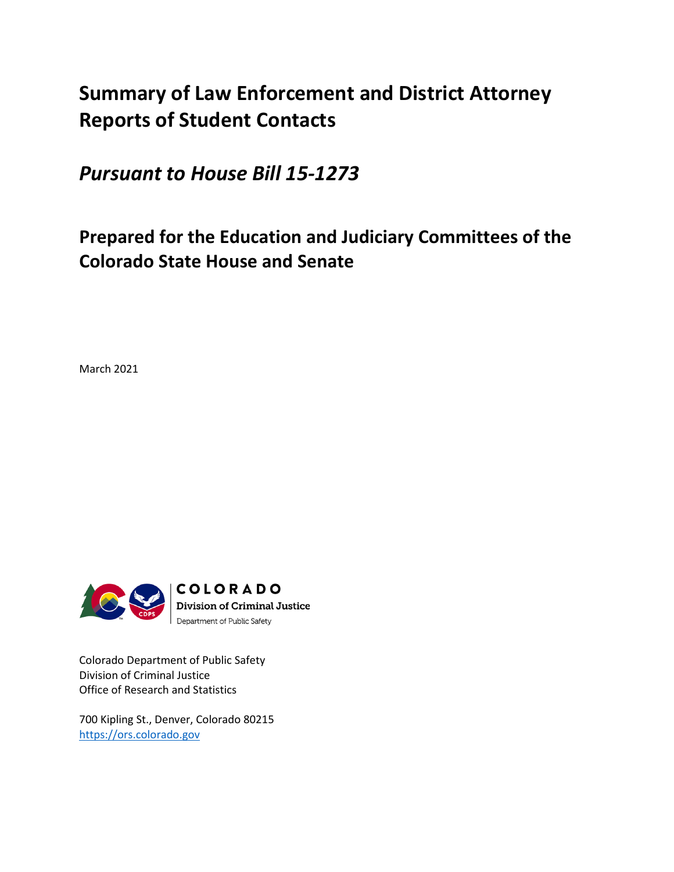# **Summary of Law Enforcement and District Attorney Reports of Student Contacts**

*Pursuant to House Bill 15-1273*

# **Prepared for the Education and Judiciary Committees of the Colorado State House and Senate**

March 2021



Colorado Department of Public Safety Division of Criminal Justice Office of Research and Statistics

700 Kipling St., Denver, Colorado 80215 [https://ors.colorado.gov](https://ors.colorado.gov/)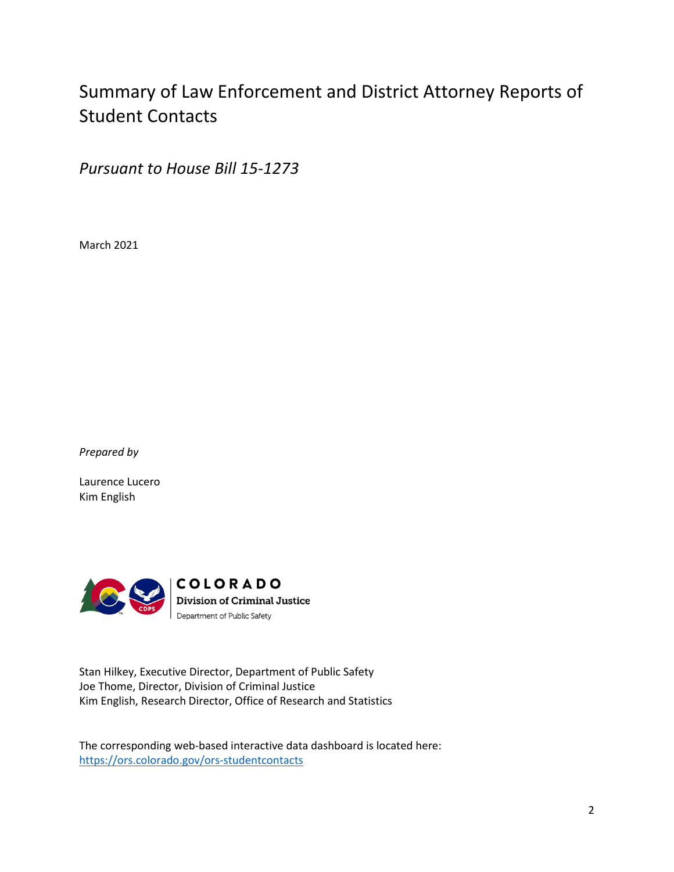# Summary of Law Enforcement and District Attorney Reports of Student Contacts

*Pursuant to House Bill 15-1273*

March 2021

*Prepared by*

Laurence Lucero Kim English



Stan Hilkey, Executive Director, Department of Public Safety Joe Thome, Director, Division of Criminal Justice Kim English, Research Director, Office of Research and Statistics

The corresponding web-based interactive data dashboard is located here: <https://ors.colorado.gov/ors-studentcontacts>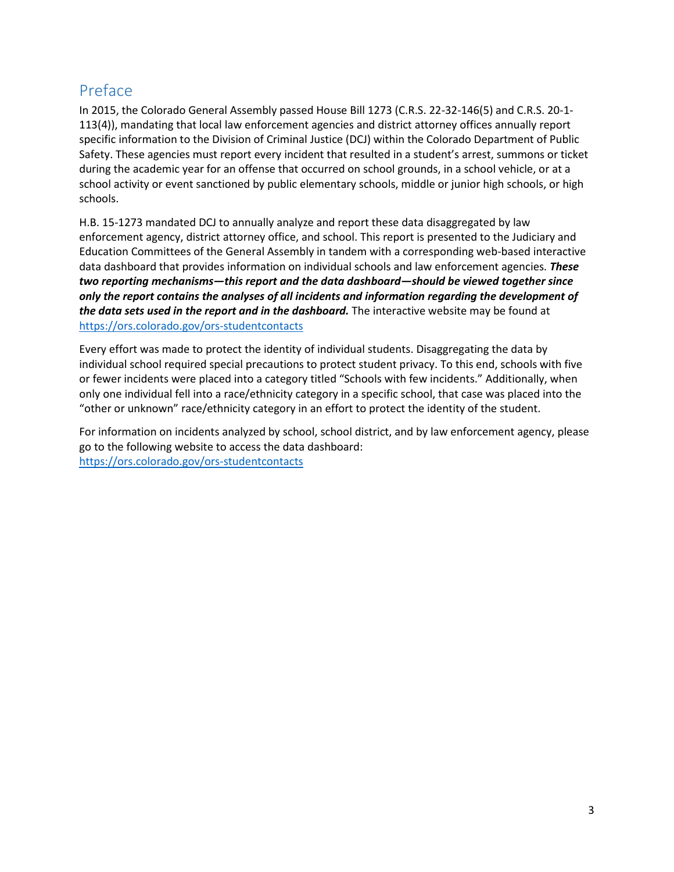## <span id="page-2-0"></span>Preface

In 2015, the Colorado General Assembly passed House Bill 1273 (C.R.S. 22-32-146(5) and C.R.S. 20-1- 113(4)), mandating that local law enforcement agencies and district attorney offices annually report specific information to the Division of Criminal Justice (DCJ) within the Colorado Department of Public Safety. These agencies must report every incident that resulted in a student's arrest, summons or ticket during the academic year for an offense that occurred on school grounds, in a school vehicle, or at a school activity or event sanctioned by public elementary schools, middle or junior high schools, or high schools.

H.B. 15-1273 mandated DCJ to annually analyze and report these data disaggregated by law enforcement agency, district attorney office, and school. This report is presented to the Judiciary and Education Committees of the General Assembly in tandem with a corresponding web-based interactive data dashboard that provides information on individual schools and law enforcement agencies*. These two reporting mechanisms—this report and the data dashboard—should be viewed together since only the report contains the analyses of all incidents and information regarding the development of the data sets used in the report and in the dashboard.* The interactive website may be found at [https://ors.colorado.gov/ors-studentcontacts](https://www.colorado.gov/dcj-ors/StudentContact_SD)

Every effort was made to protect the identity of individual students. Disaggregating the data by individual school required special precautions to protect student privacy. To this end, schools with five or fewer incidents were placed into a category titled "Schools with few incidents." Additionally, when only one individual fell into a race/ethnicity category in a specific school, that case was placed into the "other or unknown" race/ethnicity category in an effort to protect the identity of the student.

For information on incidents analyzed by school, school district, and by law enforcement agency, please go to the following website to access the data dashboard: [https://ors.colorado.gov/ors-studentcontacts](https://www.colorado.gov/dcj-ors/StudentContact_SD)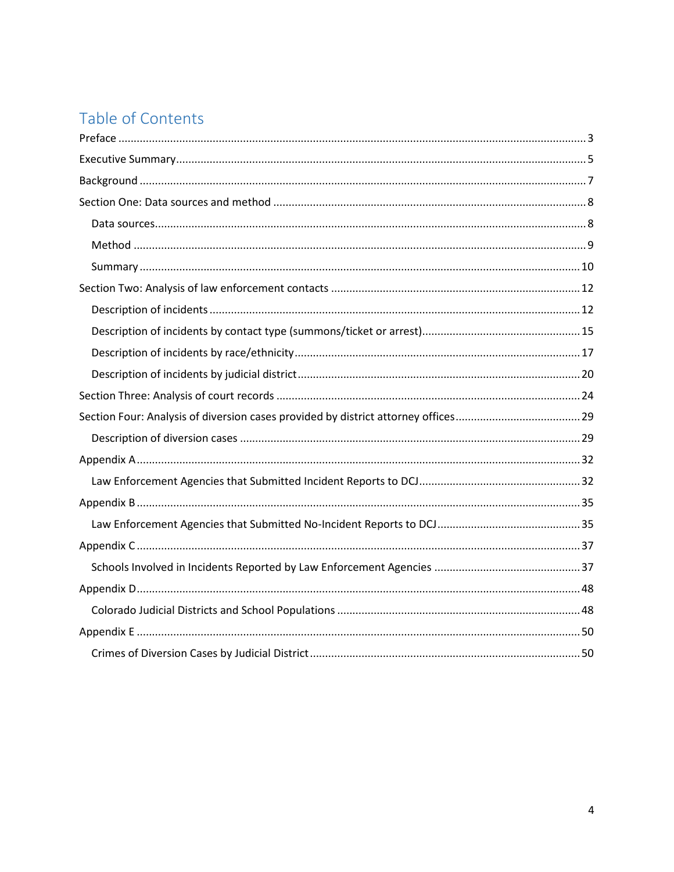# Table of Contents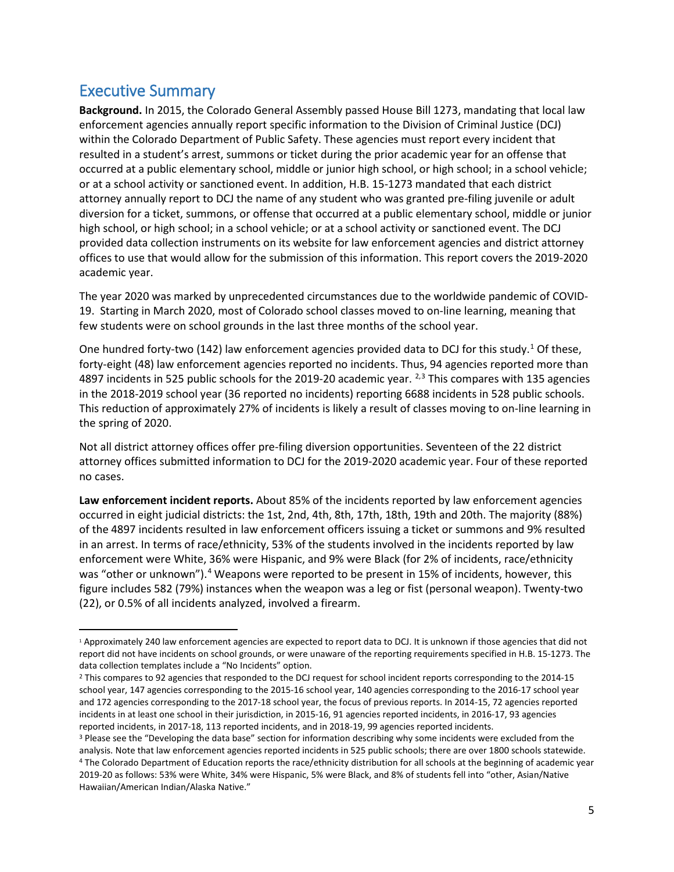## <span id="page-4-0"></span>Executive Summary

**Background.** In 2015, the Colorado General Assembly passed House Bill 1273, mandating that local law enforcement agencies annually report specific information to the Division of Criminal Justice (DCJ) within the Colorado Department of Public Safety. These agencies must report every incident that resulted in a student's arrest, summons or ticket during the prior academic year for an offense that occurred at a public elementary school, middle or junior high school, or high school; in a school vehicle; or at a school activity or sanctioned event. In addition, H.B. 15-1273 mandated that each district attorney annually report to DCJ the name of any student who was granted pre-filing juvenile or adult diversion for a ticket, summons, or offense that occurred at a public elementary school, middle or junior high school, or high school; in a school vehicle; or at a school activity or sanctioned event. The DCJ provided data collection instruments on its website for law enforcement agencies and district attorney offices to use that would allow for the submission of this information. This report covers the 2019-2020 academic year.

The year 2020 was marked by unprecedented circumstances due to the worldwide pandemic of COVID-19. Starting in March 2020, most of Colorado school classes moved to on-line learning, meaning that few students were on school grounds in the last three months of the school year.

One hundred forty-two ([1](#page-4-1)42) law enforcement agencies provided data to DCJ for this study.<sup>1</sup> Of these, forty-eight (48) law enforcement agencies reported no incidents. Thus, 94 agencies reported more than 4897 incidents in 525 public schools for the 2019-20 academic year. <sup>[2,](#page-4-2)[3](#page-4-3)</sup> This compares with 135 agencies in the 2018-2019 school year (36 reported no incidents) reporting 6688 incidents in 528 public schools. This reduction of approximately 27% of incidents is likely a result of classes moving to on-line learning in the spring of 2020.

Not all district attorney offices offer pre-filing diversion opportunities. Seventeen of the 22 district attorney offices submitted information to DCJ for the 2019-2020 academic year. Four of these reported no cases.

**Law enforcement incident reports.** About 85% of the incidents reported by law enforcement agencies occurred in eight judicial districts: the 1st, 2nd, 4th, 8th, 17th, 18th, 19th and 20th. The majority (88%) of the 4897 incidents resulted in law enforcement officers issuing a ticket or summons and 9% resulted in an arrest. In terms of race/ethnicity, 53% of the students involved in the incidents reported by law enforcement were White, 36% were Hispanic, and 9% were Black (for 2% of incidents, race/ethnicity was "other or unknown").<sup>[4](#page-4-4)</sup> Weapons were reported to be present in 15% of incidents, however, this figure includes 582 (79%) instances when the weapon was a leg or fist (personal weapon). Twenty-two (22), or 0.5% of all incidents analyzed, involved a firearm.

<span id="page-4-1"></span> <sup>1</sup> Approximately 240 law enforcement agencies are expected to report data to DCJ. It is unknown if those agencies that did not report did not have incidents on school grounds, or were unaware of the reporting requirements specified in H.B. 15-1273. The data collection templates include a "No Incidents" option.

<span id="page-4-2"></span><sup>&</sup>lt;sup>2</sup> This compares to 92 agencies that responded to the DCJ request for school incident reports corresponding to the 2014-15 school year, 147 agencies corresponding to the 2015-16 school year, 140 agencies corresponding to the 2016-17 school year and 172 agencies corresponding to the 2017-18 school year, the focus of previous reports. In 2014-15, 72 agencies reported incidents in at least one school in their jurisdiction, in 2015-16, 91 agencies reported incidents, in 2016-17, 93 agencies reported incidents, in 2017-18, 113 reported incidents, and in 2018-19, 99 agencies reported incidents.

<span id="page-4-4"></span><span id="page-4-3"></span><sup>&</sup>lt;sup>3</sup> Please see the "Developing the data base" section for information describing why some incidents were excluded from the analysis. Note that law enforcement agencies reported incidents in 525 public schools; there are over 1800 schools statewide. <sup>4</sup> The Colorado Department of Education reports the race/ethnicity distribution for all schools at the beginning of academic year 2019-20 as follows: 53% were White, 34% were Hispanic, 5% were Black, and 8% of students fell into "other, Asian/Native Hawaiian/American Indian/Alaska Native."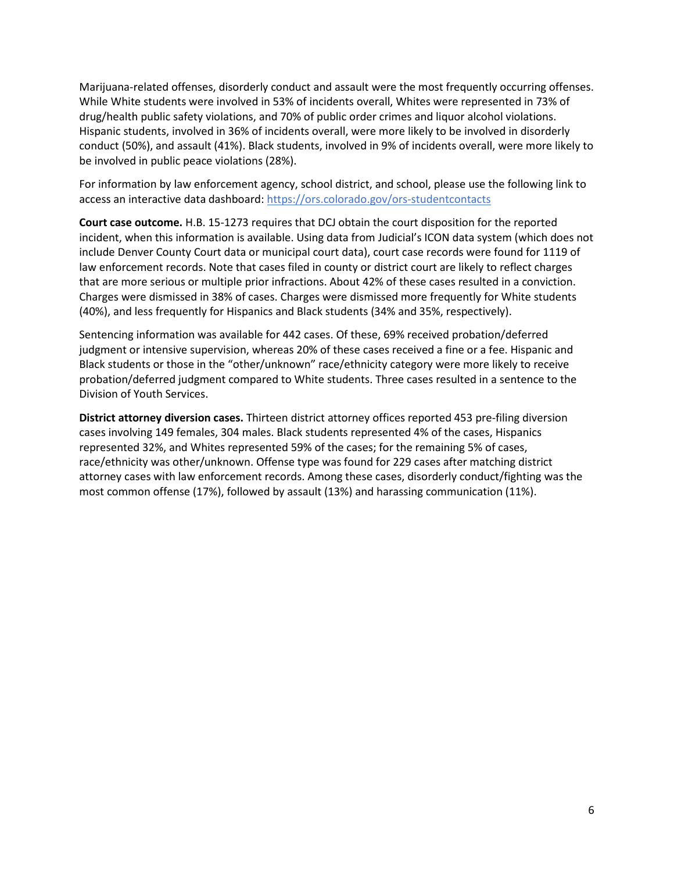Marijuana-related offenses, disorderly conduct and assault were the most frequently occurring offenses. While White students were involved in 53% of incidents overall, Whites were represented in 73% of drug/health public safety violations, and 70% of public order crimes and liquor alcohol violations. Hispanic students, involved in 36% of incidents overall, were more likely to be involved in disorderly conduct (50%), and assault (41%). Black students, involved in 9% of incidents overall, were more likely to be involved in public peace violations (28%).

For information by law enforcement agency, school district, and school, please use the following link to access an interactive data dashboard: https://ors.colorado.gov/ors-studentcontacts

**Court case outcome.** H.B. 15-1273 requires that DCJ obtain the court disposition for the reported incident, when this information is available. Using data from Judicial's ICON data system (which does not include Denver County Court data or municipal court data), court case records were found for 1119 of law enforcement records. Note that cases filed in county or district court are likely to reflect charges that are more serious or multiple prior infractions. About 42% of these cases resulted in a conviction. Charges were dismissed in 38% of cases. Charges were dismissed more frequently for White students (40%), and less frequently for Hispanics and Black students (34% and 35%, respectively).

Sentencing information was available for 442 cases. Of these, 69% received probation/deferred judgment or intensive supervision, whereas 20% of these cases received a fine or a fee. Hispanic and Black students or those in the "other/unknown" race/ethnicity category were more likely to receive probation/deferred judgment compared to White students. Three cases resulted in a sentence to the Division of Youth Services.

**District attorney diversion cases.** Thirteen district attorney offices reported 453 pre-filing diversion cases involving 149 females, 304 males. Black students represented 4% of the cases, Hispanics represented 32%, and Whites represented 59% of the cases; for the remaining 5% of cases, race/ethnicity was other/unknown. Offense type was found for 229 cases after matching district attorney cases with law enforcement records. Among these cases, disorderly conduct/fighting was the most common offense (17%), followed by assault (13%) and harassing communication (11%).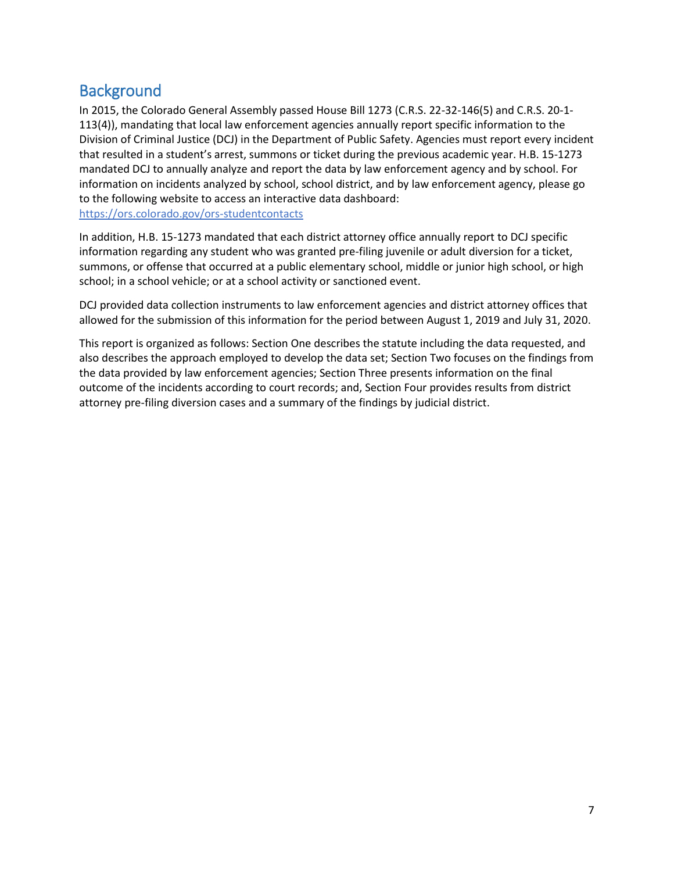## <span id="page-6-0"></span>**Background**

In 2015, the Colorado General Assembly passed House Bill 1273 (C.R.S. 22-32-146(5) and C.R.S. 20-1- 113(4)), mandating that local law enforcement agencies annually report specific information to the Division of Criminal Justice (DCJ) in the Department of Public Safety. Agencies must report every incident that resulted in a student's arrest, summons or ticket during the previous academic year. H.B. 15-1273 mandated DCJ to annually analyze and report the data by law enforcement agency and by school. For information on incidents analyzed by school, school district, and by law enforcement agency, please go to the following website to access an interactive data dashboard: https://ors.colorado.gov/ors-studentcontacts

In addition, H.B. 15-1273 mandated that each district attorney office annually report to DCJ specific information regarding any student who was granted pre-filing juvenile or adult diversion for a ticket, summons, or offense that occurred at a public elementary school, middle or junior high school, or high

school; in a school vehicle; or at a school activity or sanctioned event.

DCJ provided data collection instruments to law enforcement agencies and district attorney offices that allowed for the submission of this information for the period between August 1, 2019 and July 31, 2020.

This report is organized as follows: Section One describes the statute including the data requested, and also describes the approach employed to develop the data set; Section Two focuses on the findings from the data provided by law enforcement agencies; Section Three presents information on the final outcome of the incidents according to court records; and, Section Four provides results from district attorney pre-filing diversion cases and a summary of the findings by judicial district.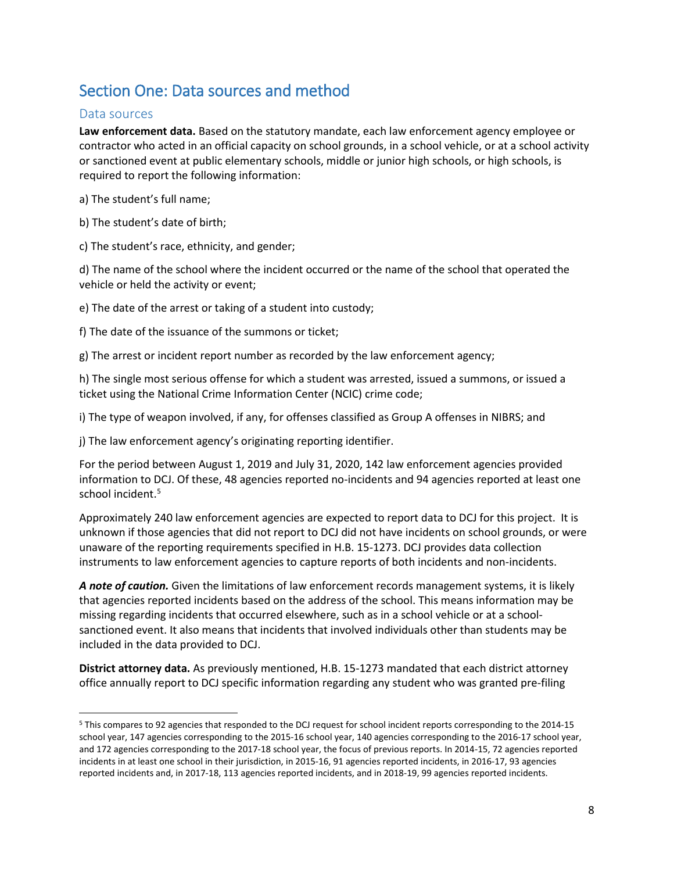## <span id="page-7-0"></span>Section One: Data sources and method

### <span id="page-7-1"></span>Data sources

**Law enforcement data.** Based on the statutory mandate, each law enforcement agency employee or contractor who acted in an official capacity on school grounds, in a school vehicle, or at a school activity or sanctioned event at public elementary schools, middle or junior high schools, or high schools, is required to report the following information:

a) The student's full name;

b) The student's date of birth;

c) The student's race, ethnicity, and gender;

d) The name of the school where the incident occurred or the name of the school that operated the vehicle or held the activity or event;

e) The date of the arrest or taking of a student into custody;

f) The date of the issuance of the summons or ticket;

g) The arrest or incident report number as recorded by the law enforcement agency;

h) The single most serious offense for which a student was arrested, issued a summons, or issued a ticket using the National Crime Information Center (NCIC) crime code;

i) The type of weapon involved, if any, for offenses classified as Group A offenses in NIBRS; and

j) The law enforcement agency's originating reporting identifier.

For the period between August 1, 2019 and July 31, 2020, 142 law enforcement agencies provided information to DCJ. Of these, 48 agencies reported no-incidents and 94 agencies reported at least one school incident.<sup>[5](#page-7-2)</sup>

Approximately 240 law enforcement agencies are expected to report data to DCJ for this project. It is unknown if those agencies that did not report to DCJ did not have incidents on school grounds, or were unaware of the reporting requirements specified in H.B. 15-1273. DCJ provides data collection instruments to law enforcement agencies to capture reports of both incidents and non-incidents.

*A note of caution.* Given the limitations of law enforcement records management systems, it is likely that agencies reported incidents based on the address of the school. This means information may be missing regarding incidents that occurred elsewhere, such as in a school vehicle or at a schoolsanctioned event. It also means that incidents that involved individuals other than students may be included in the data provided to DCJ.

**District attorney data.** As previously mentioned, H.B. 15-1273 mandated that each district attorney office annually report to DCJ specific information regarding any student who was granted pre-filing

<span id="page-7-2"></span> <sup>5</sup> This compares to 92 agencies that responded to the DCJ request for school incident reports corresponding to the 2014-15 school year, 147 agencies corresponding to the 2015-16 school year, 140 agencies corresponding to the 2016-17 school year, and 172 agencies corresponding to the 2017-18 school year, the focus of previous reports. In 2014-15, 72 agencies reported incidents in at least one school in their jurisdiction, in 2015-16, 91 agencies reported incidents, in 2016-17, 93 agencies reported incidents and, in 2017-18, 113 agencies reported incidents, and in 2018-19, 99 agencies reported incidents.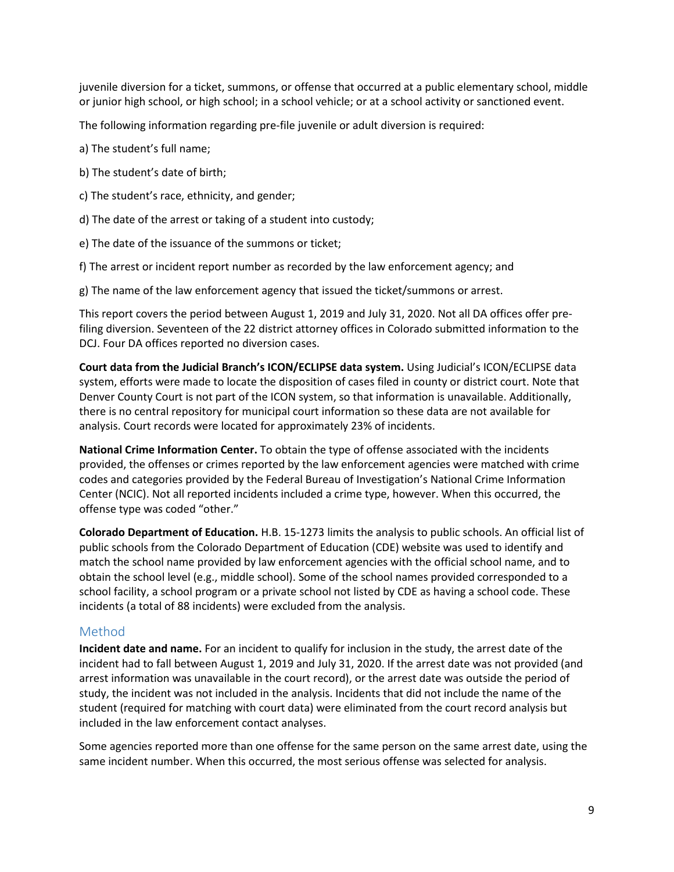juvenile diversion for a ticket, summons, or offense that occurred at a public elementary school, middle or junior high school, or high school; in a school vehicle; or at a school activity or sanctioned event.

The following information regarding pre-file juvenile or adult diversion is required:

- a) The student's full name;
- b) The student's date of birth;
- c) The student's race, ethnicity, and gender;
- d) The date of the arrest or taking of a student into custody;
- e) The date of the issuance of the summons or ticket;
- f) The arrest or incident report number as recorded by the law enforcement agency; and
- g) The name of the law enforcement agency that issued the ticket/summons or arrest.

This report covers the period between August 1, 2019 and July 31, 2020. Not all DA offices offer prefiling diversion. Seventeen of the 22 district attorney offices in Colorado submitted information to the DCJ. Four DA offices reported no diversion cases.

**Court data from the Judicial Branch's ICON/ECLIPSE data system.** Using Judicial's ICON/ECLIPSE data system, efforts were made to locate the disposition of cases filed in county or district court. Note that Denver County Court is not part of the ICON system, so that information is unavailable. Additionally, there is no central repository for municipal court information so these data are not available for analysis. Court records were located for approximately 23% of incidents.

**National Crime Information Center.** To obtain the type of offense associated with the incidents provided, the offenses or crimes reported by the law enforcement agencies were matched with crime codes and categories provided by the Federal Bureau of Investigation's National Crime Information Center (NCIC). Not all reported incidents included a crime type, however. When this occurred, the offense type was coded "other."

**Colorado Department of Education.** H.B. 15-1273 limits the analysis to public schools. An official list of public schools from the Colorado Department of Education (CDE) website was used to identify and match the school name provided by law enforcement agencies with the official school name, and to obtain the school level (e.g., middle school). Some of the school names provided corresponded to a school facility, a school program or a private school not listed by CDE as having a school code. These incidents (a total of 88 incidents) were excluded from the analysis.

### <span id="page-8-0"></span>Method

**Incident date and name.** For an incident to qualify for inclusion in the study, the arrest date of the incident had to fall between August 1, 2019 and July 31, 2020. If the arrest date was not provided (and arrest information was unavailable in the court record), or the arrest date was outside the period of study, the incident was not included in the analysis. Incidents that did not include the name of the student (required for matching with court data) were eliminated from the court record analysis but included in the law enforcement contact analyses.

Some agencies reported more than one offense for the same person on the same arrest date, using the same incident number. When this occurred, the most serious offense was selected for analysis.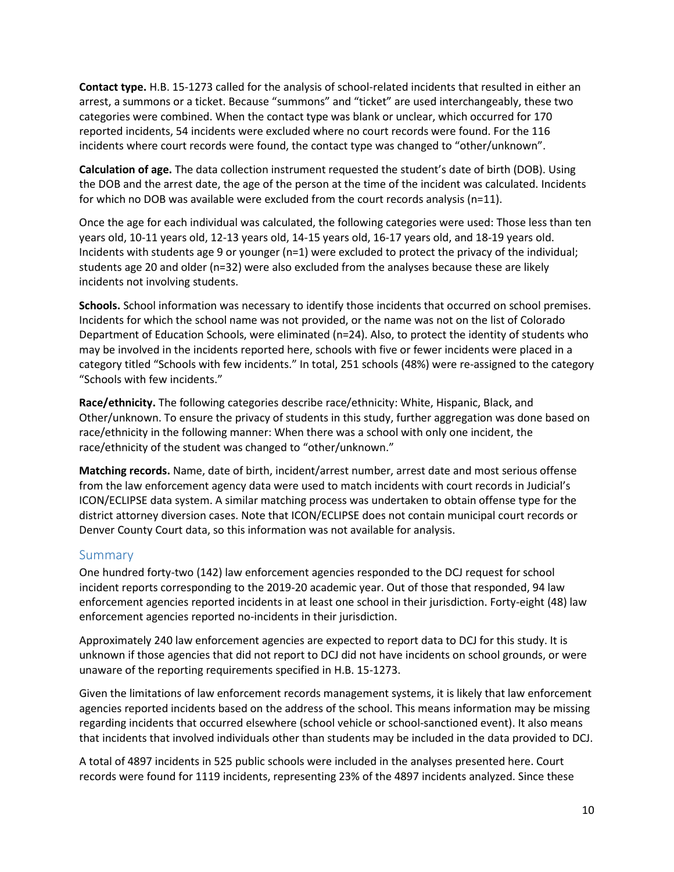**Contact type.** H.B. 15-1273 called for the analysis of school-related incidents that resulted in either an arrest, a summons or a ticket. Because "summons" and "ticket" are used interchangeably, these two categories were combined. When the contact type was blank or unclear, which occurred for 170 reported incidents, 54 incidents were excluded where no court records were found. For the 116 incidents where court records were found, the contact type was changed to "other/unknown".

**Calculation of age.** The data collection instrument requested the student's date of birth (DOB). Using the DOB and the arrest date, the age of the person at the time of the incident was calculated. Incidents for which no DOB was available were excluded from the court records analysis (n=11).

Once the age for each individual was calculated, the following categories were used: Those less than ten years old, 10-11 years old, 12-13 years old, 14-15 years old, 16-17 years old, and 18-19 years old. Incidents with students age 9 or younger (n=1) were excluded to protect the privacy of the individual; students age 20 and older (n=32) were also excluded from the analyses because these are likely incidents not involving students.

**Schools.** School information was necessary to identify those incidents that occurred on school premises. Incidents for which the school name was not provided, or the name was not on the list of Colorado Department of Education Schools, were eliminated (n=24). Also, to protect the identity of students who may be involved in the incidents reported here, schools with five or fewer incidents were placed in a category titled "Schools with few incidents." In total, 251 schools (48%) were re-assigned to the category "Schools with few incidents."

**Race/ethnicity.** The following categories describe race/ethnicity: White, Hispanic, Black, and Other/unknown. To ensure the privacy of students in this study, further aggregation was done based on race/ethnicity in the following manner: When there was a school with only one incident, the race/ethnicity of the student was changed to "other/unknown."

**Matching records.** Name, date of birth, incident/arrest number, arrest date and most serious offense from the law enforcement agency data were used to match incidents with court records in Judicial's ICON/ECLIPSE data system. A similar matching process was undertaken to obtain offense type for the district attorney diversion cases. Note that ICON/ECLIPSE does not contain municipal court records or Denver County Court data, so this information was not available for analysis.

### <span id="page-9-0"></span>Summary

One hundred forty-two (142) law enforcement agencies responded to the DCJ request for school incident reports corresponding to the 2019-20 academic year. Out of those that responded, 94 law enforcement agencies reported incidents in at least one school in their jurisdiction. Forty-eight (48) law enforcement agencies reported no-incidents in their jurisdiction.

Approximately 240 law enforcement agencies are expected to report data to DCJ for this study. It is unknown if those agencies that did not report to DCJ did not have incidents on school grounds, or were unaware of the reporting requirements specified in H.B. 15-1273.

Given the limitations of law enforcement records management systems, it is likely that law enforcement agencies reported incidents based on the address of the school. This means information may be missing regarding incidents that occurred elsewhere (school vehicle or school-sanctioned event). It also means that incidents that involved individuals other than students may be included in the data provided to DCJ.

A total of 4897 incidents in 525 public schools were included in the analyses presented here. Court records were found for 1119 incidents, representing 23% of the 4897 incidents analyzed. Since these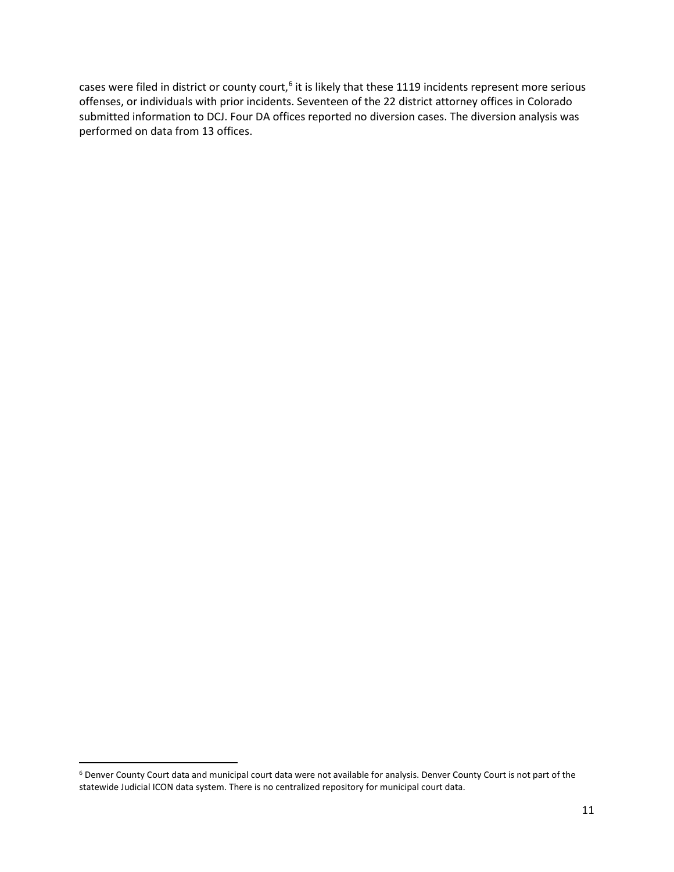cases were filed in district or county court,<sup>[6](#page-10-0)</sup> it is likely that these 1119 incidents represent more serious offenses, or individuals with prior incidents. Seventeen of the 22 district attorney offices in Colorado submitted information to DCJ. Four DA offices reported no diversion cases. The diversion analysis was performed on data from 13 offices.

<span id="page-10-0"></span> <sup>6</sup> Denver County Court data and municipal court data were not available for analysis. Denver County Court is not part of the statewide Judicial ICON data system. There is no centralized repository for municipal court data.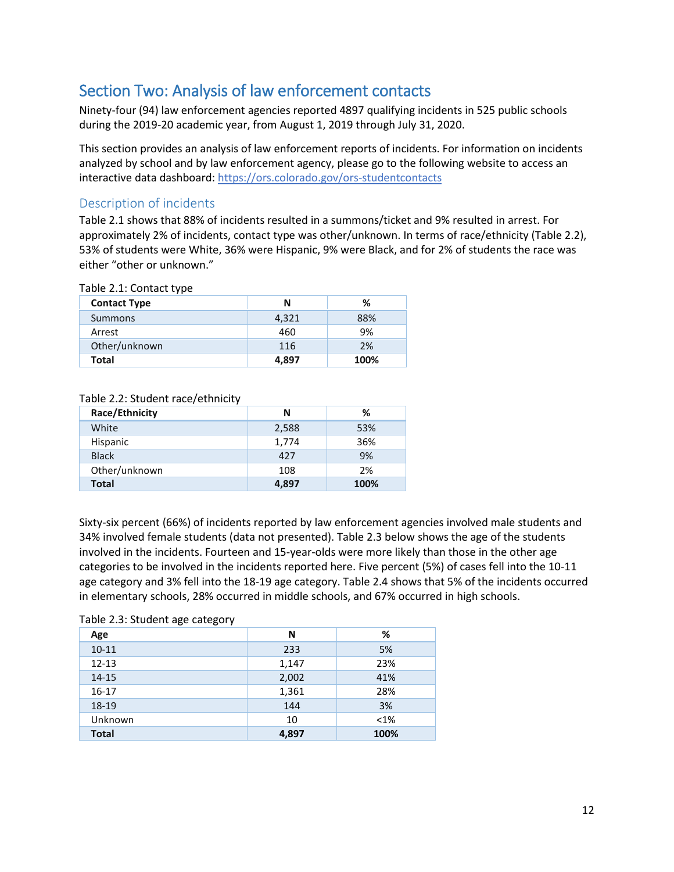## <span id="page-11-0"></span>Section Two: Analysis of law enforcement contacts

Ninety-four (94) law enforcement agencies reported 4897 qualifying incidents in 525 public schools during the 2019-20 academic year, from August 1, 2019 through July 31, 2020.

This section provides an analysis of law enforcement reports of incidents. For information on incidents analyzed by school and by law enforcement agency, please go to the following website to access an interactive data dashboard: https://ors.colorado.gov/ors-studentcontacts

## <span id="page-11-1"></span>Description of incidents

Table 2.1 shows that 88% of incidents resulted in a summons/ticket and 9% resulted in arrest. For approximately 2% of incidents, contact type was other/unknown. In terms of race/ethnicity (Table 2.2), 53% of students were White, 36% were Hispanic, 9% were Black, and for 2% of students the race was either "other or unknown."

#### Table 2.1: Contact type

| <b>Contact Type</b> | N     | ℅    |
|---------------------|-------|------|
| Summons             | 4,321 | 88%  |
| Arrest              | 460   | 9%   |
| Other/unknown       | 116   | 2%   |
| <b>Total</b>        | 4,897 | 100% |

#### Table 2.2: Student race/ethnicity

| Race/Ethnicity | N     | ℅    |
|----------------|-------|------|
| White          | 2,588 | 53%  |
| Hispanic       | 1,774 | 36%  |
| <b>Black</b>   | 427   | 9%   |
| Other/unknown  | 108   | 2%   |
| <b>Total</b>   | 4,897 | 100% |

Sixty-six percent (66%) of incidents reported by law enforcement agencies involved male students and 34% involved female students (data not presented). Table 2.3 below shows the age of the students involved in the incidents. Fourteen and 15-year-olds were more likely than those in the other age categories to be involved in the incidents reported here. Five percent (5%) of cases fell into the 10-11 age category and 3% fell into the 18-19 age category. Table 2.4 shows that 5% of the incidents occurred in elementary schools, 28% occurred in middle schools, and 67% occurred in high schools.

#### Table 2.3: Student age category

| Age          | N     | %       |
|--------------|-------|---------|
| $10 - 11$    | 233   | 5%      |
| $12 - 13$    | 1,147 | 23%     |
| $14 - 15$    | 2,002 | 41%     |
| $16-17$      | 1,361 | 28%     |
| 18-19        | 144   | 3%      |
| Unknown      | 10    | $< 1\%$ |
| <b>Total</b> | 4,897 | 100%    |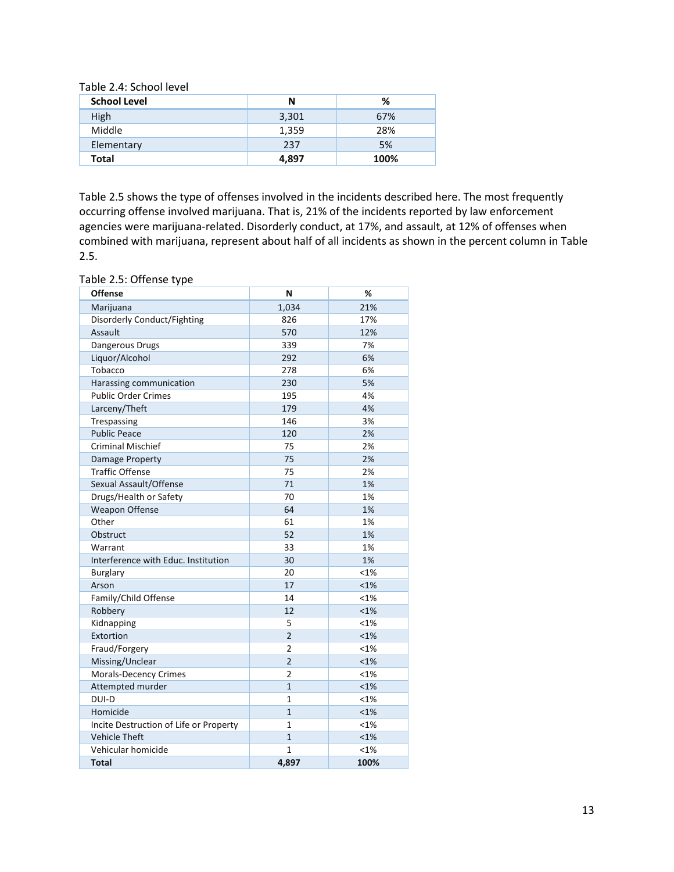Table 2.4: School level

| <b>School Level</b> | N     | %    |
|---------------------|-------|------|
| High                | 3,301 | 67%  |
| Middle              | 1,359 | 28%  |
| Elementary          | 237   | 5%   |
| <b>Total</b>        | 4,897 | 100% |

Table 2.5 shows the type of offenses involved in the incidents described here. The most frequently occurring offense involved marijuana. That is, 21% of the incidents reported by law enforcement agencies were marijuana-related. Disorderly conduct, at 17%, and assault, at 12% of offenses when combined with marijuana, represent about half of all incidents as shown in the percent column in Table 2.5.

Table 2.5: Offense type

| <b>Offense</b>                         | N              | %       |
|----------------------------------------|----------------|---------|
| Marijuana                              | 1,034          | 21%     |
| Disorderly Conduct/Fighting            | 826            | 17%     |
| Assault                                | 570            | 12%     |
| Dangerous Drugs                        | 339            | 7%      |
| Liquor/Alcohol                         | 292            | 6%      |
| Tobacco                                | 278            | 6%      |
| Harassing communication                | 230            | 5%      |
| <b>Public Order Crimes</b>             | 195            | 4%      |
| Larceny/Theft                          | 179            | 4%      |
| Trespassing                            | 146            | 3%      |
| <b>Public Peace</b>                    | 120            | 2%      |
| <b>Criminal Mischief</b>               | 75             | 2%      |
| Damage Property                        | 75             | 2%      |
| <b>Traffic Offense</b>                 | 75             | 2%      |
| Sexual Assault/Offense                 | 71             | 1%      |
| Drugs/Health or Safety                 | 70             | 1%      |
| <b>Weapon Offense</b>                  | 64             | 1%      |
| Other                                  | 61             | 1%      |
| Obstruct                               | 52             | 1%      |
| Warrant                                | 33             | 1%      |
| Interference with Educ. Institution    | 30             | 1%      |
| <b>Burglary</b>                        | 20             | <1%     |
| Arson                                  | 17             | $< 1\%$ |
| Family/Child Offense                   | 14             | <1%     |
| Robbery                                | 12             | $< 1\%$ |
| Kidnapping                             | 5              | $< 1\%$ |
| Extortion                              | $\overline{2}$ | $< 1\%$ |
| Fraud/Forgery                          | 2              | <1%     |
| Missing/Unclear                        | $\overline{2}$ | $< 1\%$ |
| Morals-Decency Crimes                  | 2              | <1%     |
| Attempted murder                       | $\mathbf{1}$   | < 1%    |
| DUI-D                                  | 1              | <1%     |
| Homicide                               | $\mathbf{1}$   | <1%     |
| Incite Destruction of Life or Property | 1              | <1%     |
| <b>Vehicle Theft</b>                   | $\mathbf{1}$   | $< 1\%$ |
| Vehicular homicide                     | 1              | <1%     |
| <b>Total</b>                           | 4,897          | 100%    |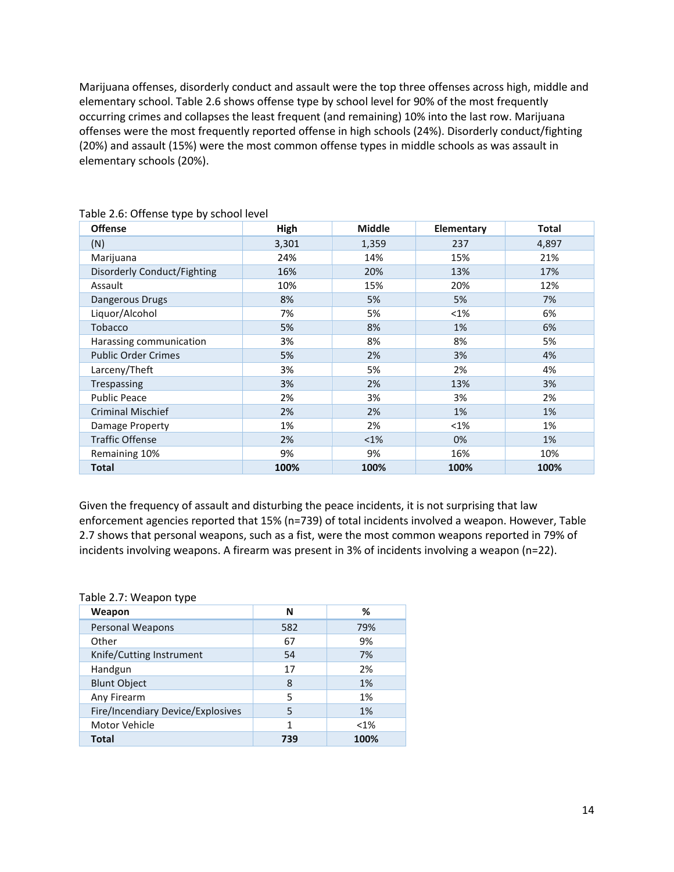Marijuana offenses, disorderly conduct and assault were the top three offenses across high, middle and elementary school. Table 2.6 shows offense type by school level for 90% of the most frequently occurring crimes and collapses the least frequent (and remaining) 10% into the last row. Marijuana offenses were the most frequently reported offense in high schools (24%). Disorderly conduct/fighting (20%) and assault (15%) were the most common offense types in middle schools as was assault in elementary schools (20%).

| <b>Offense</b>              | High  | <b>Middle</b> | Elementary | <b>Total</b> |
|-----------------------------|-------|---------------|------------|--------------|
| (N)                         | 3,301 | 1,359         | 237        | 4,897        |
| Marijuana                   | 24%   | 14%           | 15%        | 21%          |
| Disorderly Conduct/Fighting | 16%   | 20%           | 13%        | 17%          |
| Assault                     | 10%   | 15%           | 20%        | 12%          |
| Dangerous Drugs             | 8%    | 5%            | 5%         | 7%           |
| Liquor/Alcohol              | 7%    | 5%            | <1%        | 6%           |
| Tobacco                     | 5%    | 8%            | 1%         | 6%           |
| Harassing communication     | 3%    | 8%            | 8%         | 5%           |
| <b>Public Order Crimes</b>  | 5%    | 2%            | 3%         | 4%           |
| Larceny/Theft               | 3%    | 5%            | 2%         | 4%           |
| Trespassing                 | 3%    | 2%            | 13%        | 3%           |
| <b>Public Peace</b>         | 2%    | 3%            | 3%         | 2%           |
| <b>Criminal Mischief</b>    | 2%    | 2%            | 1%         | 1%           |
| Damage Property             | 1%    | 2%            | $<1\%$     | 1%           |
| <b>Traffic Offense</b>      | 2%    | $<$ 1%        | 0%         | 1%           |
| Remaining 10%               | 9%    | 9%            | 16%        | 10%          |
| <b>Total</b>                | 100%  | 100%          | 100%       | 100%         |

Table 2.6: Offense type by school level

Given the frequency of assault and disturbing the peace incidents, it is not surprising that law enforcement agencies reported that 15% (n=739) of total incidents involved a weapon. However, Table 2.7 shows that personal weapons, such as a fist, were the most common weapons reported in 79% of incidents involving weapons. A firearm was present in 3% of incidents involving a weapon (n=22).

#### Table 2.7: Weapon type

| Weapon                            | N   | %       |
|-----------------------------------|-----|---------|
| Personal Weapons                  | 582 | 79%     |
| Other                             | 67  | 9%      |
| Knife/Cutting Instrument          | 54  | 7%      |
| Handgun                           | 17  | 2%      |
| <b>Blunt Object</b>               | 8   | 1%      |
| Any Firearm                       | 5   | 1%      |
| Fire/Incendiary Device/Explosives | 5   | 1%      |
| Motor Vehicle                     | 1   | $< 1\%$ |
| <b>Total</b>                      | 739 | 100%    |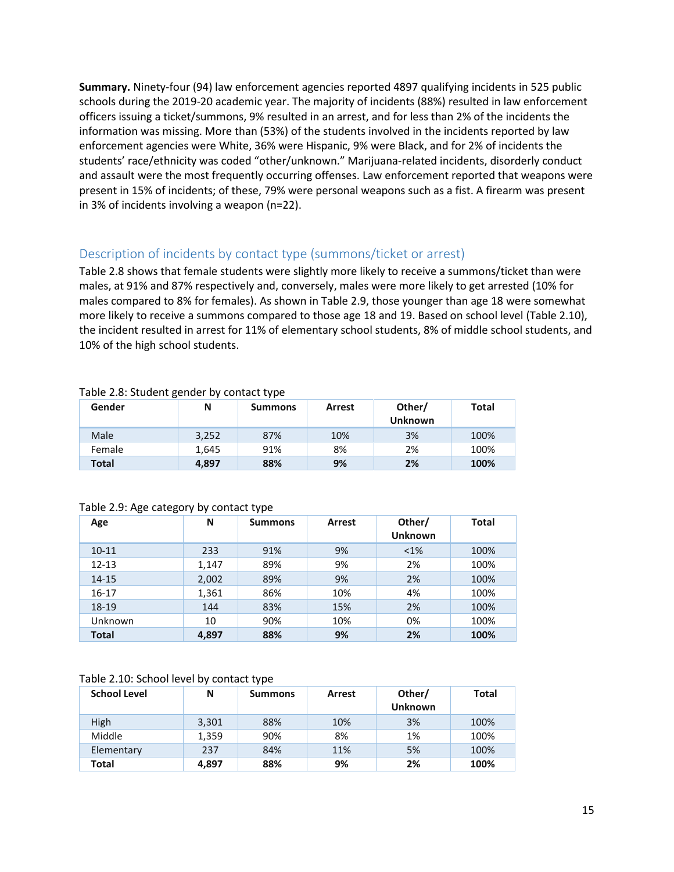**Summary.** Ninety-four (94) law enforcement agencies reported 4897 qualifying incidents in 525 public schools during the 2019-20 academic year. The majority of incidents (88%) resulted in law enforcement officers issuing a ticket/summons, 9% resulted in an arrest, and for less than 2% of the incidents the information was missing. More than (53%) of the students involved in the incidents reported by law enforcement agencies were White, 36% were Hispanic, 9% were Black, and for 2% of incidents the students' race/ethnicity was coded "other/unknown." Marijuana-related incidents, disorderly conduct and assault were the most frequently occurring offenses. Law enforcement reported that weapons were present in 15% of incidents; of these, 79% were personal weapons such as a fist. A firearm was present in 3% of incidents involving a weapon (n=22).

### <span id="page-14-0"></span>Description of incidents by contact type (summons/ticket or arrest)

Table 2.8 shows that female students were slightly more likely to receive a summons/ticket than were males, at 91% and 87% respectively and, conversely, males were more likely to get arrested (10% for males compared to 8% for females). As shown in Table 2.9, those younger than age 18 were somewhat more likely to receive a summons compared to those age 18 and 19. Based on school level (Table 2.10), the incident resulted in arrest for 11% of elementary school students, 8% of middle school students, and 10% of the high school students.

| Gender       | Ν     | <b>Summons</b> | <b>Arrest</b> | Other/<br><b>Unknown</b> | Total |
|--------------|-------|----------------|---------------|--------------------------|-------|
| Male         | 3,252 | 87%            | 10%           | 3%                       | 100%  |
| Female       | 1.645 | 91%            | 8%            | 2%                       | 100%  |
| <b>Total</b> | 4.897 | 88%            | 9%            | 2%                       | 100%  |

#### Table 2.8: Student gender by contact type

#### Table 2.9: Age category by contact type

| Age          | N     | <b>Summons</b> | <b>Arrest</b> | Other/<br><b>Unknown</b> | <b>Total</b> |
|--------------|-------|----------------|---------------|--------------------------|--------------|
| $10 - 11$    | 233   | 91%            | 9%            | $< 1\%$                  | 100%         |
| $12 - 13$    | 1,147 | 89%            | 9%            | 2%                       | 100%         |
| $14 - 15$    | 2,002 | 89%            | 9%            | 2%                       | 100%         |
| $16 - 17$    | 1,361 | 86%            | 10%           | 4%                       | 100%         |
| 18-19        | 144   | 83%            | 15%           | 2%                       | 100%         |
| Unknown      | 10    | 90%            | 10%           | 0%                       | 100%         |
| <b>Total</b> | 4,897 | 88%            | 9%            | 2%                       | 100%         |

#### Table 2.10: School level by contact type

| <b>School Level</b> | N     | <b>Summons</b> | <b>Arrest</b> | Other/<br><b>Unknown</b> | <b>Total</b> |
|---------------------|-------|----------------|---------------|--------------------------|--------------|
| High                | 3,301 | 88%            | 10%           | 3%                       | 100%         |
| Middle              | 1,359 | 90%            | 8%            | 1%                       | 100%         |
| Elementary          | 237   | 84%            | 11%           | 5%                       | 100%         |
| Total               | 4.897 | 88%            | 9%            | 2%                       | 100%         |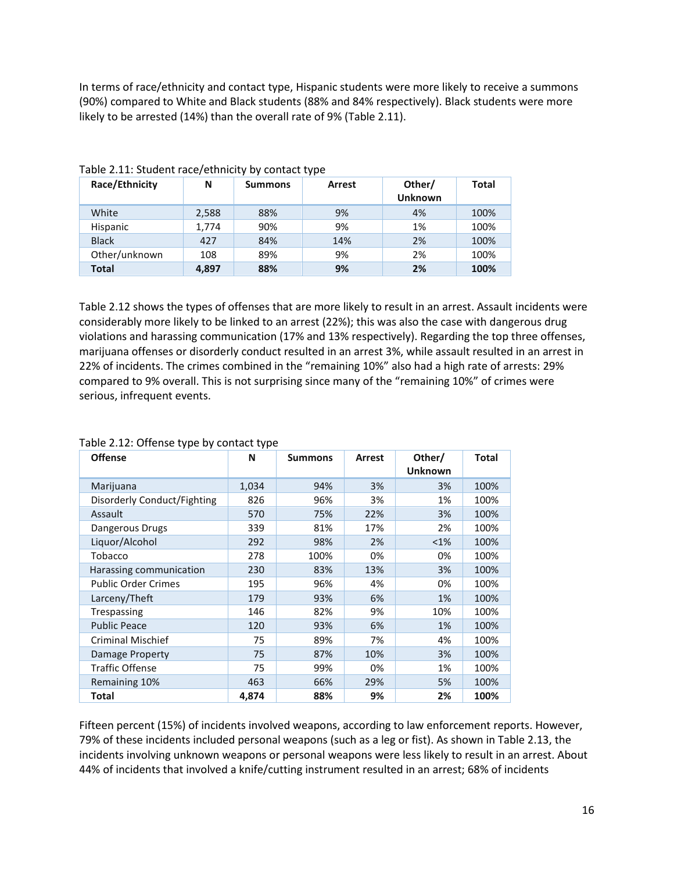In terms of race/ethnicity and contact type, Hispanic students were more likely to receive a summons (90%) compared to White and Black students (88% and 84% respectively). Black students were more likely to be arrested (14%) than the overall rate of 9% (Table 2.11).

| Race/Ethnicity | N     | <b>Summons</b> | <b>Arrest</b> | Other/<br><b>Unknown</b> | <b>Total</b> |
|----------------|-------|----------------|---------------|--------------------------|--------------|
| White          | 2,588 | 88%            | 9%            | 4%                       | 100%         |
| Hispanic       | 1,774 | 90%            | 9%            | 1%                       | 100%         |
| <b>Black</b>   | 427   | 84%            | 14%           | 2%                       | 100%         |
| Other/unknown  | 108   | 89%            | 9%            | 2%                       | 100%         |
| <b>Total</b>   | 4,897 | 88%            | 9%            | 2%                       | 100%         |

Table 2.11: Student race/ethnicity by contact type

Table 2.12 shows the types of offenses that are more likely to result in an arrest. Assault incidents were considerably more likely to be linked to an arrest (22%); this was also the case with dangerous drug violations and harassing communication (17% and 13% respectively). Regarding the top three offenses, marijuana offenses or disorderly conduct resulted in an arrest 3%, while assault resulted in an arrest in 22% of incidents. The crimes combined in the "remaining 10%" also had a high rate of arrests: 29% compared to 9% overall. This is not surprising since many of the "remaining 10%" of crimes were serious, infrequent events.

| <b>Offense</b>              | N     | <b>Summons</b> | Arrest | Other/<br><b>Unknown</b> | <b>Total</b> |
|-----------------------------|-------|----------------|--------|--------------------------|--------------|
| Marijuana                   | 1,034 | 94%            | 3%     | 3%                       | 100%         |
| Disorderly Conduct/Fighting | 826   | 96%            | 3%     | 1%                       | 100%         |
| Assault                     | 570   | 75%            | 22%    | 3%                       | 100%         |
| Dangerous Drugs             | 339   | 81%            | 17%    | 2%                       | 100%         |
| Liquor/Alcohol              | 292   | 98%            | 2%     | $< 1\%$                  | 100%         |
| Tobacco                     | 278   | 100%           | 0%     | 0%                       | 100%         |
| Harassing communication     | 230   | 83%            | 13%    | 3%                       | 100%         |
| <b>Public Order Crimes</b>  | 195   | 96%            | 4%     | 0%                       | 100%         |
| Larceny/Theft               | 179   | 93%            | 6%     | 1%                       | 100%         |
| Trespassing                 | 146   | 82%            | 9%     | 10%                      | 100%         |
| <b>Public Peace</b>         | 120   | 93%            | 6%     | 1%                       | 100%         |
| <b>Criminal Mischief</b>    | 75    | 89%            | 7%     | 4%                       | 100%         |
| Damage Property             | 75    | 87%            | 10%    | 3%                       | 100%         |
| <b>Traffic Offense</b>      | 75    | 99%            | 0%     | 1%                       | 100%         |
| Remaining 10%               | 463   | 66%            | 29%    | 5%                       | 100%         |
| <b>Total</b>                | 4,874 | 88%            | 9%     | 2%                       | 100%         |

#### Table 2.12: Offense type by contact type

Fifteen percent (15%) of incidents involved weapons, according to law enforcement reports. However, 79% of these incidents included personal weapons (such as a leg or fist). As shown in Table 2.13, the incidents involving unknown weapons or personal weapons were less likely to result in an arrest. About 44% of incidents that involved a knife/cutting instrument resulted in an arrest; 68% of incidents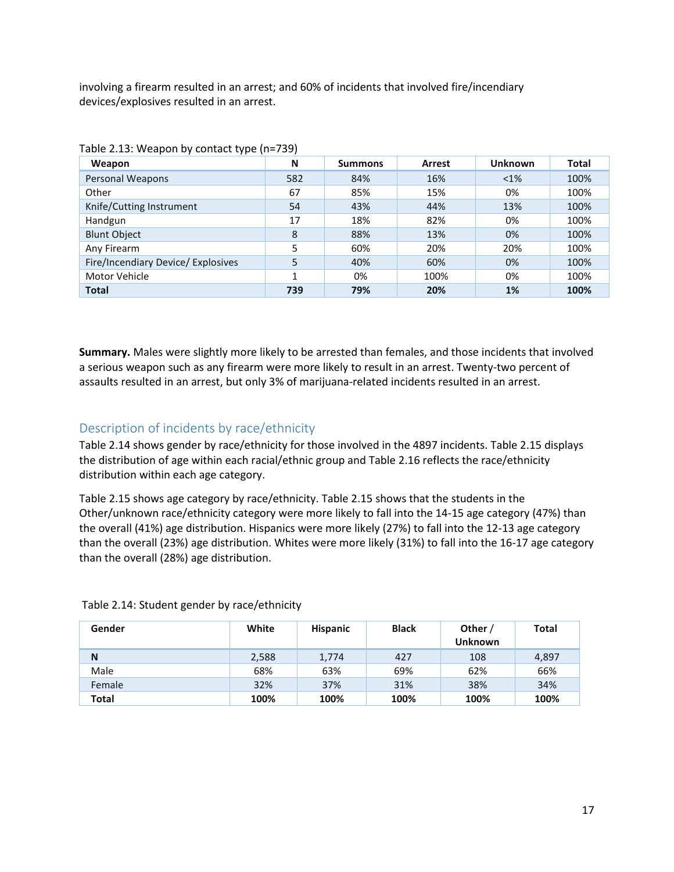involving a firearm resulted in an arrest; and 60% of incidents that involved fire/incendiary devices/explosives resulted in an arrest.

| Weapon                             | N   | <b>Summons</b> | <b>Arrest</b> | <b>Unknown</b> | Total |
|------------------------------------|-----|----------------|---------------|----------------|-------|
| Personal Weapons                   | 582 | 84%            | 16%           | $< 1\%$        | 100%  |
| Other                              | 67  | 85%            | 15%           | 0%             | 100%  |
| Knife/Cutting Instrument           | 54  | 43%            | 44%           | 13%            | 100%  |
| Handgun                            | 17  | 18%            | 82%           | 0%             | 100%  |
| <b>Blunt Object</b>                | 8   | 88%            | 13%           | 0%             | 100%  |
| Any Firearm                        | 5   | 60%            | 20%           | 20%            | 100%  |
| Fire/Incendiary Device/ Explosives | 5   | 40%            | 60%           | 0%             | 100%  |
| Motor Vehicle                      | 1   | 0%             | 100%          | 0%             | 100%  |
| <b>Total</b>                       | 739 | 79%            | 20%           | 1%             | 100%  |

| Table 2.13: Weapon by contact type (n=739) |  |  |
|--------------------------------------------|--|--|
|                                            |  |  |

**Summary.** Males were slightly more likely to be arrested than females, and those incidents that involved a serious weapon such as any firearm were more likely to result in an arrest. Twenty-two percent of assaults resulted in an arrest, but only 3% of marijuana-related incidents resulted in an arrest.

## <span id="page-16-0"></span>Description of incidents by race/ethnicity

Table 2.14 shows gender by race/ethnicity for those involved in the 4897 incidents. Table 2.15 displays the distribution of age within each racial/ethnic group and Table 2.16 reflects the race/ethnicity distribution within each age category.

Table 2.15 shows age category by race/ethnicity. Table 2.15 shows that the students in the Other/unknown race/ethnicity category were more likely to fall into the 14-15 age category (47%) than the overall (41%) age distribution. Hispanics were more likely (27%) to fall into the 12-13 age category than the overall (23%) age distribution. Whites were more likely (31%) to fall into the 16-17 age category than the overall (28%) age distribution.

| Gender       | White | <b>Hispanic</b> | <b>Black</b> | Other /<br><b>Unknown</b> | <b>Total</b> |
|--------------|-------|-----------------|--------------|---------------------------|--------------|
| N            | 2,588 | 1,774           | 427          | 108                       | 4,897        |
| Male         | 68%   | 63%             | 69%          | 62%                       | 66%          |
| Female       | 32%   | 37%             | 31%          | 38%                       | 34%          |
| <b>Total</b> | 100%  | 100%            | 100%         | 100%                      | 100%         |

Table 2.14: Student gender by race/ethnicity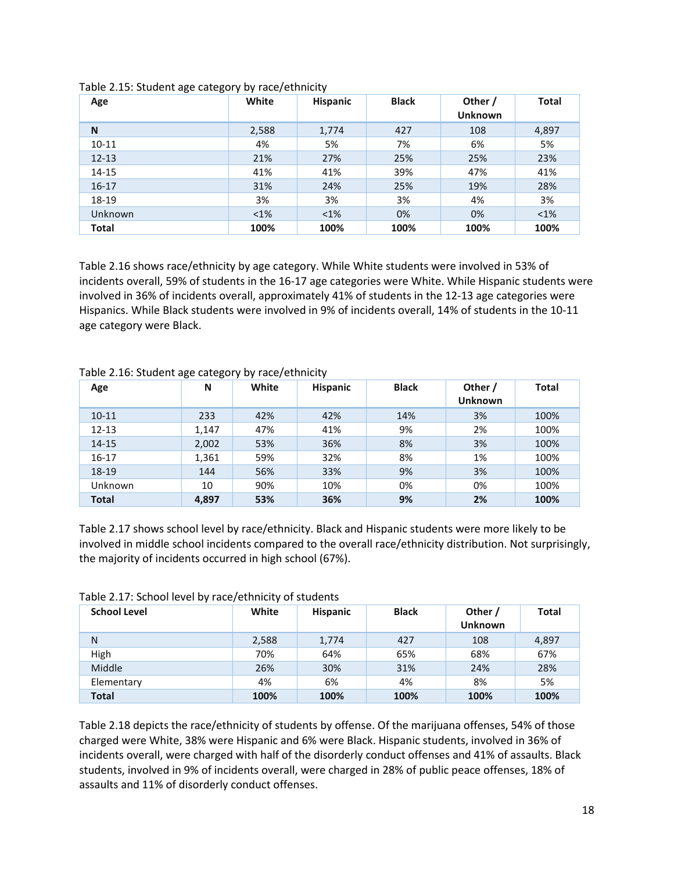| Age          | White   | Hispanic | <b>Black</b> | Other /<br><b>Unknown</b> | <b>Total</b> |
|--------------|---------|----------|--------------|---------------------------|--------------|
| N            | 2,588   | 1,774    | 427          | 108                       | 4,897        |
| $10 - 11$    | 4%      | 5%       | 7%           | 6%                        | 5%           |
| $12 - 13$    | 21%     | 27%      | 25%          | 25%                       | 23%          |
| $14 - 15$    | 41%     | 41%      | 39%          | 47%                       | 41%          |
| $16 - 17$    | 31%     | 24%      | 25%          | 19%                       | 28%          |
| 18-19        | 3%      | 3%       | 3%           | 4%                        | 3%           |
| Unknown      | $< 1\%$ | $< 1\%$  | 0%           | 0%                        | $<$ 1%       |
| <b>Total</b> | 100%    | 100%     | 100%         | 100%                      | 100%         |

#### Table 2.15: Student age category by race/ethnicity

Table 2.16 shows race/ethnicity by age category. While White students were involved in 53% of incidents overall, 59% of students in the 16-17 age categories were White. While Hispanic students were involved in 36% of incidents overall, approximately 41% of students in the 12-13 age categories were Hispanics. While Black students were involved in 9% of incidents overall, 14% of students in the 10-11 age category were Black.

| Age          | N     | White | Hispanic | <b>Black</b> | Other /<br><b>Unknown</b> | <b>Total</b> |
|--------------|-------|-------|----------|--------------|---------------------------|--------------|
| $10 - 11$    | 233   | 42%   | 42%      | 14%          | 3%                        | 100%         |
| $12 - 13$    | 1,147 | 47%   | 41%      | 9%           | 2%                        | 100%         |
| $14 - 15$    | 2,002 | 53%   | 36%      | 8%           | 3%                        | 100%         |
| $16-17$      | 1,361 | 59%   | 32%      | 8%           | 1%                        | 100%         |
| 18-19        | 144   | 56%   | 33%      | 9%           | 3%                        | 100%         |
| Unknown      | 10    | 90%   | 10%      | 0%           | 0%                        | 100%         |
| <b>Total</b> | 4.897 | 53%   | 36%      | 9%           | 2%                        | 100%         |

#### Table 2.16: Student age category by race/ethnicity

Table 2.17 shows school level by race/ethnicity. Black and Hispanic students were more likely to be involved in middle school incidents compared to the overall race/ethnicity distribution. Not surprisingly, the majority of incidents occurred in high school (67%).

| <b>School Level</b> | White | <b>Hispanic</b> | <b>Black</b> | Other /<br><b>Unknown</b> | <b>Total</b> |
|---------------------|-------|-----------------|--------------|---------------------------|--------------|
| N                   | 2,588 | 1,774           | 427          | 108                       | 4,897        |
| High                | 70%   | 64%             | 65%          | 68%                       | 67%          |
| Middle              | 26%   | 30%             | 31%          | 24%                       | 28%          |
| Elementary          | 4%    | 6%              | 4%           | 8%                        | 5%           |
| Total               | 100%  | 100%            | 100%         | 100%                      | 100%         |

#### Table 2.17: School level by race/ethnicity of students

Table 2.18 depicts the race/ethnicity of students by offense. Of the marijuana offenses, 54% of those charged were White, 38% were Hispanic and 6% were Black. Hispanic students, involved in 36% of incidents overall, were charged with half of the disorderly conduct offenses and 41% of assaults. Black students, involved in 9% of incidents overall, were charged in 28% of public peace offenses, 18% of assaults and 11% of disorderly conduct offenses.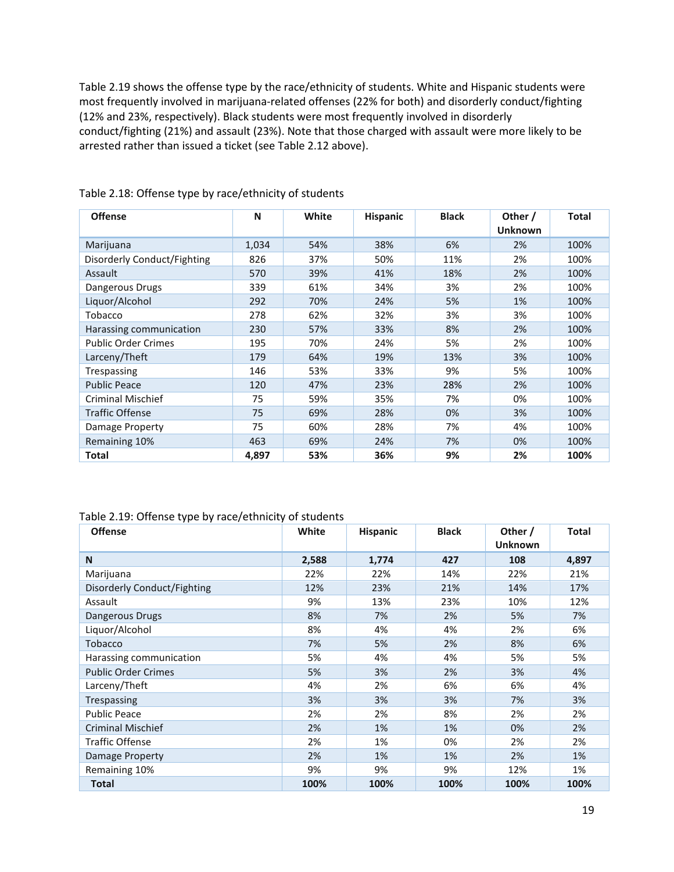Table 2.19 shows the offense type by the race/ethnicity of students. White and Hispanic students were most frequently involved in marijuana-related offenses (22% for both) and disorderly conduct/fighting (12% and 23%, respectively). Black students were most frequently involved in disorderly conduct/fighting (21%) and assault (23%). Note that those charged with assault were more likely to be arrested rather than issued a ticket (see Table 2.12 above).

| <b>Offense</b>              | N     | White | <b>Hispanic</b> | <b>Black</b> | Other /<br><b>Unknown</b> | <b>Total</b> |
|-----------------------------|-------|-------|-----------------|--------------|---------------------------|--------------|
|                             |       |       |                 |              |                           |              |
| Marijuana                   | 1,034 | 54%   | 38%             | 6%           | 2%                        | 100%         |
| Disorderly Conduct/Fighting | 826   | 37%   | 50%             | 11%          | 2%                        | 100%         |
| Assault                     | 570   | 39%   | 41%             | 18%          | 2%                        | 100%         |
| Dangerous Drugs             | 339   | 61%   | 34%             | 3%           | 2%                        | 100%         |
| Liquor/Alcohol              | 292   | 70%   | 24%             | 5%           | 1%                        | 100%         |
| Tobacco                     | 278   | 62%   | 32%             | 3%           | 3%                        | 100%         |
| Harassing communication     | 230   | 57%   | 33%             | 8%           | 2%                        | 100%         |
| <b>Public Order Crimes</b>  | 195   | 70%   | 24%             | 5%           | 2%                        | 100%         |
| Larceny/Theft               | 179   | 64%   | 19%             | 13%          | 3%                        | 100%         |
| Trespassing                 | 146   | 53%   | 33%             | 9%           | 5%                        | 100%         |
| <b>Public Peace</b>         | 120   | 47%   | 23%             | 28%          | 2%                        | 100%         |
| <b>Criminal Mischief</b>    | 75    | 59%   | 35%             | 7%           | 0%                        | 100%         |
| <b>Traffic Offense</b>      | 75    | 69%   | 28%             | 0%           | 3%                        | 100%         |
| Damage Property             | 75    | 60%   | 28%             | 7%           | 4%                        | 100%         |
| Remaining 10%               | 463   | 69%   | 24%             | 7%           | 0%                        | 100%         |
| Total                       | 4,897 | 53%   | 36%             | 9%           | 2%                        | 100%         |

#### Table 2.18: Offense type by race/ethnicity of students

### Table 2.19: Offense type by race/ethnicity of students

| , ,<br><b>Offense</b>       | White | <b>Hispanic</b> | <b>Black</b> | Other /<br><b>Unknown</b> | <b>Total</b> |
|-----------------------------|-------|-----------------|--------------|---------------------------|--------------|
| N                           | 2,588 | 1,774           | 427          | 108                       | 4,897        |
| Marijuana                   | 22%   | 22%             | 14%          | 22%                       | 21%          |
| Disorderly Conduct/Fighting | 12%   | 23%             | 21%          | 14%                       | 17%          |
| Assault                     | 9%    | 13%             | 23%          | 10%                       | 12%          |
| Dangerous Drugs             | 8%    | 7%              | 2%           | 5%                        | 7%           |
| Liquor/Alcohol              | 8%    | 4%              | 4%           | 2%                        | 6%           |
| <b>Tobacco</b>              | 7%    | 5%              | 2%           | 8%                        | 6%           |
| Harassing communication     | 5%    | 4%              | 4%           | 5%                        | 5%           |
| <b>Public Order Crimes</b>  | 5%    | 3%              | 2%           | 3%                        | 4%           |
| Larceny/Theft               | 4%    | 2%              | 6%           | 6%                        | 4%           |
| <b>Trespassing</b>          | 3%    | 3%              | 3%           | 7%                        | 3%           |
| <b>Public Peace</b>         | 2%    | 2%              | 8%           | 2%                        | 2%           |
| <b>Criminal Mischief</b>    | 2%    | 1%              | 1%           | 0%                        | 2%           |
| <b>Traffic Offense</b>      | 2%    | 1%              | 0%           | 2%                        | 2%           |
| Damage Property             | 2%    | 1%              | 1%           | 2%                        | 1%           |
| Remaining 10%               | 9%    | 9%              | 9%           | 12%                       | 1%           |
| <b>Total</b>                | 100%  | 100%            | 100%         | 100%                      | 100%         |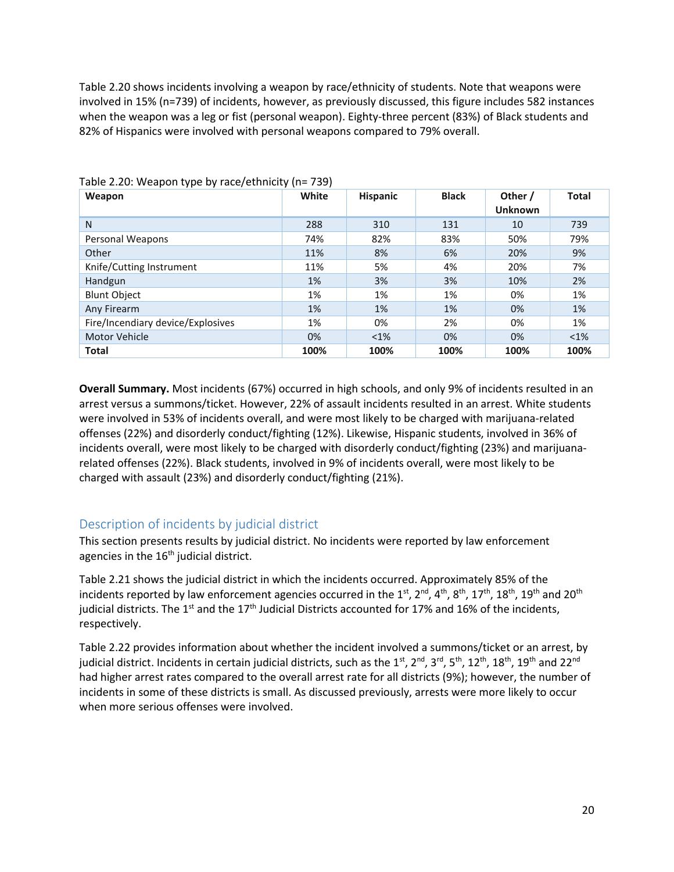Table 2.20 shows incidents involving a weapon by race/ethnicity of students. Note that weapons were involved in 15% (n=739) of incidents, however, as previously discussed, this figure includes 582 instances when the weapon was a leg or fist (personal weapon). Eighty-three percent (83%) of Black students and 82% of Hispanics were involved with personal weapons compared to 79% overall.

| Weapon                            | White | <b>Hispanic</b> | <b>Black</b> | Other /<br><b>Unknown</b> | <b>Total</b> |
|-----------------------------------|-------|-----------------|--------------|---------------------------|--------------|
| N                                 | 288   | 310             | 131          | 10                        | 739          |
| Personal Weapons                  | 74%   | 82%             | 83%          | 50%                       | 79%          |
| Other                             | 11%   | 8%              | 6%           | 20%                       | 9%           |
| Knife/Cutting Instrument          | 11%   | 5%              | 4%           | 20%                       | 7%           |
| Handgun                           | 1%    | 3%              | 3%           | 10%                       | 2%           |
| <b>Blunt Object</b>               | 1%    | 1%              | 1%           | 0%                        | 1%           |
| Any Firearm                       | 1%    | 1%              | 1%           | 0%                        | 1%           |
| Fire/Incendiary device/Explosives | 1%    | 0%              | 2%           | 0%                        | 1%           |
| <b>Motor Vehicle</b>              | 0%    | $<$ 1%          | 0%           | 0%                        | $< 1\%$      |
| <b>Total</b>                      | 100%  | 100%            | 100%         | 100%                      | 100%         |

#### Table 2.20: Weapon type by race/ethnicity (n= 739)

**Overall Summary.** Most incidents (67%) occurred in high schools, and only 9% of incidents resulted in an arrest versus a summons/ticket. However, 22% of assault incidents resulted in an arrest. White students were involved in 53% of incidents overall, and were most likely to be charged with marijuana-related offenses (22%) and disorderly conduct/fighting (12%). Likewise, Hispanic students, involved in 36% of incidents overall, were most likely to be charged with disorderly conduct/fighting (23%) and marijuanarelated offenses (22%). Black students, involved in 9% of incidents overall, were most likely to be charged with assault (23%) and disorderly conduct/fighting (21%).

## <span id="page-19-0"></span>Description of incidents by judicial district

This section presents results by judicial district. No incidents were reported by law enforcement agencies in the  $16<sup>th</sup>$  judicial district.

Table 2.21 shows the judicial district in which the incidents occurred. Approximately 85% of the incidents reported by law enforcement agencies occurred in the  $1^{st}$ ,  $2^{nd}$ ,  $4^{th}$ ,  $8^{th}$ ,  $17^{th}$ ,  $18^{th}$ ,  $19^{th}$  and  $20^{th}$ judicial districts. The 1<sup>st</sup> and the 17<sup>th</sup> Judicial Districts accounted for 17% and 16% of the incidents, respectively.

Table 2.22 provides information about whether the incident involved a summons/ticket or an arrest, by judicial district. Incidents in certain judicial districts, such as the 1<sup>st</sup>, 2<sup>nd</sup>, 3<sup>rd</sup>, 5<sup>th</sup>, 12<sup>th</sup>, 18<sup>th</sup>, 19<sup>th</sup> and 22<sup>nd</sup> had higher arrest rates compared to the overall arrest rate for all districts (9%); however, the number of incidents in some of these districts is small. As discussed previously, arrests were more likely to occur when more serious offenses were involved.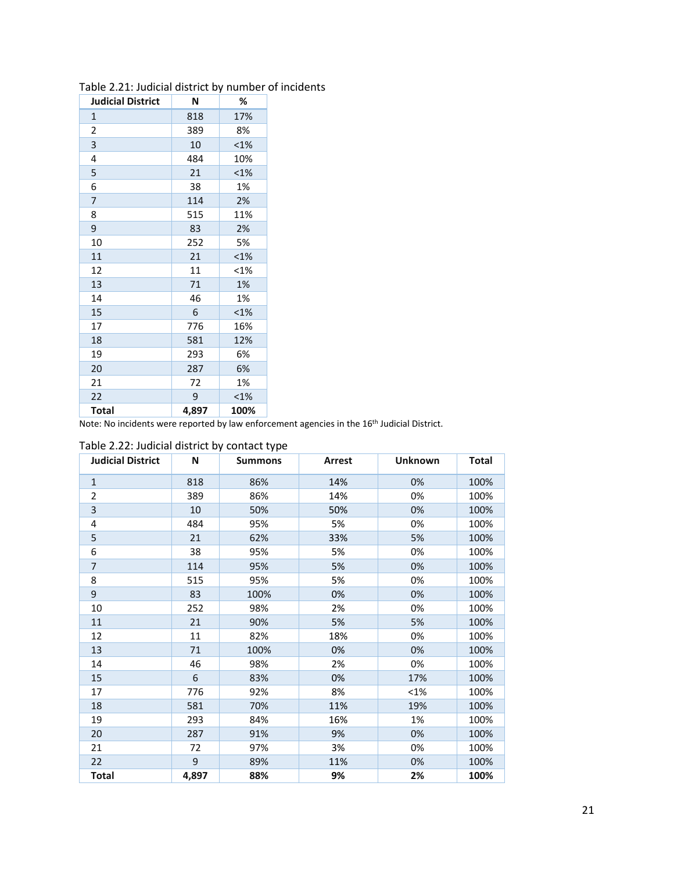| <b>Judicial District</b> | N     | %       |
|--------------------------|-------|---------|
| $\mathbf{1}$             | 818   | 17%     |
| 2                        | 389   | 8%      |
| 3                        | 10    | <1%     |
| 4                        | 484   | 10%     |
| 5                        | 21    | $< 1\%$ |
| 6                        | 38    | 1%      |
| $\overline{7}$           | 114   | 2%      |
| 8                        | 515   | 11%     |
| 9                        | 83    | 2%      |
| 10                       | 252   | 5%      |
| 11                       | 21    | <1%     |
| 12                       | 11    | <1%     |
| 13                       | 71    | 1%      |
| 14                       | 46    | 1%      |
| 15                       | 6     | <1%     |
| 17                       | 776   | 16%     |
| 18                       | 581   | 12%     |
| 19                       | 293   | 6%      |
| 20                       | 287   | 6%      |
| 21                       | 72    | 1%      |
| 22                       | 9     | $< 1\%$ |
| <b>Total</b>             | 4,897 | 100%    |

### Table 2.21: Judicial district by number of incidents

Note: No incidents were reported by law enforcement agencies in the 16th Judicial District.

| <b>Judicial District</b> | N     | <b>Summons</b> | Arrest | <b>Unknown</b> | <b>Total</b> |
|--------------------------|-------|----------------|--------|----------------|--------------|
| $\mathbf{1}$             | 818   | 86%            | 14%    | 0%             | 100%         |
| $\overline{2}$           | 389   | 86%            | 14%    | 0%             | 100%         |
| $\overline{3}$           | 10    | 50%            | 50%    | 0%             | 100%         |
| 4                        | 484   | 95%            | 5%     | 0%             | 100%         |
| 5                        | 21    | 62%            | 33%    | 5%             | 100%         |
| 6                        | 38    | 95%            | 5%     | 0%             | 100%         |
| $\overline{7}$           | 114   | 95%            | 5%     | 0%             | 100%         |
| 8                        | 515   | 95%            | 5%     | 0%             | 100%         |
| 9                        | 83    | 100%           | 0%     | 0%             | 100%         |
| 10                       | 252   | 98%            | 2%     | 0%             | 100%         |
| 11                       | 21    | 90%            | 5%     | 5%             | 100%         |
| 12                       | 11    | 82%            | 18%    | 0%             | 100%         |
| 13                       | 71    | 100%           | 0%     | 0%             | 100%         |
| 14                       | 46    | 98%            | 2%     | 0%             | 100%         |
| 15                       | 6     | 83%            | 0%     | 17%            | 100%         |
| 17                       | 776   | 92%            | 8%     | <1%            | 100%         |
| 18                       | 581   | 70%            | 11%    | 19%            | 100%         |
| 19                       | 293   | 84%            | 16%    | 1%             | 100%         |
| 20                       | 287   | 91%            | 9%     | 0%             | 100%         |
| 21                       | 72    | 97%            | 3%     | 0%             | 100%         |
| 22                       | 9     | 89%            | 11%    | 0%             | 100%         |
| <b>Total</b>             | 4,897 | 88%            | 9%     | 2%             | 100%         |

#### Table 2.22: Judicial district by contact type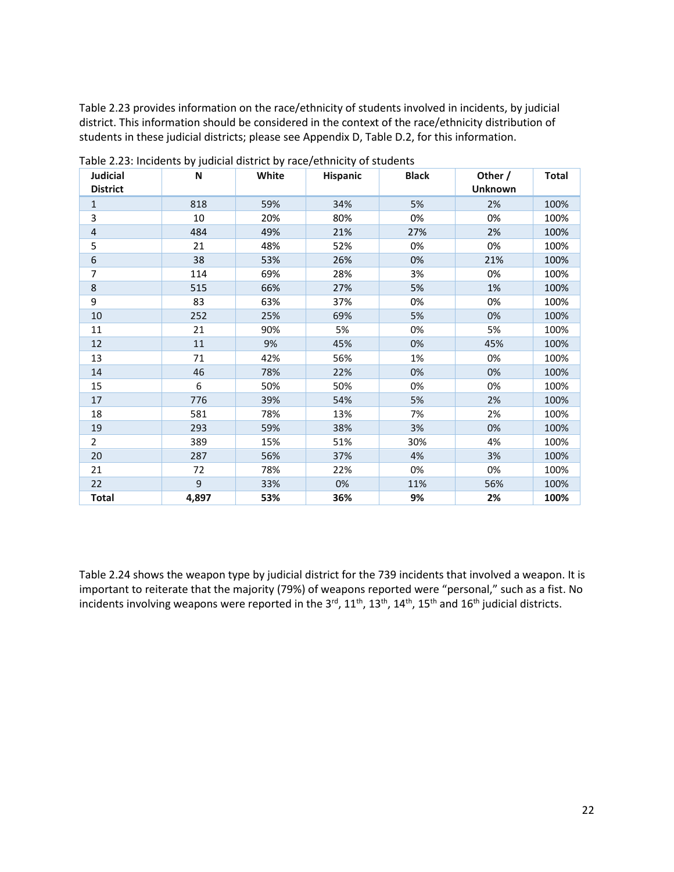Table 2.23 provides information on the race/ethnicity of students involved in incidents, by judicial district. This information should be considered in the context of the race/ethnicity distribution of students in these judicial districts; please see Appendix D, Table D.2, for this information.

| <b>Judicial</b>  | N     | White | Hispanic | <b>Black</b> | Other /        | <b>Total</b> |
|------------------|-------|-------|----------|--------------|----------------|--------------|
| <b>District</b>  |       |       |          |              | <b>Unknown</b> |              |
| $\mathbf{1}$     | 818   | 59%   | 34%      | 5%           | 2%             | 100%         |
| 3                | 10    | 20%   | 80%      | 0%           | 0%             | 100%         |
| $\overline{4}$   | 484   | 49%   | 21%      | 27%          | 2%             | 100%         |
| 5                | 21    | 48%   | 52%      | 0%           | 0%             | 100%         |
| $\boldsymbol{6}$ | 38    | 53%   | 26%      | 0%           | 21%            | 100%         |
| 7                | 114   | 69%   | 28%      | 3%           | 0%             | 100%         |
| $\,8\,$          | 515   | 66%   | 27%      | 5%           | 1%             | 100%         |
| 9                | 83    | 63%   | 37%      | 0%           | 0%             | 100%         |
| 10               | 252   | 25%   | 69%      | 5%           | 0%             | 100%         |
| 11               | 21    | 90%   | 5%       | 0%           | 5%             | 100%         |
| 12               | 11    | 9%    | 45%      | 0%           | 45%            | 100%         |
| 13               | 71    | 42%   | 56%      | 1%           | 0%             | 100%         |
| 14               | 46    | 78%   | 22%      | 0%           | 0%             | 100%         |
| 15               | 6     | 50%   | 50%      | 0%           | 0%             | 100%         |
| 17               | 776   | 39%   | 54%      | 5%           | 2%             | 100%         |
| 18               | 581   | 78%   | 13%      | 7%           | 2%             | 100%         |
| 19               | 293   | 59%   | 38%      | 3%           | 0%             | 100%         |
| $\overline{2}$   | 389   | 15%   | 51%      | 30%          | 4%             | 100%         |
| 20               | 287   | 56%   | 37%      | 4%           | 3%             | 100%         |
| 21               | 72    | 78%   | 22%      | 0%           | 0%             | 100%         |
| 22               | 9     | 33%   | 0%       | 11%          | 56%            | 100%         |
| <b>Total</b>     | 4,897 | 53%   | 36%      | 9%           | 2%             | 100%         |

Table 2.23: Incidents by judicial district by race/ethnicity of students

Table 2.24 shows the weapon type by judicial district for the 739 incidents that involved a weapon. It is important to reiterate that the majority (79%) of weapons reported were "personal," such as a fist. No incidents involving weapons were reported in the  $3^{rd}$ ,  $11^{th}$ ,  $13^{th}$ ,  $14^{th}$ ,  $15^{th}$  and  $16^{th}$  judicial districts.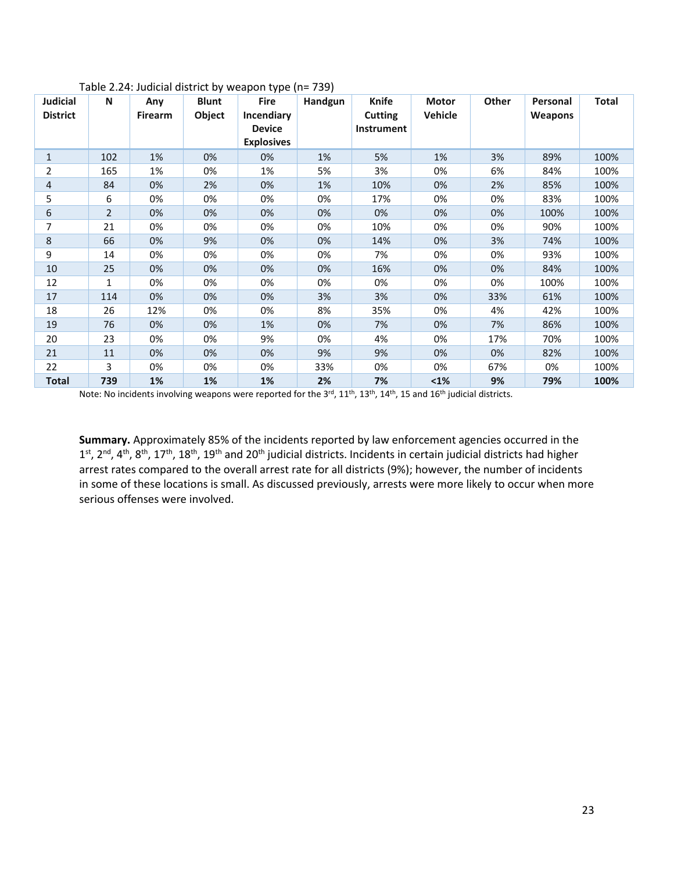| <b>Judicial</b><br><b>District</b> | N              | Any<br><b>Firearm</b> | <b>Blunt</b><br>Object | <b>Fire</b><br>Incendiary<br><b>Device</b><br><b>Explosives</b> | Handgun | Knife<br><b>Cutting</b><br>Instrument | Motor<br>Vehicle | Other | Personal<br><b>Weapons</b> | Total |
|------------------------------------|----------------|-----------------------|------------------------|-----------------------------------------------------------------|---------|---------------------------------------|------------------|-------|----------------------------|-------|
| $\mathbf{1}$                       | 102            | 1%                    | 0%                     | 0%                                                              | 1%      | 5%                                    | 1%               | 3%    | 89%                        | 100%  |
| 2                                  | 165            | 1%                    | 0%                     | 1%                                                              | 5%      | 3%                                    | 0%               | 6%    | 84%                        | 100%  |
| 4                                  | 84             | 0%                    | 2%                     | 0%                                                              | 1%      | 10%                                   | 0%               | 2%    | 85%                        | 100%  |
| 5                                  | 6              | 0%                    | 0%                     | 0%                                                              | 0%      | 17%                                   | 0%               | 0%    | 83%                        | 100%  |
| 6                                  | $\overline{2}$ | 0%                    | 0%                     | 0%                                                              | 0%      | 0%                                    | 0%               | 0%    | 100%                       | 100%  |
| 7                                  | 21             | 0%                    | 0%                     | 0%                                                              | 0%      | 10%                                   | 0%               | 0%    | 90%                        | 100%  |
| 8                                  | 66             | 0%                    | 9%                     | 0%                                                              | 0%      | 14%                                   | 0%               | 3%    | 74%                        | 100%  |
| 9                                  | 14             | 0%                    | 0%                     | 0%                                                              | 0%      | 7%                                    | 0%               | 0%    | 93%                        | 100%  |
| 10                                 | 25             | 0%                    | 0%                     | 0%                                                              | 0%      | 16%                                   | 0%               | 0%    | 84%                        | 100%  |
| 12                                 | 1              | 0%                    | 0%                     | 0%                                                              | 0%      | 0%                                    | 0%               | 0%    | 100%                       | 100%  |
| 17                                 | 114            | 0%                    | 0%                     | 0%                                                              | 3%      | 3%                                    | 0%               | 33%   | 61%                        | 100%  |
| 18                                 | 26             | 12%                   | 0%                     | 0%                                                              | 8%      | 35%                                   | 0%               | 4%    | 42%                        | 100%  |
| 19                                 | 76             | 0%                    | 0%                     | 1%                                                              | 0%      | 7%                                    | 0%               | 7%    | 86%                        | 100%  |
| 20                                 | 23             | 0%                    | 0%                     | 9%                                                              | 0%      | 4%                                    | 0%               | 17%   | 70%                        | 100%  |
| 21                                 | 11             | 0%                    | 0%                     | 0%                                                              | 9%      | 9%                                    | 0%               | 0%    | 82%                        | 100%  |
| 22                                 | 3              | 0%                    | 0%                     | 0%                                                              | 33%     | 0%                                    | 0%               | 67%   | 0%                         | 100%  |
| <b>Total</b>                       | 739            | 1%                    | 1%                     | 1%                                                              | 2%      | 7%                                    | $1%$             | 9%    | 79%                        | 100%  |

Table 2.24: Judicial district by weapon type (n= 739)

Note: No incidents involving weapons were reported for the 3<sup>rd</sup>, 11<sup>th</sup>, 13<sup>th</sup>, 14<sup>th</sup>, 15 and 16<sup>th</sup> judicial districts.

**Summary.** Approximately 85% of the incidents reported by law enforcement agencies occurred in the  $1^{st}$ ,  $2^{nd}$ ,  $4^{th}$ ,  $8^{th}$ ,  $17^{th}$ ,  $18^{th}$ ,  $19^{th}$  and  $20^{th}$  judicial districts. Incidents in certain judicial districts had higher arrest rates compared to the overall arrest rate for all districts (9%); however, the number of incidents in some of these locations is small. As discussed previously, arrests were more likely to occur when more serious offenses were involved.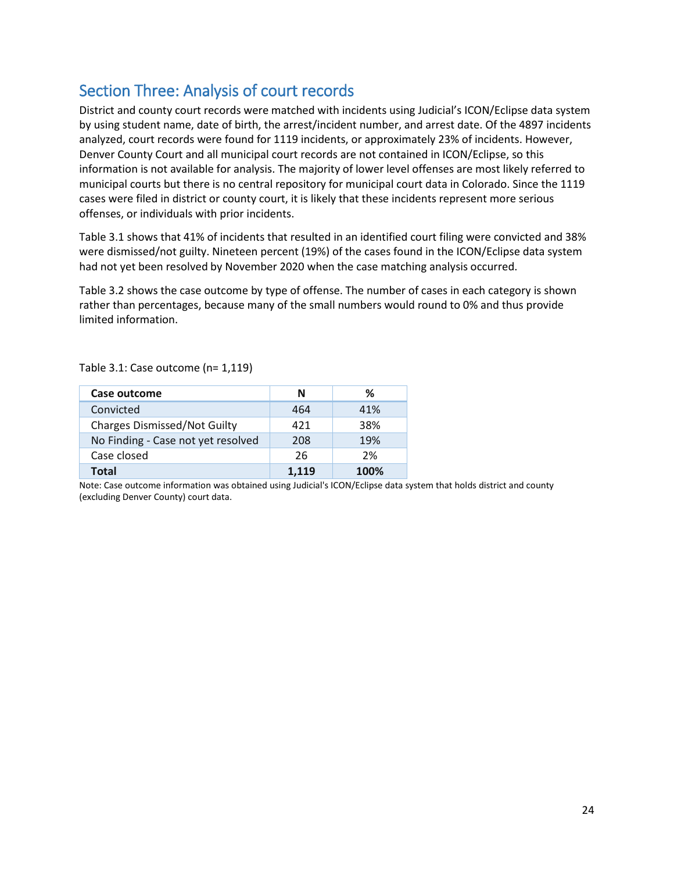## <span id="page-23-0"></span>Section Three: Analysis of court records

District and county court records were matched with incidents using Judicial's ICON/Eclipse data system by using student name, date of birth, the arrest/incident number, and arrest date. Of the 4897 incidents analyzed, court records were found for 1119 incidents, or approximately 23% of incidents. However, Denver County Court and all municipal court records are not contained in ICON/Eclipse, so this information is not available for analysis. The majority of lower level offenses are most likely referred to municipal courts but there is no central repository for municipal court data in Colorado. Since the 1119 cases were filed in district or county court, it is likely that these incidents represent more serious offenses, or individuals with prior incidents.

Table 3.1 shows that 41% of incidents that resulted in an identified court filing were convicted and 38% were dismissed/not guilty. Nineteen percent (19%) of the cases found in the ICON/Eclipse data system had not yet been resolved by November 2020 when the case matching analysis occurred.

Table 3.2 shows the case outcome by type of offense. The number of cases in each category is shown rather than percentages, because many of the small numbers would round to 0% and thus provide limited information.

#### Table 3.1: Case outcome (n= 1,119)

| Case outcome                        | N     | ℅    |
|-------------------------------------|-------|------|
| Convicted                           | 464   | 41%  |
| <b>Charges Dismissed/Not Guilty</b> | 421   | 38%  |
| No Finding - Case not yet resolved  | 208   | 19%  |
| Case closed                         | 26    | 2%   |
| <b>Total</b>                        | 1.119 | 100% |

Note: Case outcome information was obtained using Judicial's ICON/Eclipse data system that holds district and county (excluding Denver County) court data.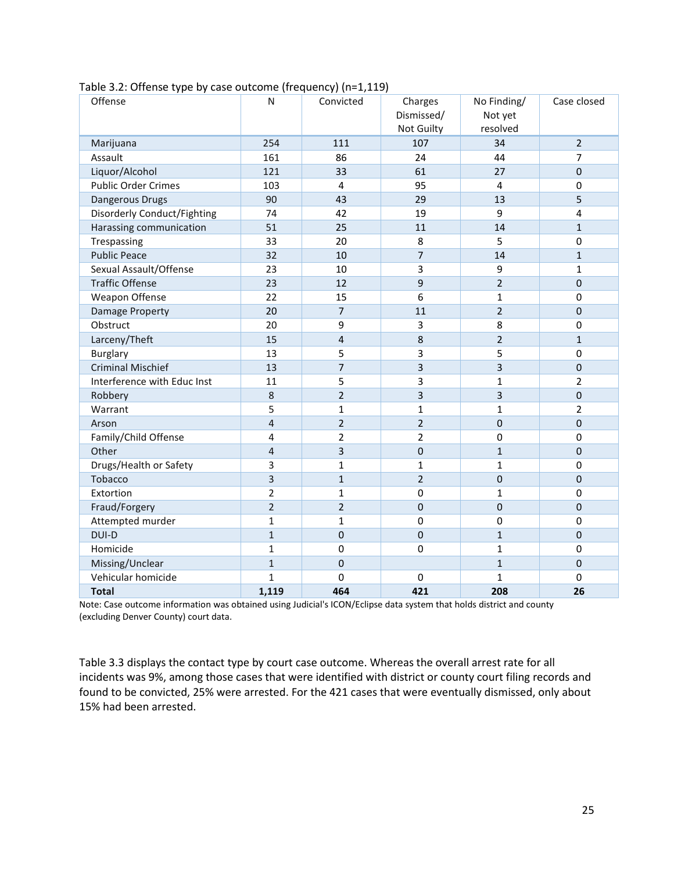| Offense                            | N                       | Convicted      | Charges<br>Dismissed/<br>Not Guilty | No Finding/<br>Not yet<br>resolved | Case closed    |
|------------------------------------|-------------------------|----------------|-------------------------------------|------------------------------------|----------------|
| Marijuana                          | 254                     | 111            | 107                                 | 34                                 | $\overline{2}$ |
| Assault                            | 161                     | 86             | 24                                  | 44                                 | $\overline{7}$ |
| Liquor/Alcohol                     | 121                     | 33             | 61                                  | 27                                 | $\mathbf 0$    |
| <b>Public Order Crimes</b>         | 103                     | 4              | 95                                  | $\overline{4}$                     | 0              |
| Dangerous Drugs                    | 90                      | 43             | 29                                  | 13                                 | 5              |
| <b>Disorderly Conduct/Fighting</b> | 74                      | 42             | 19                                  | 9                                  | $\overline{4}$ |
| Harassing communication            | 51                      | 25             | 11                                  | 14                                 | $\overline{1}$ |
| Trespassing                        | 33                      | 20             | 8                                   | 5                                  | 0              |
| <b>Public Peace</b>                | 32                      | 10             | $\overline{7}$                      | 14                                 | $\mathbf{1}$   |
| Sexual Assault/Offense             | 23                      | 10             | 3                                   | 9                                  | $\mathbf{1}$   |
| <b>Traffic Offense</b>             | 23                      | 12             | 9                                   | $\overline{2}$                     | $\mathbf 0$    |
| Weapon Offense                     | 22                      | 15             | 6                                   | $\mathbf{1}$                       | 0              |
| Damage Property                    | 20                      | $\overline{7}$ | 11                                  | $\overline{2}$                     | $\mathbf 0$    |
| Obstruct                           | 20                      | 9              | 3                                   | 8                                  | 0              |
| Larceny/Theft                      | 15                      | $\overline{4}$ | 8                                   | $\overline{2}$                     | $\mathbf{1}$   |
| <b>Burglary</b>                    | 13                      | 5              | 3                                   | 5                                  | 0              |
| <b>Criminal Mischief</b>           | 13                      | 7              | 3                                   | 3                                  | $\mathbf 0$    |
| Interference with Educ Inst        | 11                      | 5              | 3                                   | $\mathbf{1}$                       | $\overline{2}$ |
| Robbery                            | 8                       | $\overline{2}$ | 3                                   | 3                                  | $\mathbf 0$    |
| Warrant                            | 5                       | 1              | $\mathbf{1}$                        | $\mathbf{1}$                       | $\overline{2}$ |
| Arson                              | $\overline{\mathbf{4}}$ | $\overline{2}$ | $\overline{2}$                      | $\mathbf 0$                        | $\mathbf 0$    |
| Family/Child Offense               | 4                       | 2              | $\overline{2}$                      | $\mathbf 0$                        | $\pmb{0}$      |
| Other                              | $\overline{4}$          | 3              | $\mathbf 0$                         | $\mathbf{1}$                       | $\mathbf 0$    |
| Drugs/Health or Safety             | 3                       | 1              | $\mathbf{1}$                        | $\mathbf{1}$                       | $\mathbf 0$    |
| Tobacco                            | 3                       | $\mathbf{1}$   | $\overline{2}$                      | $\mathbf 0$                        | $\Omega$       |
| Extortion                          | $\overline{2}$          | 1              | $\mathbf 0$                         | 1                                  | $\mathbf 0$    |
| Fraud/Forgery                      | $\overline{2}$          | $\overline{2}$ | $\mathbf 0$                         | $\mathbf 0$                        | $\mathbf 0$    |
| Attempted murder                   | $\mathbf{1}$            | $\mathbf{1}$   | $\mathbf 0$                         | $\mathbf 0$                        | 0              |
| DUI-D                              | $\mathbf{1}$            | 0              | $\mathbf 0$                         | $1\,$                              | $\mathbf 0$    |
| Homicide                           | $\mathbf{1}$            | $\pmb{0}$      | $\mathbf 0$                         | $\mathbf{1}$                       | $\pmb{0}$      |
| Missing/Unclear                    | $\mathbf{1}$            | $\mathbf 0$    |                                     | $\mathbf{1}$                       | $\mathbf 0$    |
| Vehicular homicide                 | $\mathbf{1}$            | 0              | $\mathbf 0$                         | $\mathbf{1}$                       | $\mathbf 0$    |
| <b>Total</b>                       | 1,119                   | 464            | 421                                 | 208                                | 26             |

Table 3.2: Offense type by case outcome (frequency) (n=1,119)

Note: Case outcome information was obtained using Judicial's ICON/Eclipse data system that holds district and county (excluding Denver County) court data.

Table 3.3 displays the contact type by court case outcome. Whereas the overall arrest rate for all incidents was 9%, among those cases that were identified with district or county court filing records and found to be convicted, 25% were arrested. For the 421 cases that were eventually dismissed, only about 15% had been arrested.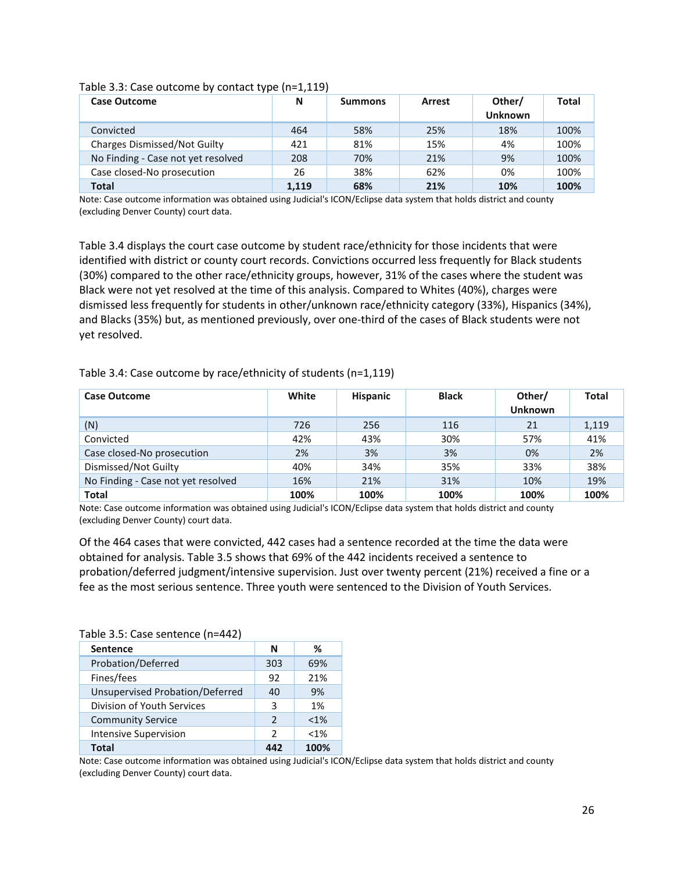| <b>Case Outcome</b>                 | N     | <b>Summons</b> | <b>Arrest</b> | Other/<br>Unknown | <b>Total</b> |
|-------------------------------------|-------|----------------|---------------|-------------------|--------------|
| Convicted                           | 464   | 58%            | 25%           | 18%               | 100%         |
| <b>Charges Dismissed/Not Guilty</b> | 421   | 81%            | 15%           | 4%                | 100%         |
| No Finding - Case not yet resolved  | 208   | 70%            | 21%           | 9%                | 100%         |
| Case closed-No prosecution          | 26    | 38%            | 62%           | 0%                | 100%         |
| <b>Total</b>                        | 1,119 | 68%            | 21%           | 10%               | 100%         |

#### Table 3.3: Case outcome by contact type (n=1,119)

Note: Case outcome information was obtained using Judicial's ICON/Eclipse data system that holds district and county (excluding Denver County) court data.

Table 3.4 displays the court case outcome by student race/ethnicity for those incidents that were identified with district or county court records. Convictions occurred less frequently for Black students (30%) compared to the other race/ethnicity groups, however, 31% of the cases where the student was Black were not yet resolved at the time of this analysis. Compared to Whites (40%), charges were dismissed less frequently for students in other/unknown race/ethnicity category (33%), Hispanics (34%), and Blacks (35%) but, as mentioned previously, over one-third of the cases of Black students were not yet resolved.

Table 3.4: Case outcome by race/ethnicity of students (n=1,119)

| <b>Case Outcome</b>                | White | <b>Hispanic</b> | <b>Black</b> | Other/<br><b>Unknown</b> | <b>Total</b> |
|------------------------------------|-------|-----------------|--------------|--------------------------|--------------|
| (N)                                | 726   | 256             | 116          | 21                       | 1,119        |
| Convicted                          | 42%   | 43%             | 30%          | 57%                      | 41%          |
| Case closed-No prosecution         | 2%    | 3%              | 3%           | 0%                       | 2%           |
| Dismissed/Not Guilty               | 40%   | 34%             | 35%          | 33%                      | 38%          |
| No Finding - Case not yet resolved | 16%   | 21%             | 31%          | 10%                      | 19%          |
| <b>Total</b>                       | 100%  | 100%            | 100%         | 100%                     | 100%         |

Note: Case outcome information was obtained using Judicial's ICON/Eclipse data system that holds district and county (excluding Denver County) court data.

Of the 464 cases that were convicted, 442 cases had a sentence recorded at the time the data were obtained for analysis. Table 3.5 shows that 69% of the 442 incidents received a sentence to probation/deferred judgment/intensive supervision. Just over twenty percent (21%) received a fine or a fee as the most serious sentence. Three youth were sentenced to the Division of Youth Services.

| Table 3.5: Case sentence (n=442) |               |         |
|----------------------------------|---------------|---------|
| <b>Sentence</b>                  | N             | ℅       |
| Probation/Deferred               | 303           | 69%     |
| Fines/fees                       | 92            | 21%     |
| Unsupervised Probation/Deferred  | 40            | 9%      |
| Division of Youth Services       | 3             | 1%      |
| <b>Community Service</b>         | $\mathcal{P}$ | $< 1\%$ |
| <b>Intensive Supervision</b>     | $\mathcal{P}$ | $< 1\%$ |
| <b>Total</b>                     |               | 100%    |

Table 3.5: Case sentence (n=442)

Note: Case outcome information was obtained using Judicial's ICON/Eclipse data system that holds district and county (excluding Denver County) court data.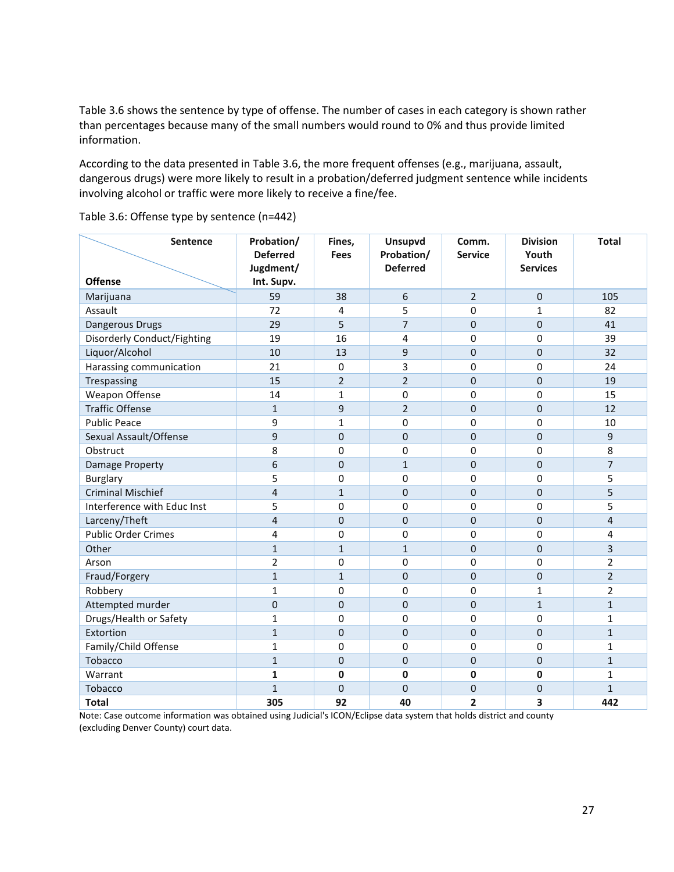Table 3.6 shows the sentence by type of offense. The number of cases in each category is shown rather than percentages because many of the small numbers would round to 0% and thus provide limited information.

According to the data presented in Table 3.6, the more frequent offenses (e.g., marijuana, assault, dangerous drugs) were more likely to result in a probation/deferred judgment sentence while incidents involving alcohol or traffic were more likely to receive a fine/fee.

| Sentence                    | Probation/<br><b>Deferred</b> | Fines,<br><b>Fees</b> | Unsupvd<br>Probation/ | Comm.<br><b>Service</b> | <b>Division</b><br>Youth | <b>Total</b>   |
|-----------------------------|-------------------------------|-----------------------|-----------------------|-------------------------|--------------------------|----------------|
|                             | Jugdment/                     |                       | <b>Deferred</b>       |                         | <b>Services</b>          |                |
| <b>Offense</b>              | Int. Supv.                    |                       |                       |                         |                          |                |
| Marijuana                   | 59                            | 38                    | 6                     | $\overline{2}$          | $\mathbf 0$              | 105            |
| Assault                     | 72                            | 4                     | 5                     | $\mathbf 0$             | $\mathbf 1$              | 82             |
| Dangerous Drugs             | 29                            | 5                     | $\overline{7}$        | $\mathbf 0$             | $\mathbf 0$              | 41             |
| Disorderly Conduct/Fighting | 19                            | 16                    | 4                     | 0                       | 0                        | 39             |
| Liquor/Alcohol              | 10                            | 13                    | 9                     | $\mathbf 0$             | $\mathbf 0$              | 32             |
| Harassing communication     | 21                            | 0                     | 3                     | $\mathbf 0$             | 0                        | 24             |
| Trespassing                 | 15                            | $\overline{2}$        | $\overline{2}$        | $\mathsf{O}\xspace$     | $\mathbf 0$              | 19             |
| Weapon Offense              | 14                            | 1                     | $\mathbf 0$           | $\mathbf 0$             | 0                        | 15             |
| <b>Traffic Offense</b>      | $\mathbf{1}$                  | 9                     | $\overline{2}$        | $\pmb{0}$               | $\mathbf 0$              | 12             |
| <b>Public Peace</b>         | 9                             | $\mathbf{1}$          | $\Omega$              | $\mathbf 0$             | 0                        | 10             |
| Sexual Assault/Offense      | 9                             | $\mathbf 0$           | $\mathbf 0$           | $\mathbf 0$             | $\mathbf 0$              | 9              |
| Obstruct                    | 8                             | 0                     | $\pmb{0}$             | 0                       | 0                        | 8              |
| <b>Damage Property</b>      | 6                             | $\mathbf 0$           | $\mathbf{1}$          | $\mathbf 0$             | $\mathbf 0$              | $\overline{7}$ |
| <b>Burglary</b>             | 5                             | 0                     | $\mathbf 0$           | $\mathbf 0$             | 0                        | 5              |
| <b>Criminal Mischief</b>    | $\overline{\mathbf{4}}$       | $\mathbf{1}$          | $\mathbf 0$           | $\mathbf 0$             | $\mathbf 0$              | 5              |
| Interference with Educ Inst | 5                             | 0                     | 0                     | $\mathbf 0$             | 0                        | 5              |
| Larceny/Theft               | $\overline{4}$                | 0                     | $\mathbf{0}$          | $\mathbf 0$             | $\mathbf 0$              | 4              |
| <b>Public Order Crimes</b>  | 4                             | 0                     | $\Omega$              | $\Omega$                | 0                        | 4              |
| Other                       | $\mathbf{1}$                  | $\mathbf{1}$          | $\mathbf{1}$          | $\mathbf 0$             | $\mathbf 0$              | 3              |
| Arson                       | $\overline{2}$                | 0                     | 0                     | $\mathbf 0$             | 0                        | $\overline{2}$ |
| Fraud/Forgery               | $\mathbf{1}$                  | $\mathbf{1}$          | $\mathbf{0}$          | $\mathbf 0$             | $\mathbf 0$              | $\overline{2}$ |
| Robbery                     | $\mathbf{1}$                  | 0                     | $\mathbf 0$           | $\mathbf 0$             | 1                        | $\overline{2}$ |
| Attempted murder            | $\mathbf 0$                   | $\mathbf 0$           | $\mathbf{0}$          | $\mathbf 0$             | $\mathbf{1}$             | $\mathbf{1}$   |
| Drugs/Health or Safety      | $\mathbf{1}$                  | 0                     | $\mathbf 0$           | $\mathbf 0$             | 0                        | $\mathbf{1}$   |
| Extortion                   | $\mathbf{1}$                  | 0                     | $\mathbf{0}$          | $\mathbf 0$             | $\mathbf 0$              | $\mathbf{1}$   |
| Family/Child Offense        | $\mathbf{1}$                  | 0                     | $\mathbf 0$           | $\mathbf 0$             | 0                        | $\mathbf{1}$   |
| Tobacco                     | $\mathbf{1}$                  | 0                     | $\mathbf 0$           | $\mathbf 0$             | $\mathbf 0$              | $\mathbf{1}$   |
| Warrant                     | $\mathbf{1}$                  | 0                     | $\mathbf 0$           | $\mathbf 0$             | 0                        | $\mathbf{1}$   |
| Tobacco                     | $\mathbf{1}$                  | 0                     | $\Omega$              | $\mathbf 0$             | $\mathbf 0$              | $\mathbf{1}$   |
| <b>Total</b>                | 305                           | 92                    | 40                    | $\overline{2}$          | 3                        | 442            |

Table 3.6: Offense type by sentence (n=442)

Note: Case outcome information was obtained using Judicial's ICON/Eclipse data system that holds district and county (excluding Denver County) court data.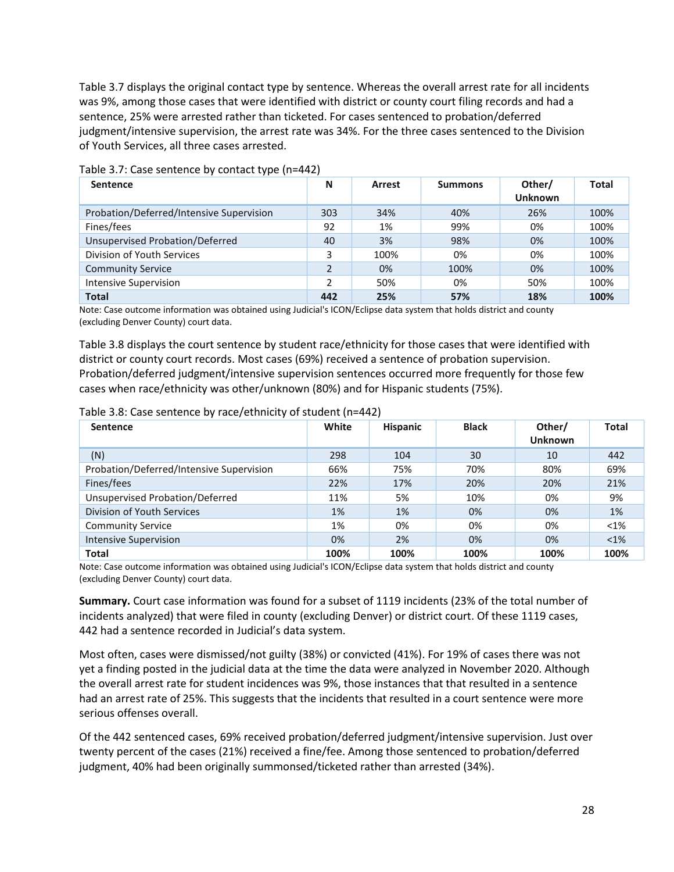Table 3.7 displays the original contact type by sentence. Whereas the overall arrest rate for all incidents was 9%, among those cases that were identified with district or county court filing records and had a sentence, 25% were arrested rather than ticketed. For cases sentenced to probation/deferred judgment/intensive supervision, the arrest rate was 34%. For the three cases sentenced to the Division of Youth Services, all three cases arrested.

| <b>Sentence</b>                          | N   | Arrest | <b>Summons</b> | Other/<br><b>Unknown</b> | <b>Total</b> |
|------------------------------------------|-----|--------|----------------|--------------------------|--------------|
| Probation/Deferred/Intensive Supervision | 303 | 34%    | 40%            | 26%                      | 100%         |
| Fines/fees                               | 92  | 1%     | 99%            | 0%                       | 100%         |
| Unsupervised Probation/Deferred          | 40  | 3%     | 98%            | 0%                       | 100%         |
| Division of Youth Services               | 3   | 100%   | 0%             | 0%                       | 100%         |
| <b>Community Service</b>                 |     | 0%     | 100%           | 0%                       | 100%         |
| <b>Intensive Supervision</b>             | 2   | 50%    | 0%             | 50%                      | 100%         |
| <b>Total</b>                             | 442 | 25%    | 57%            | 18%                      | 100%         |

Table 3.7: Case sentence by contact type (n=442)

Note: Case outcome information was obtained using Judicial's ICON/Eclipse data system that holds district and county (excluding Denver County) court data.

Table 3.8 displays the court sentence by student race/ethnicity for those cases that were identified with district or county court records. Most cases (69%) received a sentence of probation supervision. Probation/deferred judgment/intensive supervision sentences occurred more frequently for those few cases when race/ethnicity was other/unknown (80%) and for Hispanic students (75%).

| Table 3.8: Case sentence by race/ethnicity of student (n=442) |  |  |  |
|---------------------------------------------------------------|--|--|--|
|---------------------------------------------------------------|--|--|--|

| <b>Sentence</b>                          | White | <b>Hispanic</b> | <b>Black</b> | Other/<br><b>Unknown</b> | <b>Total</b> |
|------------------------------------------|-------|-----------------|--------------|--------------------------|--------------|
| (N)                                      | 298   | 104             | 30           | 10                       | 442          |
| Probation/Deferred/Intensive Supervision | 66%   | 75%             | 70%          | 80%                      | 69%          |
| Fines/fees                               | 22%   | 17%             | 20%          | 20%                      | 21%          |
| Unsupervised Probation/Deferred          | 11%   | 5%              | 10%          | 0%                       | 9%           |
| Division of Youth Services               | 1%    | 1%              | 0%           | 0%                       | 1%           |
| <b>Community Service</b>                 | 1%    | 0%              | 0%           | 0%                       | $< 1\%$      |
| <b>Intensive Supervision</b>             | 0%    | 2%              | 0%           | 0%                       | $<$ 1%       |
| <b>Total</b>                             | 100%  | 100%            | 100%         | 100%                     | 100%         |

Note: Case outcome information was obtained using Judicial's ICON/Eclipse data system that holds district and county (excluding Denver County) court data.

**Summary.** Court case information was found for a subset of 1119 incidents (23% of the total number of incidents analyzed) that were filed in county (excluding Denver) or district court. Of these 1119 cases, 442 had a sentence recorded in Judicial's data system.

Most often, cases were dismissed/not guilty (38%) or convicted (41%). For 19% of cases there was not yet a finding posted in the judicial data at the time the data were analyzed in November 2020. Although the overall arrest rate for student incidences was 9%, those instances that that resulted in a sentence had an arrest rate of 25%. This suggests that the incidents that resulted in a court sentence were more serious offenses overall.

Of the 442 sentenced cases, 69% received probation/deferred judgment/intensive supervision. Just over twenty percent of the cases (21%) received a fine/fee. Among those sentenced to probation/deferred judgment, 40% had been originally summonsed/ticketed rather than arrested (34%).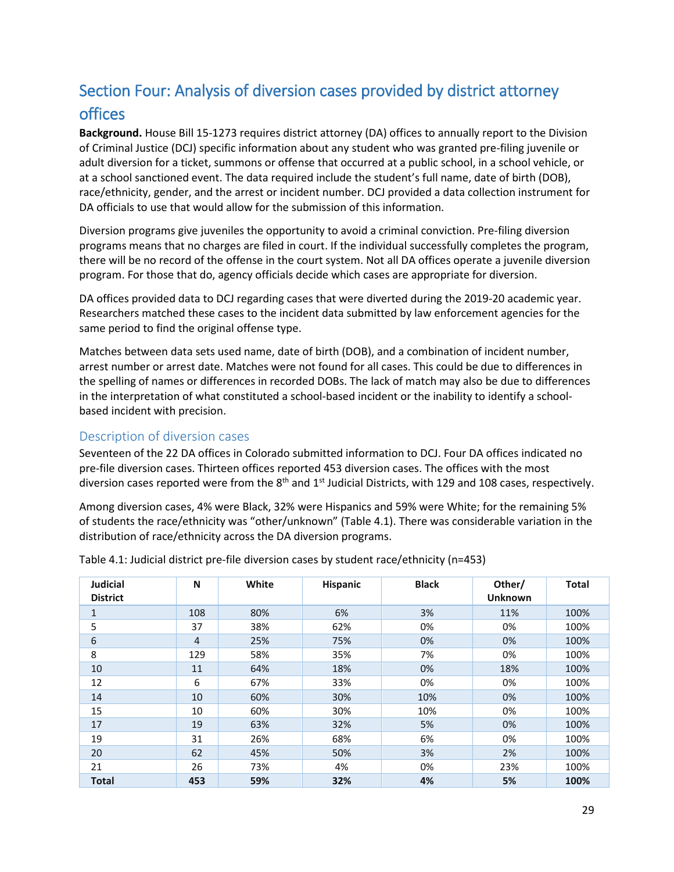# <span id="page-28-0"></span>Section Four: Analysis of diversion cases provided by district attorney offices

**Background.** House Bill 15-1273 requires district attorney (DA) offices to annually report to the Division of Criminal Justice (DCJ) specific information about any student who was granted pre-filing juvenile or adult diversion for a ticket, summons or offense that occurred at a public school, in a school vehicle, or at a school sanctioned event. The data required include the student's full name, date of birth (DOB), race/ethnicity, gender, and the arrest or incident number. DCJ provided a data collection instrument for DA officials to use that would allow for the submission of this information.

Diversion programs give juveniles the opportunity to avoid a criminal conviction. Pre-filing diversion programs means that no charges are filed in court. If the individual successfully completes the program, there will be no record of the offense in the court system. Not all DA offices operate a juvenile diversion program. For those that do, agency officials decide which cases are appropriate for diversion.

DA offices provided data to DCJ regarding cases that were diverted during the 2019-20 academic year. Researchers matched these cases to the incident data submitted by law enforcement agencies for the same period to find the original offense type.

Matches between data sets used name, date of birth (DOB), and a combination of incident number, arrest number or arrest date. Matches were not found for all cases. This could be due to differences in the spelling of names or differences in recorded DOBs. The lack of match may also be due to differences in the interpretation of what constituted a school-based incident or the inability to identify a schoolbased incident with precision.

## <span id="page-28-1"></span>Description of diversion cases

Seventeen of the 22 DA offices in Colorado submitted information to DCJ. Four DA offices indicated no pre-file diversion cases. Thirteen offices reported 453 diversion cases. The offices with the most diversion cases reported were from the  $8<sup>th</sup>$  and  $1<sup>st</sup>$  Judicial Districts, with 129 and 108 cases, respectively.

Among diversion cases, 4% were Black, 32% were Hispanics and 59% were White; for the remaining 5% of students the race/ethnicity was "other/unknown" (Table 4.1). There was considerable variation in the distribution of race/ethnicity across the DA diversion programs.

| <b>Judicial</b><br><b>District</b> | N              | White | <b>Hispanic</b> | <b>Black</b> | Other/<br><b>Unknown</b> | <b>Total</b> |
|------------------------------------|----------------|-------|-----------------|--------------|--------------------------|--------------|
| $\mathbf{1}$                       | 108            | 80%   | 6%              | 3%           | 11%                      | 100%         |
| 5                                  | 37             | 38%   | 62%             | 0%           | 0%                       | 100%         |
| 6                                  | $\overline{4}$ | 25%   | 75%             | 0%           | 0%                       | 100%         |
| 8                                  | 129            | 58%   | 35%             | 7%           | 0%                       | 100%         |
| 10                                 | 11             | 64%   | 18%             | 0%           | 18%                      | 100%         |
| 12                                 | 6              | 67%   | 33%             | 0%           | 0%                       | 100%         |
| 14                                 | 10             | 60%   | 30%             | 10%          | 0%                       | 100%         |
| 15                                 | 10             | 60%   | 30%             | 10%          | 0%                       | 100%         |
| 17                                 | 19             | 63%   | 32%             | 5%           | 0%                       | 100%         |
| 19                                 | 31             | 26%   | 68%             | 6%           | 0%                       | 100%         |
| 20                                 | 62             | 45%   | 50%             | 3%           | 2%                       | 100%         |
| 21                                 | 26             | 73%   | 4%              | 0%           | 23%                      | 100%         |
| <b>Total</b>                       | 453            | 59%   | 32%             | 4%           | 5%                       | 100%         |

Table 4.1: Judicial district pre-file diversion cases by student race/ethnicity (n=453)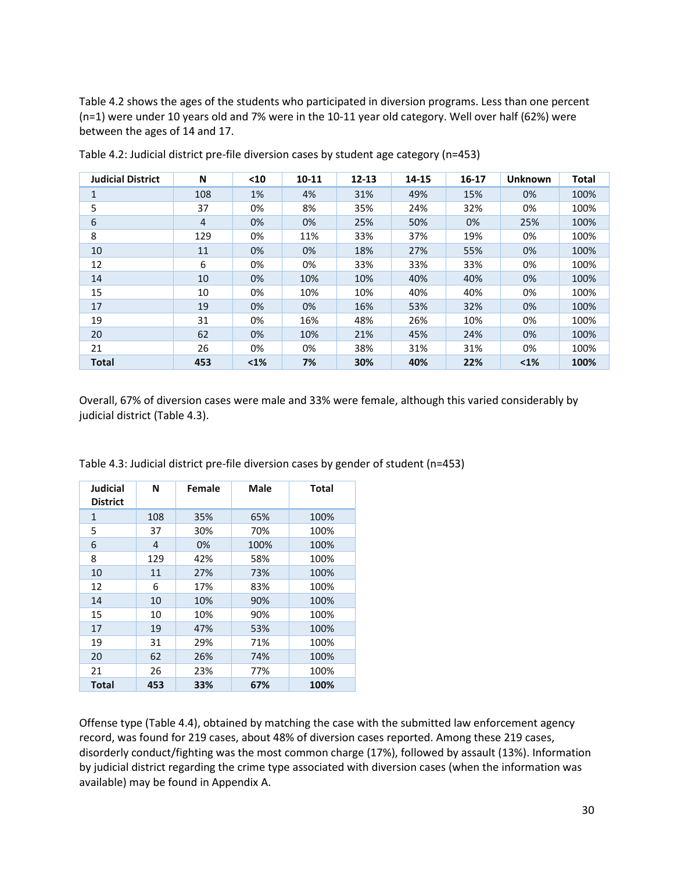Table 4.2 shows the ages of the students who participated in diversion programs. Less than one percent (n=1) were under 10 years old and 7% were in the 10-11 year old category. Well over half (62%) were between the ages of 14 and 17.

| <b>Judicial District</b> | N   | $10$ | $10 - 11$ | $12 - 13$ | 14-15 | $16 - 17$ | <b>Unknown</b> | Total |
|--------------------------|-----|------|-----------|-----------|-------|-----------|----------------|-------|
| 1                        | 108 | 1%   | 4%        | 31%       | 49%   | 15%       | 0%             | 100%  |
| 5                        | 37  | 0%   | 8%        | 35%       | 24%   | 32%       | 0%             | 100%  |
| 6                        | 4   | 0%   | 0%        | 25%       | 50%   | 0%        | 25%            | 100%  |
| 8                        | 129 | 0%   | 11%       | 33%       | 37%   | 19%       | 0%             | 100%  |
| 10                       | 11  | 0%   | 0%        | 18%       | 27%   | 55%       | 0%             | 100%  |
| 12                       | 6   | 0%   | 0%        | 33%       | 33%   | 33%       | 0%             | 100%  |
| 14                       | 10  | 0%   | 10%       | 10%       | 40%   | 40%       | 0%             | 100%  |
| 15                       | 10  | 0%   | 10%       | 10%       | 40%   | 40%       | 0%             | 100%  |
| 17                       | 19  | 0%   | 0%        | 16%       | 53%   | 32%       | 0%             | 100%  |
| 19                       | 31  | 0%   | 16%       | 48%       | 26%   | 10%       | 0%             | 100%  |
| 20                       | 62  | 0%   | 10%       | 21%       | 45%   | 24%       | 0%             | 100%  |
| 21                       | 26  | 0%   | 0%        | 38%       | 31%   | 31%       | 0%             | 100%  |
| <b>Total</b>             | 453 | $1%$ | 7%        | 30%       | 40%   | 22%       | $1%$           | 100%  |

Table 4.2: Judicial district pre-file diversion cases by student age category (n=453)

Overall, 67% of diversion cases were male and 33% were female, although this varied considerably by judicial district (Table 4.3).

| <b>Judicial</b><br><b>District</b> | N   | Female | <b>Male</b> | Total |
|------------------------------------|-----|--------|-------------|-------|
| $\mathbf{1}$                       | 108 | 35%    | 65%         | 100%  |
| 5                                  | 37  | 30%    | 70%         | 100%  |
| 6                                  | 4   | 0%     | 100%        | 100%  |
| 8                                  | 129 | 42%    | 58%         | 100%  |
| 10                                 | 11  | 27%    | 73%         | 100%  |
| 12                                 | 6   | 17%    | 83%         | 100%  |
| 14                                 | 10  | 10%    | 90%         | 100%  |
| 15                                 | 10  | 10%    | 90%         | 100%  |
| 17                                 | 19  | 47%    | 53%         | 100%  |
| 19                                 | 31  | 29%    | 71%         | 100%  |
| 20                                 | 62  | 26%    | 74%         | 100%  |
| 21                                 | 26  | 23%    | 77%         | 100%  |
| Total                              | 453 | 33%    | 67%         | 100%  |

Table 4.3: Judicial district pre-file diversion cases by gender of student (n=453)

Offense type (Table 4.4), obtained by matching the case with the submitted law enforcement agency record, was found for 219 cases, about 48% of diversion cases reported. Among these 219 cases, disorderly conduct/fighting was the most common charge (17%), followed by assault (13%). Information by judicial district regarding the crime type associated with diversion cases (when the information was available) may be found in Appendix A.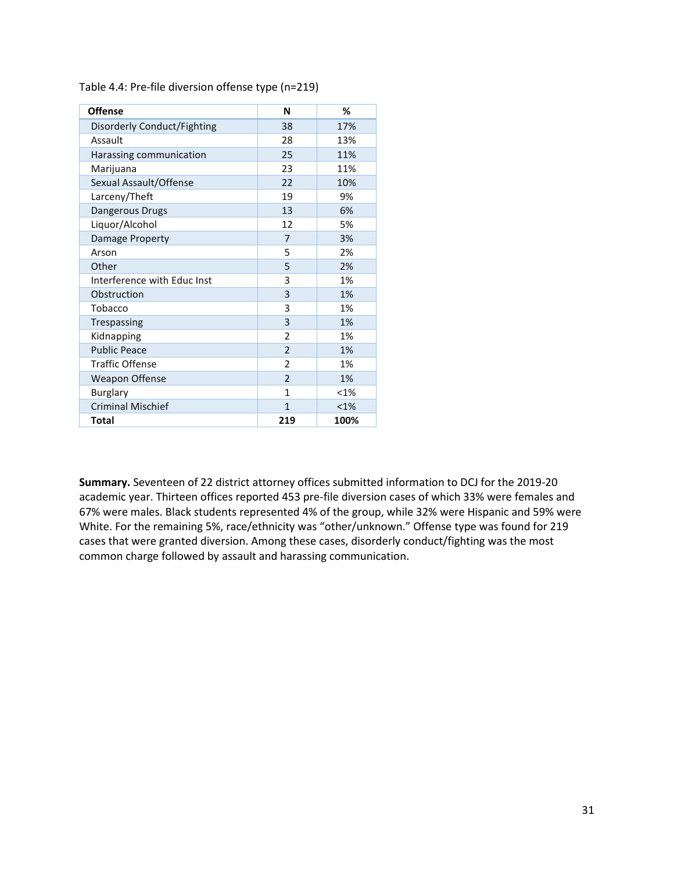| <b>Offense</b>              | N              | %       |
|-----------------------------|----------------|---------|
| Disorderly Conduct/Fighting | 38             | 17%     |
| Assault                     | 28             | 13%     |
| Harassing communication     | 25             | 11%     |
| Marijuana                   | 23             | 11%     |
| Sexual Assault/Offense      | 22             | 10%     |
| Larceny/Theft               | 19             | 9%      |
| Dangerous Drugs             | 13             | 6%      |
| Liquor/Alcohol              | 12             | 5%      |
| Damage Property             | 7              | 3%      |
| Arson                       | 5              | 2%      |
| Other                       | 5              | 2%      |
| Interference with Educ Inst | 3              | 1%      |
| Obstruction                 | 3              | 1%      |
| Tobacco                     | 3              | 1%      |
| Trespassing                 | 3              | 1%      |
| Kidnapping                  | $\overline{2}$ | 1%      |
| <b>Public Peace</b>         | $\overline{2}$ | 1%      |
| <b>Traffic Offense</b>      | $\overline{2}$ | 1%      |
| <b>Weapon Offense</b>       | $\overline{2}$ | 1%      |
| <b>Burglary</b>             | 1              | $< 1\%$ |
| <b>Criminal Mischief</b>    | $\mathbf{1}$   | $< 1\%$ |
| Total                       | 219            | 100%    |

Table 4.4: Pre-file diversion offense type (n=219)

**Summary.** Seventeen of 22 district attorney offices submitted information to DCJ for the 2019-20 academic year. Thirteen offices reported 453 pre-file diversion cases of which 33% were females and 67% were males. Black students represented 4% of the group, while 32% were Hispanic and 59% were White. For the remaining 5%, race/ethnicity was "other/unknown." Offense type was found for 219 cases that were granted diversion. Among these cases, disorderly conduct/fighting was the most common charge followed by assault and harassing communication.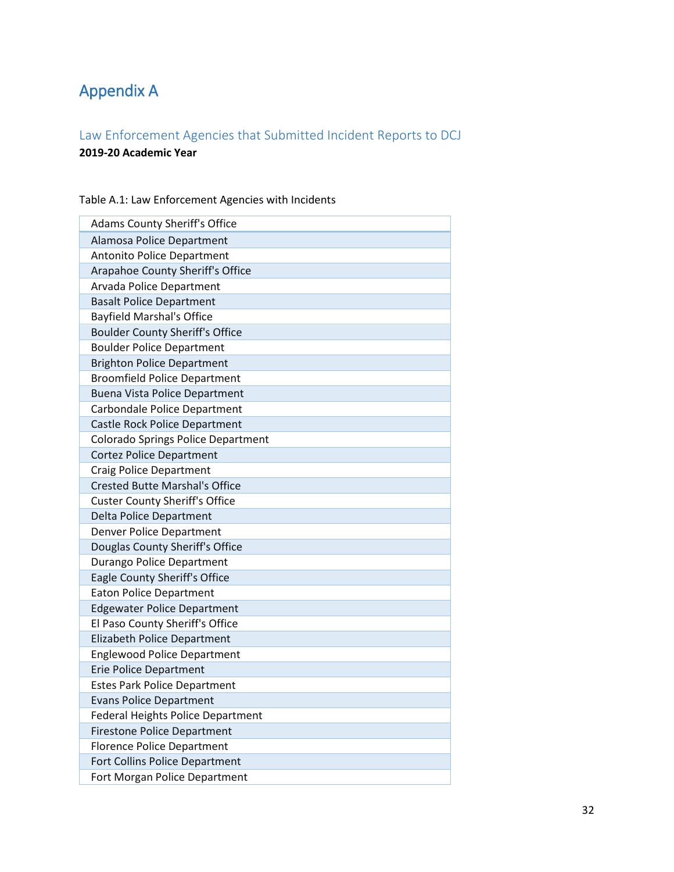# <span id="page-31-0"></span>Appendix A

## <span id="page-31-1"></span>Law Enforcement Agencies that Submitted Incident Reports to DCJ **2019-20 Academic Year**

| <b>Adams County Sheriff's Office</b>      |
|-------------------------------------------|
| Alamosa Police Department                 |
| <b>Antonito Police Department</b>         |
| Arapahoe County Sheriff's Office          |
| Arvada Police Department                  |
| <b>Basalt Police Department</b>           |
| <b>Bayfield Marshal's Office</b>          |
| <b>Boulder County Sheriff's Office</b>    |
| <b>Boulder Police Department</b>          |
| <b>Brighton Police Department</b>         |
| <b>Broomfield Police Department</b>       |
| <b>Buena Vista Police Department</b>      |
| Carbondale Police Department              |
| Castle Rock Police Department             |
| <b>Colorado Springs Police Department</b> |
| <b>Cortez Police Department</b>           |
| <b>Craig Police Department</b>            |
| <b>Crested Butte Marshal's Office</b>     |
| <b>Custer County Sheriff's Office</b>     |
| <b>Delta Police Department</b>            |
| <b>Denver Police Department</b>           |
| Douglas County Sheriff's Office           |
| Durango Police Department                 |
| Eagle County Sheriff's Office             |
| <b>Eaton Police Department</b>            |
| <b>Edgewater Police Department</b>        |
| El Paso County Sheriff's Office           |
| Elizabeth Police Department               |
| <b>Englewood Police Department</b>        |
| <b>Erie Police Department</b>             |
| <b>Estes Park Police Department</b>       |
| <b>Evans Police Department</b>            |
| <b>Federal Heights Police Department</b>  |
| <b>Firestone Police Department</b>        |
| <b>Florence Police Department</b>         |
| Fort Collins Police Department            |
| Fort Morgan Police Department             |

Table A.1: Law Enforcement Agencies with Incidents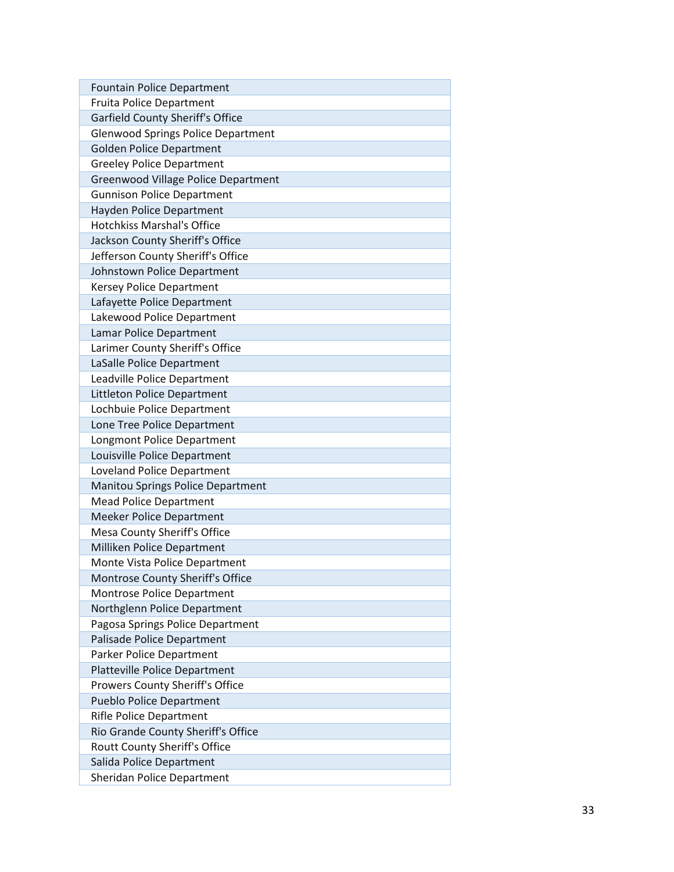| <b>Fountain Police Department</b>         |
|-------------------------------------------|
| <b>Fruita Police Department</b>           |
| <b>Garfield County Sheriff's Office</b>   |
| <b>Glenwood Springs Police Department</b> |
| <b>Golden Police Department</b>           |
| <b>Greeley Police Department</b>          |
| Greenwood Village Police Department       |
| <b>Gunnison Police Department</b>         |
| Hayden Police Department                  |
| <b>Hotchkiss Marshal's Office</b>         |
| Jackson County Sheriff's Office           |
| Jefferson County Sheriff's Office         |
| Johnstown Police Department               |
| <b>Kersey Police Department</b>           |
| Lafayette Police Department               |
| Lakewood Police Department                |
| Lamar Police Department                   |
| Larimer County Sheriff's Office           |
| LaSalle Police Department                 |
| Leadville Police Department               |
| Littleton Police Department               |
| Lochbuie Police Department                |
| Lone Tree Police Department               |
| Longmont Police Department                |
| Louisville Police Department              |
| <b>Loveland Police Department</b>         |
| <b>Manitou Springs Police Department</b>  |
| <b>Mead Police Department</b>             |
| Meeker Police Department                  |
| Mesa County Sheriff's Office              |
| Milliken Police Department                |
| Monte Vista Police Department             |
| Montrose County Sheriff's Office          |
| Montrose Police Department                |
| Northglenn Police Department              |
| Pagosa Springs Police Department          |
| Palisade Police Department                |
| Parker Police Department                  |
| <b>Platteville Police Department</b>      |
| Prowers County Sheriff's Office           |
| <b>Pueblo Police Department</b>           |
| <b>Rifle Police Department</b>            |
| Rio Grande County Sheriff's Office        |
| Routt County Sheriff's Office             |
| Salida Police Department                  |
| Sheridan Police Department                |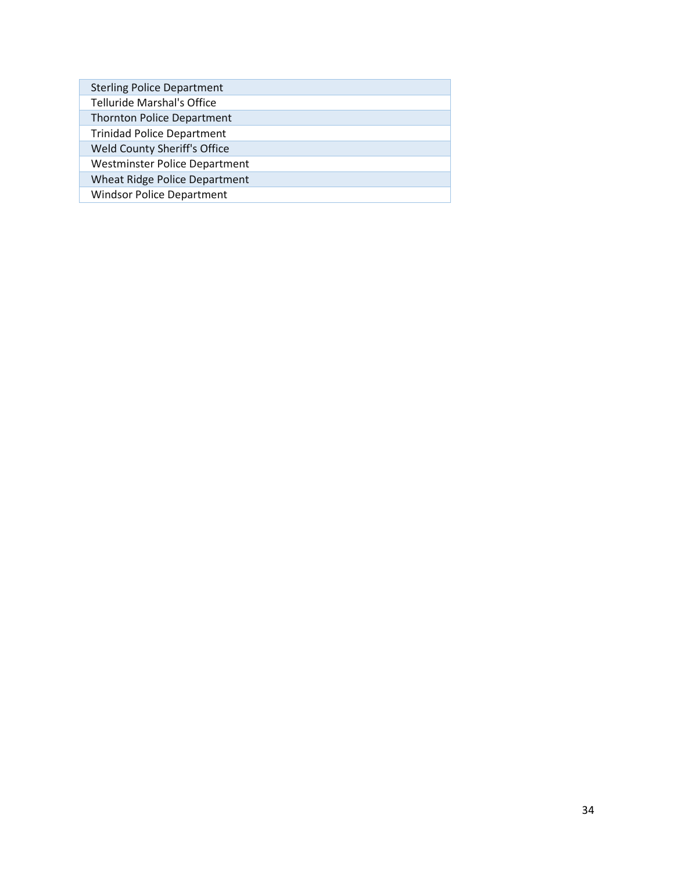| <b>Sterling Police Department</b>    |
|--------------------------------------|
| <b>Telluride Marshal's Office</b>    |
| <b>Thornton Police Department</b>    |
| <b>Trinidad Police Department</b>    |
| Weld County Sheriff's Office         |
| <b>Westminster Police Department</b> |
| Wheat Ridge Police Department        |
| <b>Windsor Police Department</b>     |
|                                      |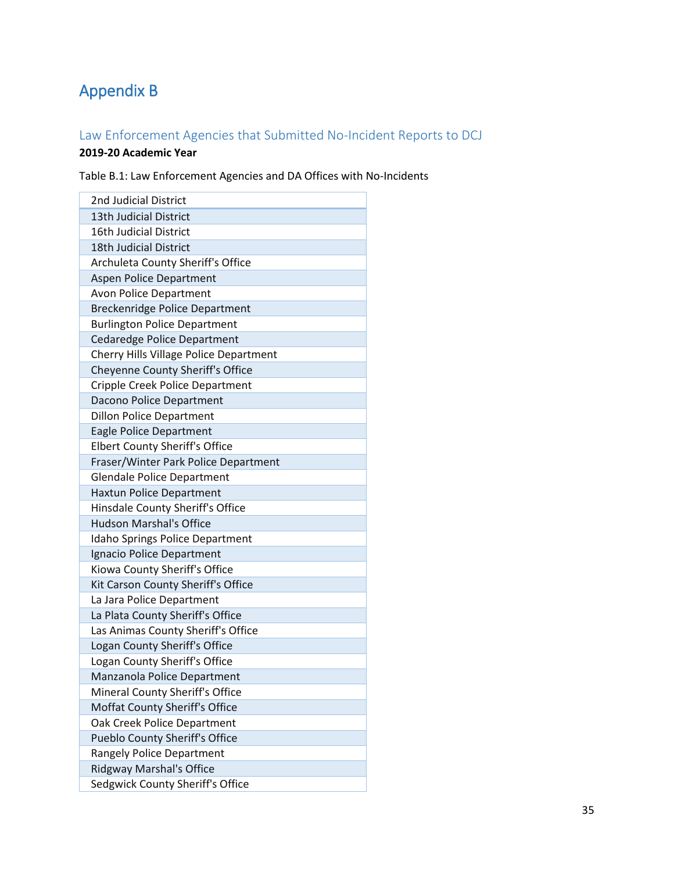# <span id="page-34-0"></span>Appendix B

## <span id="page-34-1"></span>Law Enforcement Agencies that Submitted No-Incident Reports to DCJ

## **2019-20 Academic Year**

Table B.1: Law Enforcement Agencies and DA Offices with No-Incidents

| 2nd Judicial District                  |
|----------------------------------------|
| 13th Judicial District                 |
| <b>16th Judicial District</b>          |
| 18th Judicial District                 |
| Archuleta County Sheriff's Office      |
| <b>Aspen Police Department</b>         |
| <b>Avon Police Department</b>          |
| <b>Breckenridge Police Department</b>  |
| <b>Burlington Police Department</b>    |
| <b>Cedaredge Police Department</b>     |
| Cherry Hills Village Police Department |
| Cheyenne County Sheriff's Office       |
| Cripple Creek Police Department        |
| Dacono Police Department               |
| <b>Dillon Police Department</b>        |
| <b>Eagle Police Department</b>         |
| <b>Elbert County Sheriff's Office</b>  |
| Fraser/Winter Park Police Department   |
| <b>Glendale Police Department</b>      |
| Haxtun Police Department               |
| Hinsdale County Sheriff's Office       |
| <b>Hudson Marshal's Office</b>         |
| Idaho Springs Police Department        |
| Ignacio Police Department              |
| Kiowa County Sheriff's Office          |
| Kit Carson County Sheriff's Office     |
| La Jara Police Department              |
| La Plata County Sheriff's Office       |
| Las Animas County Sheriff's Office     |
| Logan County Sheriff's Office          |
| Logan County Sheriff's Office          |
| Manzanola Police Department            |
| Mineral County Sheriff's Office        |
| Moffat County Sheriff's Office         |
| Oak Creek Police Department            |
| Pueblo County Sheriff's Office         |
| Rangely Police Department              |
| Ridgway Marshal's Office               |
| Sedgwick County Sheriff's Office       |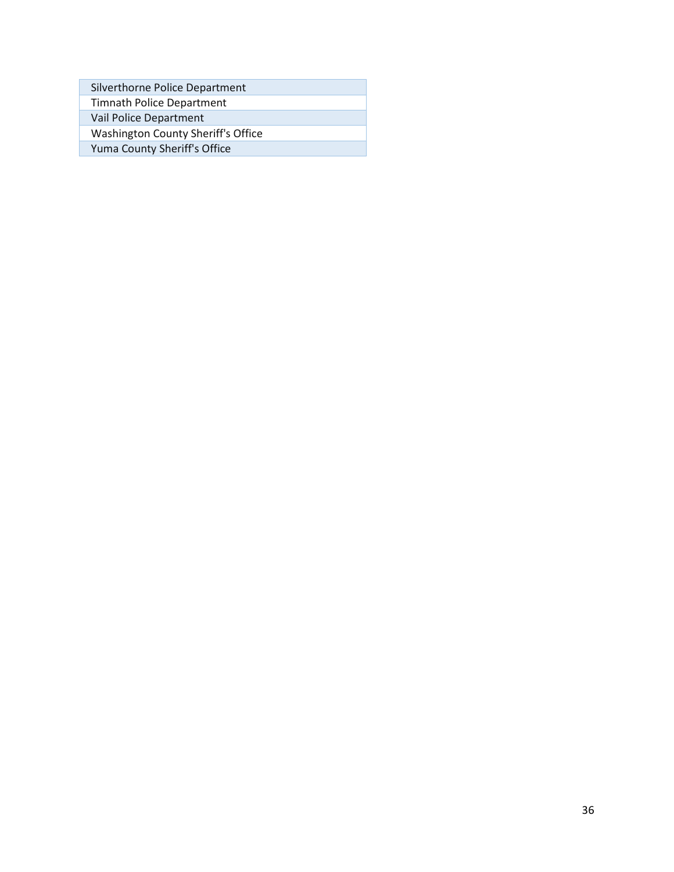| Silverthorne Police Department     |
|------------------------------------|
| <b>Timnath Police Department</b>   |
| Vail Police Department             |
| Washington County Sheriff's Office |
| Yuma County Sheriff's Office       |

Г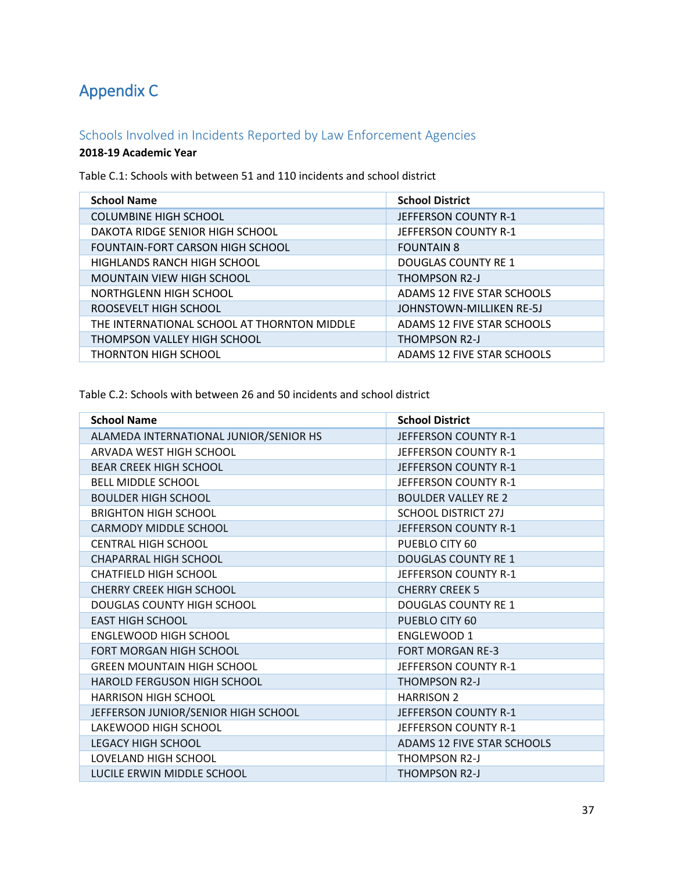# <span id="page-36-0"></span>Appendix C

## <span id="page-36-1"></span>Schools Involved in Incidents Reported by Law Enforcement Agencies

### **2018-19 Academic Year**

Table C.1: Schools with between 51 and 110 incidents and school district

| <b>School Name</b>                          | <b>School District</b>      |
|---------------------------------------------|-----------------------------|
| <b>COLUMBINE HIGH SCHOOL</b>                | <b>JEFFERSON COUNTY R-1</b> |
| DAKOTA RIDGE SENIOR HIGH SCHOOL             | JEFFERSON COUNTY R-1        |
| <b>FOUNTAIN-FORT CARSON HIGH SCHOOL</b>     | <b>FOUNTAIN 8</b>           |
| HIGHLANDS RANCH HIGH SCHOOL                 | DOUGLAS COUNTY RE 1         |
| <b>MOUNTAIN VIEW HIGH SCHOOL</b>            | THOMPSON R2-J               |
| NORTHGLENN HIGH SCHOOL                      | ADAMS 12 FIVE STAR SCHOOLS  |
| ROOSEVELT HIGH SCHOOL                       | JOHNSTOWN-MILLIKEN RE-5J    |
| THE INTERNATIONAL SCHOOL AT THORNTON MIDDLE | ADAMS 12 FIVE STAR SCHOOLS  |
| THOMPSON VALLEY HIGH SCHOOL                 | THOMPSON R2-J               |
| <b>THORNTON HIGH SCHOOL</b>                 | ADAMS 12 FIVE STAR SCHOOLS  |

Table C.2: Schools with between 26 and 50 incidents and school district

| <b>School Name</b>                     | <b>School District</b>            |
|----------------------------------------|-----------------------------------|
| ALAMEDA INTERNATIONAL JUNIOR/SENIOR HS | JEFFERSON COUNTY R-1              |
| <b>ARVADA WEST HIGH SCHOOL</b>         | JEFFERSON COUNTY R-1              |
| <b>BEAR CREEK HIGH SCHOOL</b>          | JEFFERSON COUNTY R-1              |
| <b>BELL MIDDLE SCHOOL</b>              | JEFFERSON COUNTY R-1              |
| <b>BOULDER HIGH SCHOOL</b>             | <b>BOULDER VALLEY RE 2</b>        |
| <b>BRIGHTON HIGH SCHOOL</b>            | <b>SCHOOL DISTRICT 27J</b>        |
| <b>CARMODY MIDDLE SCHOOL</b>           | JEFFERSON COUNTY R-1              |
| <b>CENTRAL HIGH SCHOOL</b>             | PUEBLO CITY 60                    |
| <b>CHAPARRAL HIGH SCHOOL</b>           | <b>DOUGLAS COUNTY RE 1</b>        |
| <b>CHATFIELD HIGH SCHOOL</b>           | JEFFERSON COUNTY R-1              |
| <b>CHERRY CREEK HIGH SCHOOL</b>        | <b>CHERRY CREEK 5</b>             |
| DOUGLAS COUNTY HIGH SCHOOL             | <b>DOUGLAS COUNTY RE 1</b>        |
| <b>EAST HIGH SCHOOL</b>                | PUEBLO CITY 60                    |
| <b>ENGLEWOOD HIGH SCHOOL</b>           | ENGLEWOOD 1                       |
| <b>FORT MORGAN HIGH SCHOOL</b>         | <b>FORT MORGAN RE-3</b>           |
| <b>GREEN MOUNTAIN HIGH SCHOOL</b>      | JEFFERSON COUNTY R-1              |
| <b>HAROLD FERGUSON HIGH SCHOOL</b>     | <b>THOMPSON R2-J</b>              |
| <b>HARRISON HIGH SCHOOL</b>            | <b>HARRISON 2</b>                 |
| JEFFERSON JUNIOR/SENIOR HIGH SCHOOL    | JEFFERSON COUNTY R-1              |
| LAKEWOOD HIGH SCHOOL                   | JEFFERSON COUNTY R-1              |
| <b>LEGACY HIGH SCHOOL</b>              | <b>ADAMS 12 FIVE STAR SCHOOLS</b> |
| LOVELAND HIGH SCHOOL                   | THOMPSON R2-J                     |
| LUCILE ERWIN MIDDLE SCHOOL             | <b>THOMPSON R2-J</b>              |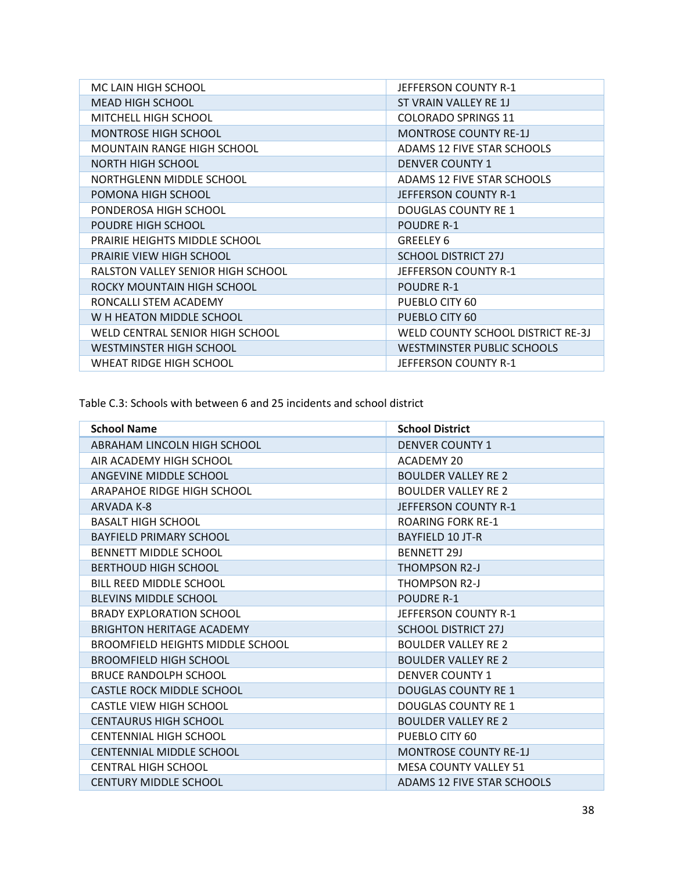| MC LAIN HIGH SCHOOL               | JEFFERSON COUNTY R-1              |
|-----------------------------------|-----------------------------------|
| <b>MEAD HIGH SCHOOL</b>           | ST VRAIN VALLEY RE 1J             |
| <b>MITCHELL HIGH SCHOOL</b>       | <b>COLORADO SPRINGS 11</b>        |
| <b>MONTROSE HIGH SCHOOL</b>       | <b>MONTROSE COUNTY RE-1J</b>      |
| MOUNTAIN RANGE HIGH SCHOOL        | ADAMS 12 FIVE STAR SCHOOLS        |
| NORTH HIGH SCHOOL                 | <b>DENVER COUNTY 1</b>            |
| NORTHGLENN MIDDLE SCHOOL          | ADAMS 12 FIVE STAR SCHOOLS        |
| POMONA HIGH SCHOOL                | JEFFERSON COUNTY R-1              |
| PONDEROSA HIGH SCHOOL             | <b>DOUGLAS COUNTY RE 1</b>        |
| POUDRE HIGH SCHOOL                | <b>POUDRE R-1</b>                 |
| PRAIRIE HEIGHTS MIDDLE SCHOOL     | GREELEY 6                         |
| <b>PRAIRIE VIEW HIGH SCHOOL</b>   | <b>SCHOOL DISTRICT 27J</b>        |
| RALSTON VALLEY SENIOR HIGH SCHOOL | JEFFERSON COUNTY R-1              |
| ROCKY MOUNTAIN HIGH SCHOOL        | <b>POUDRE R-1</b>                 |
| RONCALLI STEM ACADEMY             | PUEBLO CITY 60                    |
| W H HEATON MIDDLE SCHOOL          | PUEBLO CITY 60                    |
| WELD CENTRAL SENIOR HIGH SCHOOL   | WELD COUNTY SCHOOL DISTRICT RE-3J |
| WESTMINSTER HIGH SCHOOL           | WESTMINSTER PUBLIC SCHOOLS        |
| WHEAT RIDGE HIGH SCHOOL           | JEFFERSON COUNTY R-1              |

Table C.3: Schools with between 6 and 25 incidents and school district

| <b>School Name</b>                      | <b>School District</b>       |
|-----------------------------------------|------------------------------|
| ABRAHAM LINCOLN HIGH SCHOOL             | <b>DENVER COUNTY 1</b>       |
| AIR ACADEMY HIGH SCHOOL                 | <b>ACADEMY 20</b>            |
| ANGEVINE MIDDLE SCHOOL                  | <b>BOULDER VALLEY RE 2</b>   |
| ARAPAHOE RIDGE HIGH SCHOOL              | <b>BOULDER VALLEY RE 2</b>   |
| ARVADA K-8                              | JEFFERSON COUNTY R-1         |
| <b>BASALT HIGH SCHOOL</b>               | <b>ROARING FORK RE-1</b>     |
| <b>BAYFIELD PRIMARY SCHOOL</b>          | BAYFIELD 10 JT-R             |
| <b>BENNETT MIDDLE SCHOOL</b>            | <b>BENNETT 29J</b>           |
| <b>BERTHOUD HIGH SCHOOL</b>             | <b>THOMPSON R2-J</b>         |
| BILL REED MIDDLE SCHOOL                 | THOMPSON R2-J                |
| <b>BLEVINS MIDDLE SCHOOL</b>            | <b>POUDRE R-1</b>            |
| <b>BRADY EXPLORATION SCHOOL</b>         | JEFFERSON COUNTY R-1         |
| <b>BRIGHTON HERITAGE ACADEMY</b>        | <b>SCHOOL DISTRICT 27J</b>   |
| <b>BROOMFIELD HEIGHTS MIDDLE SCHOOL</b> | <b>BOULDER VALLEY RE 2</b>   |
| <b>BROOMFIELD HIGH SCHOOL</b>           | <b>BOULDER VALLEY RE 2</b>   |
| <b>BRUCE RANDOLPH SCHOOL</b>            | <b>DENVER COUNTY 1</b>       |
| <b>CASTLE ROCK MIDDLE SCHOOL</b>        | <b>DOUGLAS COUNTY RE 1</b>   |
| <b>CASTLE VIEW HIGH SCHOOL</b>          | <b>DOUGLAS COUNTY RE 1</b>   |
| <b>CENTAURUS HIGH SCHOOL</b>            | <b>BOULDER VALLEY RE 2</b>   |
| <b>CENTENNIAL HIGH SCHOOL</b>           | PUEBLO CITY 60               |
| <b>CENTENNIAL MIDDLE SCHOOL</b>         | <b>MONTROSE COUNTY RE-1J</b> |
| <b>CENTRAL HIGH SCHOOL</b>              | <b>MESA COUNTY VALLEY 51</b> |
| <b>CENTURY MIDDLE SCHOOL</b>            | ADAMS 12 FIVE STAR SCHOOLS   |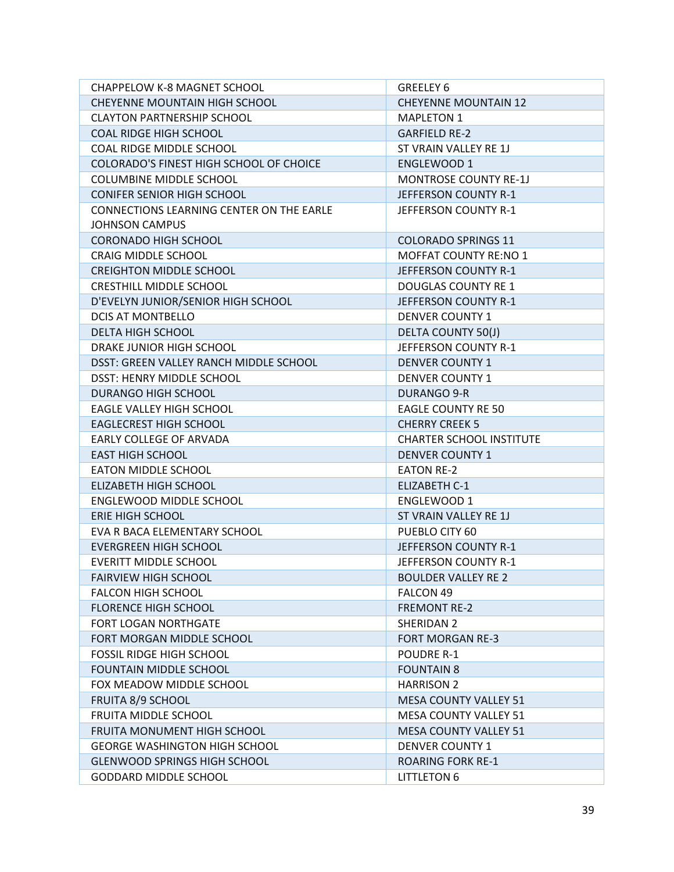| <b>CHAPPELOW K-8 MAGNET SCHOOL</b>       | <b>GREELEY 6</b>                |  |  |
|------------------------------------------|---------------------------------|--|--|
| CHEYENNE MOUNTAIN HIGH SCHOOL            | <b>CHEYENNE MOUNTAIN 12</b>     |  |  |
| <b>CLAYTON PARTNERSHIP SCHOOL</b>        | <b>MAPLETON 1</b>               |  |  |
| <b>COAL RIDGE HIGH SCHOOL</b>            | <b>GARFIELD RE-2</b>            |  |  |
| COAL RIDGE MIDDLE SCHOOL                 | ST VRAIN VALLEY RE 1J           |  |  |
| COLORADO'S FINEST HIGH SCHOOL OF CHOICE  | ENGLEWOOD 1                     |  |  |
| <b>COLUMBINE MIDDLE SCHOOL</b>           | <b>MONTROSE COUNTY RE-1J</b>    |  |  |
| <b>CONIFER SENIOR HIGH SCHOOL</b>        | JEFFERSON COUNTY R-1            |  |  |
| CONNECTIONS LEARNING CENTER ON THE EARLE | JEFFERSON COUNTY R-1            |  |  |
| <b>JOHNSON CAMPUS</b>                    |                                 |  |  |
| <b>CORONADO HIGH SCHOOL</b>              | <b>COLORADO SPRINGS 11</b>      |  |  |
| <b>CRAIG MIDDLE SCHOOL</b>               | <b>MOFFAT COUNTY RE:NO 1</b>    |  |  |
| <b>CREIGHTON MIDDLE SCHOOL</b>           | JEFFERSON COUNTY R-1            |  |  |
| CRESTHILL MIDDLE SCHOOL                  | <b>DOUGLAS COUNTY RE 1</b>      |  |  |
| D'EVELYN JUNIOR/SENIOR HIGH SCHOOL       | JEFFERSON COUNTY R-1            |  |  |
| DCIS AT MONTBELLO                        | <b>DENVER COUNTY 1</b>          |  |  |
| DELTA HIGH SCHOOL                        | DELTA COUNTY 50(J)              |  |  |
| DRAKE JUNIOR HIGH SCHOOL                 | JEFFERSON COUNTY R-1            |  |  |
| DSST: GREEN VALLEY RANCH MIDDLE SCHOOL   | <b>DENVER COUNTY 1</b>          |  |  |
| DSST: HENRY MIDDLE SCHOOL                | <b>DENVER COUNTY 1</b>          |  |  |
| <b>DURANGO HIGH SCHOOL</b>               | <b>DURANGO 9-R</b>              |  |  |
| EAGLE VALLEY HIGH SCHOOL                 | <b>EAGLE COUNTY RE 50</b>       |  |  |
| <b>EAGLECREST HIGH SCHOOL</b>            | <b>CHERRY CREEK 5</b>           |  |  |
| EARLY COLLEGE OF ARVADA                  | <b>CHARTER SCHOOL INSTITUTE</b> |  |  |
| <b>EAST HIGH SCHOOL</b>                  | <b>DENVER COUNTY 1</b>          |  |  |
| EATON MIDDLE SCHOOL                      | <b>EATON RE-2</b>               |  |  |
| ELIZABETH HIGH SCHOOL                    | ELIZABETH C-1                   |  |  |
| ENGLEWOOD MIDDLE SCHOOL                  | ENGLEWOOD 1                     |  |  |
| <b>ERIE HIGH SCHOOL</b>                  | ST VRAIN VALLEY RE 1J           |  |  |
| EVA R BACA ELEMENTARY SCHOOL             | PUEBLO CITY 60                  |  |  |
| <b>EVERGREEN HIGH SCHOOL</b>             | JEFFERSON COUNTY R-1            |  |  |
| <b>EVERITT MIDDLE SCHOOL</b>             | JEFFERSON COUNTY R-1            |  |  |
| <b>FAIRVIEW HIGH SCHOOL</b>              | <b>BOULDER VALLEY RE 2</b>      |  |  |
| <b>FALCON HIGH SCHOOL</b>                | FALCON 49                       |  |  |
| <b>FLORENCE HIGH SCHOOL</b>              | <b>FREMONT RE-2</b>             |  |  |
| <b>FORT LOGAN NORTHGATE</b>              | SHERIDAN 2                      |  |  |
| FORT MORGAN MIDDLE SCHOOL                | <b>FORT MORGAN RE-3</b>         |  |  |
| <b>FOSSIL RIDGE HIGH SCHOOL</b>          | <b>POUDRE R-1</b>               |  |  |
| FOUNTAIN MIDDLE SCHOOL                   | <b>FOUNTAIN 8</b>               |  |  |
| FOX MEADOW MIDDLE SCHOOL                 | <b>HARRISON 2</b>               |  |  |
| FRUITA 8/9 SCHOOL                        | <b>MESA COUNTY VALLEY 51</b>    |  |  |
| FRUITA MIDDLE SCHOOL                     | <b>MESA COUNTY VALLEY 51</b>    |  |  |
| FRUITA MONUMENT HIGH SCHOOL              | <b>MESA COUNTY VALLEY 51</b>    |  |  |
| <b>GEORGE WASHINGTON HIGH SCHOOL</b>     | <b>DENVER COUNTY 1</b>          |  |  |
| <b>GLENWOOD SPRINGS HIGH SCHOOL</b>      | <b>ROARING FORK RE-1</b>        |  |  |
| <b>GODDARD MIDDLE SCHOOL</b>             | <b>LITTLETON 6</b>              |  |  |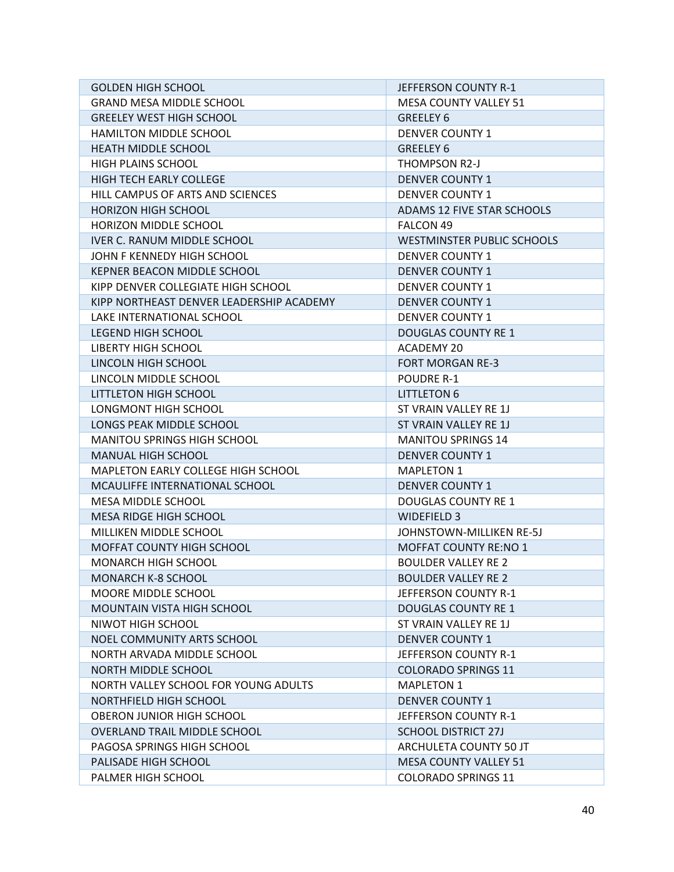| <b>GOLDEN HIGH SCHOOL</b>                                       | JEFFERSON COUNTY R-1              |  |  |
|-----------------------------------------------------------------|-----------------------------------|--|--|
| <b>GRAND MESA MIDDLE SCHOOL</b><br><b>MESA COUNTY VALLEY 51</b> |                                   |  |  |
| <b>GREELEY WEST HIGH SCHOOL</b><br>GREELEY 6                    |                                   |  |  |
| HAMILTON MIDDLE SCHOOL<br><b>DENVER COUNTY 1</b>                |                                   |  |  |
| HEATH MIDDLE SCHOOL<br><b>GREELEY 6</b>                         |                                   |  |  |
| HIGH PLAINS SCHOOL                                              | THOMPSON R2-J                     |  |  |
| HIGH TECH EARLY COLLEGE                                         | <b>DENVER COUNTY 1</b>            |  |  |
| HILL CAMPUS OF ARTS AND SCIENCES                                | <b>DENVER COUNTY 1</b>            |  |  |
| <b>HORIZON HIGH SCHOOL</b>                                      | ADAMS 12 FIVE STAR SCHOOLS        |  |  |
| HORIZON MIDDLE SCHOOL                                           | FALCON 49                         |  |  |
| <b>IVER C. RANUM MIDDLE SCHOOL</b>                              | <b>WESTMINSTER PUBLIC SCHOOLS</b> |  |  |
| JOHN F KENNEDY HIGH SCHOOL                                      | <b>DENVER COUNTY 1</b>            |  |  |
| KEPNER BEACON MIDDLE SCHOOL                                     | <b>DENVER COUNTY 1</b>            |  |  |
| KIPP DENVER COLLEGIATE HIGH SCHOOL                              | <b>DENVER COUNTY 1</b>            |  |  |
| KIPP NORTHEAST DENVER LEADERSHIP ACADEMY                        | <b>DENVER COUNTY 1</b>            |  |  |
| LAKE INTERNATIONAL SCHOOL                                       | <b>DENVER COUNTY 1</b>            |  |  |
| LEGEND HIGH SCHOOL                                              | <b>DOUGLAS COUNTY RE 1</b>        |  |  |
| <b>LIBERTY HIGH SCHOOL</b>                                      | ACADEMY 20                        |  |  |
| LINCOLN HIGH SCHOOL                                             | <b>FORT MORGAN RE-3</b>           |  |  |
| LINCOLN MIDDLE SCHOOL                                           | <b>POUDRE R-1</b>                 |  |  |
| LITTLETON HIGH SCHOOL                                           | <b>LITTLETON 6</b>                |  |  |
| LONGMONT HIGH SCHOOL                                            | ST VRAIN VALLEY RE 1J             |  |  |
| LONGS PEAK MIDDLE SCHOOL                                        | ST VRAIN VALLEY RE 1J             |  |  |
| MANITOU SPRINGS HIGH SCHOOL                                     | <b>MANITOU SPRINGS 14</b>         |  |  |
| MANUAL HIGH SCHOOL                                              | <b>DENVER COUNTY 1</b>            |  |  |
| MAPLETON EARLY COLLEGE HIGH SCHOOL                              | <b>MAPLETON 1</b>                 |  |  |
| MCAULIFFE INTERNATIONAL SCHOOL                                  | <b>DENVER COUNTY 1</b>            |  |  |
| MESA MIDDLE SCHOOL                                              | <b>DOUGLAS COUNTY RE 1</b>        |  |  |
| MESA RIDGE HIGH SCHOOL                                          | <b>WIDEFIELD 3</b>                |  |  |
| MILLIKEN MIDDLE SCHOOL                                          | JOHNSTOWN-MILLIKEN RE-5J          |  |  |
| MOFFAT COUNTY HIGH SCHOOL                                       | <b>MOFFAT COUNTY RE:NO 1</b>      |  |  |
| <b>MONARCH HIGH SCHOOL</b>                                      | <b>BOULDER VALLEY RE 2</b>        |  |  |
| MONARCH K-8 SCHOOL                                              | <b>BOULDER VALLEY RE 2</b>        |  |  |
| <b>MOORE MIDDLE SCHOOL</b>                                      | JEFFERSON COUNTY R-1              |  |  |
| <b>MOUNTAIN VISTA HIGH SCHOOL</b>                               | <b>DOUGLAS COUNTY RE 1</b>        |  |  |
| NIWOT HIGH SCHOOL                                               | ST VRAIN VALLEY RE 1J             |  |  |
| NOEL COMMUNITY ARTS SCHOOL                                      | <b>DENVER COUNTY 1</b>            |  |  |
| NORTH ARVADA MIDDLE SCHOOL                                      | JEFFERSON COUNTY R-1              |  |  |
| NORTH MIDDLE SCHOOL                                             | <b>COLORADO SPRINGS 11</b>        |  |  |
| NORTH VALLEY SCHOOL FOR YOUNG ADULTS                            | <b>MAPLETON 1</b>                 |  |  |
| NORTHFIELD HIGH SCHOOL                                          | <b>DENVER COUNTY 1</b>            |  |  |
| OBERON JUNIOR HIGH SCHOOL                                       | JEFFERSON COUNTY R-1              |  |  |
| OVERLAND TRAIL MIDDLE SCHOOL                                    | <b>SCHOOL DISTRICT 27J</b>        |  |  |
| PAGOSA SPRINGS HIGH SCHOOL                                      | ARCHULETA COUNTY 50 JT            |  |  |
| PALISADE HIGH SCHOOL                                            | <b>MESA COUNTY VALLEY 51</b>      |  |  |
| PALMER HIGH SCHOOL                                              | <b>COLORADO SPRINGS 11</b>        |  |  |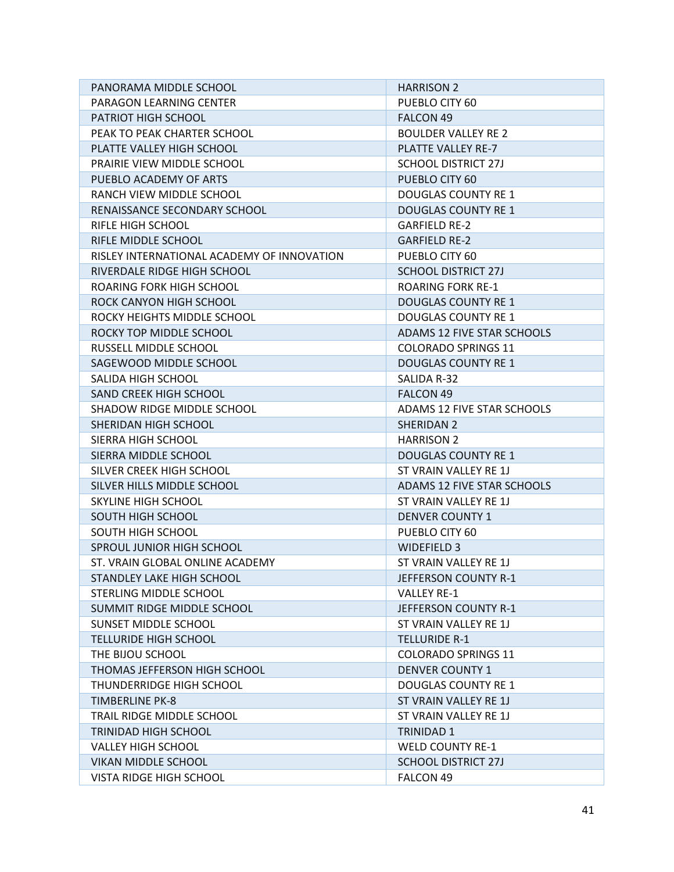| PANORAMA MIDDLE SCHOOL                     | <b>HARRISON 2</b>          |  |  |
|--------------------------------------------|----------------------------|--|--|
| PARAGON LEARNING CENTER                    | PUEBLO CITY 60             |  |  |
| PATRIOT HIGH SCHOOL                        | <b>FALCON 49</b>           |  |  |
| PEAK TO PEAK CHARTER SCHOOL                | <b>BOULDER VALLEY RE 2</b> |  |  |
| PLATTE VALLEY HIGH SCHOOL                  | PLATTE VALLEY RE-7         |  |  |
| <b>PRAIRIE VIEW MIDDLE SCHOOL</b>          | <b>SCHOOL DISTRICT 27J</b> |  |  |
| PUEBLO ACADEMY OF ARTS                     | PUEBLO CITY 60             |  |  |
| RANCH VIEW MIDDLE SCHOOL                   | <b>DOUGLAS COUNTY RE 1</b> |  |  |
| RENAISSANCE SECONDARY SCHOOL               | <b>DOUGLAS COUNTY RE 1</b> |  |  |
| RIFLE HIGH SCHOOL                          | <b>GARFIELD RE-2</b>       |  |  |
| RIFLE MIDDLE SCHOOL                        | <b>GARFIELD RE-2</b>       |  |  |
| RISLEY INTERNATIONAL ACADEMY OF INNOVATION | PUEBLO CITY 60             |  |  |
| RIVERDALE RIDGE HIGH SCHOOL                | <b>SCHOOL DISTRICT 27J</b> |  |  |
| ROARING FORK HIGH SCHOOL                   | <b>ROARING FORK RE-1</b>   |  |  |
| ROCK CANYON HIGH SCHOOL                    | <b>DOUGLAS COUNTY RE 1</b> |  |  |
| ROCKY HEIGHTS MIDDLE SCHOOL                | <b>DOUGLAS COUNTY RE 1</b> |  |  |
| ROCKY TOP MIDDLE SCHOOL                    | ADAMS 12 FIVE STAR SCHOOLS |  |  |
| RUSSELL MIDDLE SCHOOL                      | <b>COLORADO SPRINGS 11</b> |  |  |
| SAGEWOOD MIDDLE SCHOOL                     | <b>DOUGLAS COUNTY RE 1</b> |  |  |
| SALIDA HIGH SCHOOL                         | SALIDA R-32                |  |  |
| <b>SAND CREEK HIGH SCHOOL</b>              | FALCON 49                  |  |  |
| SHADOW RIDGE MIDDLE SCHOOL                 | ADAMS 12 FIVE STAR SCHOOLS |  |  |
| SHERIDAN HIGH SCHOOL                       | <b>SHERIDAN 2</b>          |  |  |
| SIERRA HIGH SCHOOL                         | <b>HARRISON 2</b>          |  |  |
| SIERRA MIDDLE SCHOOL                       | <b>DOUGLAS COUNTY RE 1</b> |  |  |
| SILVER CREEK HIGH SCHOOL                   | ST VRAIN VALLEY RE 1J      |  |  |
| SILVER HILLS MIDDLE SCHOOL                 | ADAMS 12 FIVE STAR SCHOOLS |  |  |
| SKYLINE HIGH SCHOOL                        | ST VRAIN VALLEY RE 1J      |  |  |
| SOUTH HIGH SCHOOL                          | <b>DENVER COUNTY 1</b>     |  |  |
| SOUTH HIGH SCHOOL                          | PUEBLO CITY 60             |  |  |
| SPROUL JUNIOR HIGH SCHOOL                  | <b>WIDEFIELD 3</b>         |  |  |
| ST. VRAIN GLOBAL ONLINE ACADEMY            | ST VRAIN VALLEY RE 1J      |  |  |
| STANDLEY LAKE HIGH SCHOOL                  | JEFFERSON COUNTY R-1       |  |  |
| STERLING MIDDLE SCHOOL                     | <b>VALLEY RE-1</b>         |  |  |
| SUMMIT RIDGE MIDDLE SCHOOL                 | JEFFERSON COUNTY R-1       |  |  |
| <b>SUNSET MIDDLE SCHOOL</b>                | ST VRAIN VALLEY RE 1J      |  |  |
| <b>TELLURIDE HIGH SCHOOL</b>               | TELLURIDE R-1              |  |  |
| THE BIJOU SCHOOL                           | <b>COLORADO SPRINGS 11</b> |  |  |
| THOMAS JEFFERSON HIGH SCHOOL               | <b>DENVER COUNTY 1</b>     |  |  |
| <b>THUNDERRIDGE HIGH SCHOOL</b>            | <b>DOUGLAS COUNTY RE 1</b> |  |  |
| <b>TIMBERLINE PK-8</b>                     | ST VRAIN VALLEY RE 1J      |  |  |
| TRAIL RIDGE MIDDLE SCHOOL                  | ST VRAIN VALLEY RE 1J      |  |  |
| <b>TRINIDAD HIGH SCHOOL</b>                | <b>TRINIDAD 1</b>          |  |  |
| <b>VALLEY HIGH SCHOOL</b>                  | <b>WELD COUNTY RE-1</b>    |  |  |
| VIKAN MIDDLE SCHOOL                        | <b>SCHOOL DISTRICT 27J</b> |  |  |
| VISTA RIDGE HIGH SCHOOL                    | FALCON 49                  |  |  |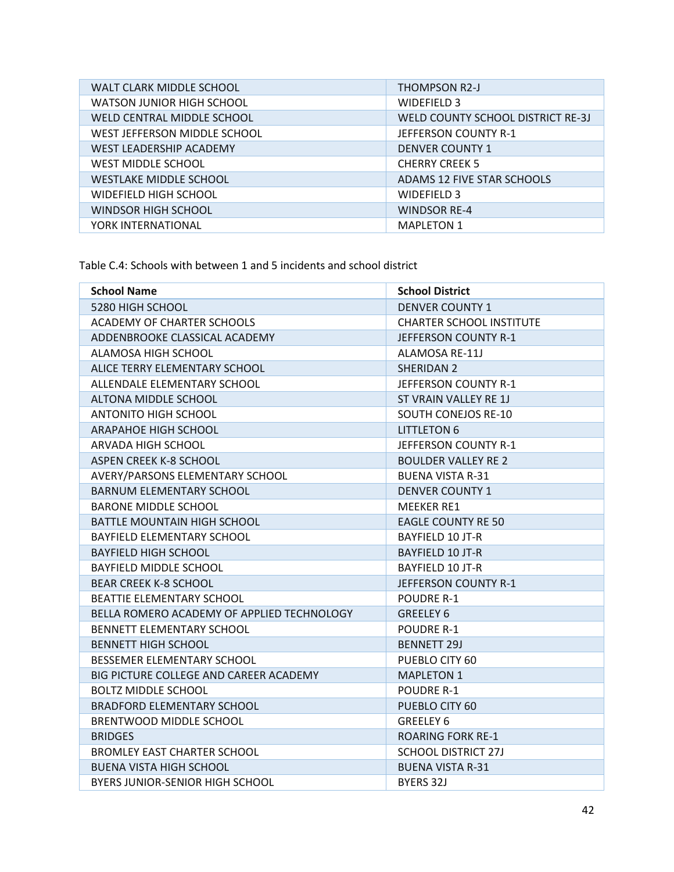| WALT CLARK MIDDLE SCHOOL       | <b>THOMPSON R2-J</b>              |
|--------------------------------|-----------------------------------|
| WATSON JUNIOR HIGH SCHOOL      | WIDEFIELD 3                       |
| WELD CENTRAL MIDDLE SCHOOL     | WELD COUNTY SCHOOL DISTRICT RE-3J |
| WEST JEFFERSON MIDDLE SCHOOL   | JEFFERSON COUNTY R-1              |
| <b>WEST LEADERSHIP ACADEMY</b> | <b>DENVER COUNTY 1</b>            |
| <b>WEST MIDDLE SCHOOL</b>      | <b>CHERRY CREEK 5</b>             |
| <b>WESTLAKE MIDDLE SCHOOL</b>  | ADAMS 12 FIVE STAR SCHOOLS        |
| WIDEFIELD HIGH SCHOOL          | WIDEFIELD 3                       |
| WINDSOR HIGH SCHOOL            | <b>WINDSOR RE-4</b>               |
| YORK INTERNATIONAL             | <b>MAPLETON 1</b>                 |

Table C.4: Schools with between 1 and 5 incidents and school district

| <b>School Name</b>                         | <b>School District</b>          |  |
|--------------------------------------------|---------------------------------|--|
| 5280 HIGH SCHOOL                           | <b>DENVER COUNTY 1</b>          |  |
| <b>ACADEMY OF CHARTER SCHOOLS</b>          | <b>CHARTER SCHOOL INSTITUTE</b> |  |
| ADDENBROOKE CLASSICAL ACADEMY              | JEFFERSON COUNTY R-1            |  |
| ALAMOSA HIGH SCHOOL                        | ALAMOSA RE-11J                  |  |
| ALICE TERRY ELEMENTARY SCHOOL              | SHERIDAN 2                      |  |
| ALLENDALE ELEMENTARY SCHOOL                | JEFFERSON COUNTY R-1            |  |
| ALTONA MIDDLE SCHOOL                       | ST VRAIN VALLEY RE 1J           |  |
| <b>ANTONITO HIGH SCHOOL</b>                | <b>SOUTH CONEJOS RE-10</b>      |  |
| <b>ARAPAHOE HIGH SCHOOL</b>                | <b>LITTLETON 6</b>              |  |
| ARVADA HIGH SCHOOL                         | JEFFERSON COUNTY R-1            |  |
| <b>ASPEN CREEK K-8 SCHOOL</b>              | <b>BOULDER VALLEY RE 2</b>      |  |
| AVERY/PARSONS ELEMENTARY SCHOOL            | <b>BUENA VISTA R-31</b>         |  |
| <b>BARNUM ELEMENTARY SCHOOL</b>            | <b>DENVER COUNTY 1</b>          |  |
| <b>BARONE MIDDLE SCHOOL</b>                | <b>MEEKER RE1</b>               |  |
| <b>BATTLE MOUNTAIN HIGH SCHOOL</b>         | <b>EAGLE COUNTY RE 50</b>       |  |
| BAYFIELD ELEMENTARY SCHOOL                 | BAYFIELD 10 JT-R                |  |
| <b>BAYFIELD HIGH SCHOOL</b>                | <b>BAYFIELD 10 JT-R</b>         |  |
| BAYFIELD MIDDLE SCHOOL                     | <b>BAYFIELD 10 JT-R</b>         |  |
| <b>BEAR CREEK K-8 SCHOOL</b>               | JEFFERSON COUNTY R-1            |  |
| BEATTIE ELEMENTARY SCHOOL                  | <b>POUDRE R-1</b>               |  |
| BELLA ROMERO ACADEMY OF APPLIED TECHNOLOGY | <b>GREELEY 6</b>                |  |
| <b>BENNETT ELEMENTARY SCHOOL</b>           | <b>POUDRE R-1</b>               |  |
| <b>BENNETT HIGH SCHOOL</b>                 | <b>BENNETT 29J</b>              |  |
| BESSEMER ELEMENTARY SCHOOL                 | PUEBLO CITY 60                  |  |
| BIG PICTURE COLLEGE AND CAREER ACADEMY     | <b>MAPLETON 1</b>               |  |
| <b>BOLTZ MIDDLE SCHOOL</b>                 | <b>POUDRE R-1</b>               |  |
| <b>BRADFORD ELEMENTARY SCHOOL</b>          | PUEBLO CITY 60                  |  |
| BRENTWOOD MIDDLE SCHOOL                    | <b>GREELEY 6</b>                |  |
| <b>BRIDGES</b>                             | <b>ROARING FORK RE-1</b>        |  |
| <b>BROMLEY EAST CHARTER SCHOOL</b>         | <b>SCHOOL DISTRICT 27J</b>      |  |
| <b>BUENA VISTA HIGH SCHOOL</b>             | <b>BUENA VISTA R-31</b>         |  |
| BYERS JUNIOR-SENIOR HIGH SCHOOL            | BYERS 32J                       |  |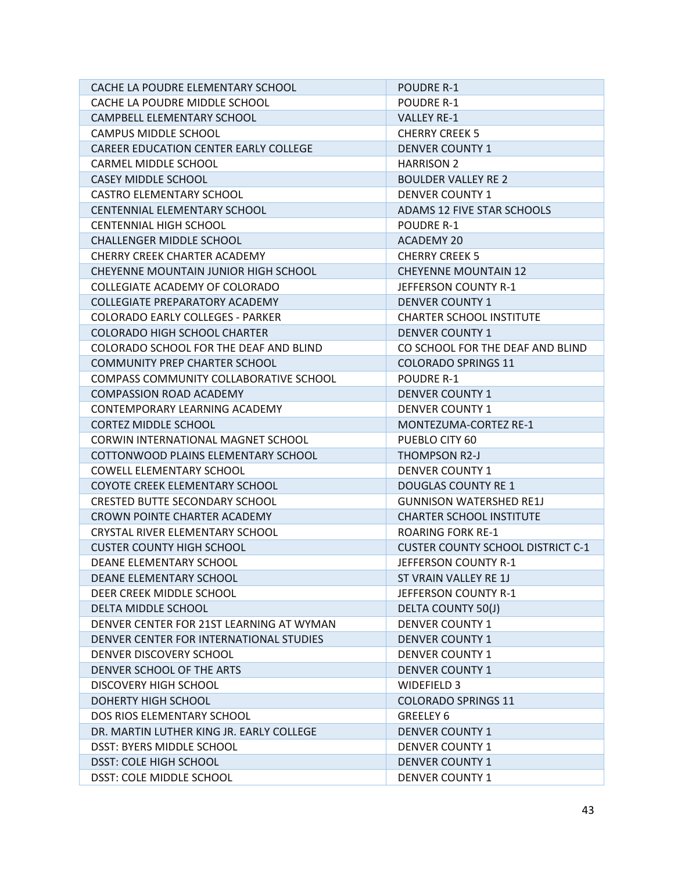| CACHE LA POUDRE ELEMENTARY SCHOOL        | <b>POUDRE R-1</b>                        |  |  |
|------------------------------------------|------------------------------------------|--|--|
| CACHE LA POUDRE MIDDLE SCHOOL            | <b>POUDRE R-1</b>                        |  |  |
| CAMPBELL ELEMENTARY SCHOOL               | <b>VALLEY RE-1</b>                       |  |  |
| CAMPUS MIDDLE SCHOOL                     | <b>CHERRY CREEK 5</b>                    |  |  |
| CAREER EDUCATION CENTER EARLY COLLEGE    | <b>DENVER COUNTY 1</b>                   |  |  |
| CARMEL MIDDLE SCHOOL                     | <b>HARRISON 2</b>                        |  |  |
| <b>CASEY MIDDLE SCHOOL</b>               | <b>BOULDER VALLEY RE 2</b>               |  |  |
| <b>CASTRO ELEMENTARY SCHOOL</b>          | <b>DENVER COUNTY 1</b>                   |  |  |
| CENTENNIAL ELEMENTARY SCHOOL             | ADAMS 12 FIVE STAR SCHOOLS               |  |  |
| <b>CENTENNIAL HIGH SCHOOL</b>            | <b>POUDRE R-1</b>                        |  |  |
| <b>CHALLENGER MIDDLE SCHOOL</b>          | <b>ACADEMY 20</b>                        |  |  |
| CHERRY CREEK CHARTER ACADEMY             | <b>CHERRY CREEK 5</b>                    |  |  |
| CHEYENNE MOUNTAIN JUNIOR HIGH SCHOOL     | <b>CHEYENNE MOUNTAIN 12</b>              |  |  |
| COLLEGIATE ACADEMY OF COLORADO           | JEFFERSON COUNTY R-1                     |  |  |
| COLLEGIATE PREPARATORY ACADEMY           | <b>DENVER COUNTY 1</b>                   |  |  |
| <b>COLORADO EARLY COLLEGES - PARKER</b>  | <b>CHARTER SCHOOL INSTITUTE</b>          |  |  |
| <b>COLORADO HIGH SCHOOL CHARTER</b>      | <b>DENVER COUNTY 1</b>                   |  |  |
| COLORADO SCHOOL FOR THE DEAF AND BLIND   | CO SCHOOL FOR THE DEAF AND BLIND         |  |  |
| <b>COMMUNITY PREP CHARTER SCHOOL</b>     | <b>COLORADO SPRINGS 11</b>               |  |  |
| COMPASS COMMUNITY COLLABORATIVE SCHOOL   | <b>POUDRE R-1</b>                        |  |  |
| <b>COMPASSION ROAD ACADEMY</b>           | <b>DENVER COUNTY 1</b>                   |  |  |
| CONTEMPORARY LEARNING ACADEMY            | <b>DENVER COUNTY 1</b>                   |  |  |
| <b>CORTEZ MIDDLE SCHOOL</b>              | MONTEZUMA-CORTEZ RE-1                    |  |  |
| CORWIN INTERNATIONAL MAGNET SCHOOL       | PUEBLO CITY 60                           |  |  |
| COTTONWOOD PLAINS ELEMENTARY SCHOOL      | <b>THOMPSON R2-J</b>                     |  |  |
| <b>COWELL ELEMENTARY SCHOOL</b>          | <b>DENVER COUNTY 1</b>                   |  |  |
| COYOTE CREEK ELEMENTARY SCHOOL           | <b>DOUGLAS COUNTY RE 1</b>               |  |  |
| <b>CRESTED BUTTE SECONDARY SCHOOL</b>    | <b>GUNNISON WATERSHED RE1J</b>           |  |  |
| CROWN POINTE CHARTER ACADEMY             | <b>CHARTER SCHOOL INSTITUTE</b>          |  |  |
| CRYSTAL RIVER ELEMENTARY SCHOOL          | <b>ROARING FORK RE-1</b>                 |  |  |
| <b>CUSTER COUNTY HIGH SCHOOL</b>         | <b>CUSTER COUNTY SCHOOL DISTRICT C-1</b> |  |  |
| DEANE ELEMENTARY SCHOOL                  | JEFFERSON COUNTY R-1                     |  |  |
| DEANE ELEMENTARY SCHOOL                  | ST VRAIN VALLEY RE 1J                    |  |  |
| DEER CREEK MIDDLE SCHOOL                 | JEFFERSON COUNTY R-1                     |  |  |
| DELTA MIDDLE SCHOOL                      | <b>DELTA COUNTY 50(J)</b>                |  |  |
| DENVER CENTER FOR 21ST LEARNING AT WYMAN | <b>DENVER COUNTY 1</b>                   |  |  |
| DENVER CENTER FOR INTERNATIONAL STUDIES  | <b>DENVER COUNTY 1</b>                   |  |  |
| DENVER DISCOVERY SCHOOL                  | <b>DENVER COUNTY 1</b>                   |  |  |
| DENVER SCHOOL OF THE ARTS                | <b>DENVER COUNTY 1</b>                   |  |  |
| DISCOVERY HIGH SCHOOL                    | WIDEFIELD 3                              |  |  |
| DOHERTY HIGH SCHOOL                      | <b>COLORADO SPRINGS 11</b>               |  |  |
| DOS RIOS ELEMENTARY SCHOOL               | <b>GREELEY 6</b>                         |  |  |
| DR. MARTIN LUTHER KING JR. EARLY COLLEGE | <b>DENVER COUNTY 1</b>                   |  |  |
| <b>DSST: BYERS MIDDLE SCHOOL</b>         | <b>DENVER COUNTY 1</b>                   |  |  |
| <b>DSST: COLE HIGH SCHOOL</b>            | <b>DENVER COUNTY 1</b>                   |  |  |
| DSST: COLE MIDDLE SCHOOL                 | <b>DENVER COUNTY 1</b>                   |  |  |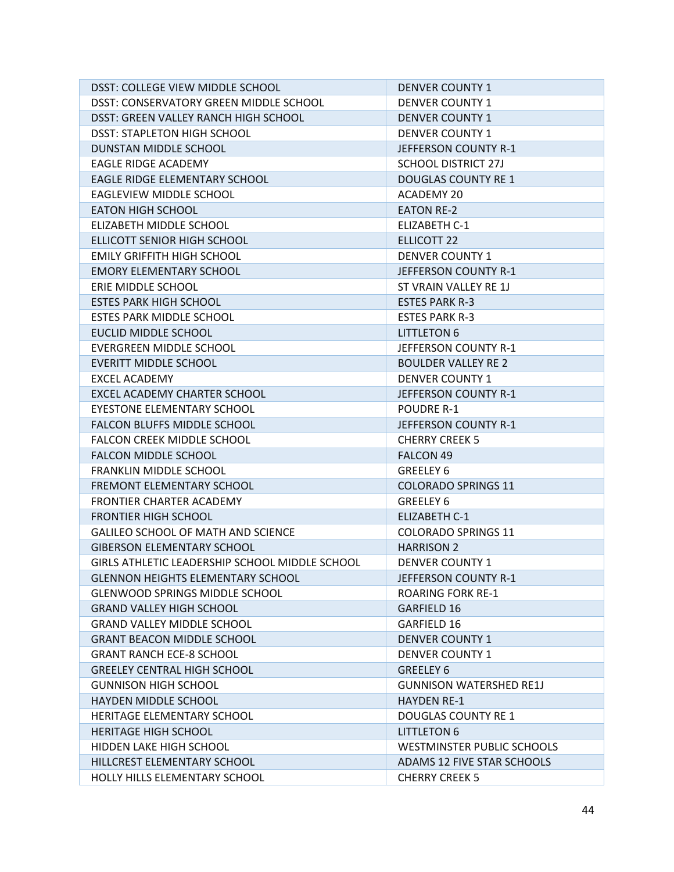| DSST: COLLEGE VIEW MIDDLE SCHOOL               | <b>DENVER COUNTY 1</b>         |  |  |
|------------------------------------------------|--------------------------------|--|--|
| DSST: CONSERVATORY GREEN MIDDLE SCHOOL         | <b>DENVER COUNTY 1</b>         |  |  |
| DSST: GREEN VALLEY RANCH HIGH SCHOOL           | <b>DENVER COUNTY 1</b>         |  |  |
| <b>DSST: STAPLETON HIGH SCHOOL</b>             | <b>DENVER COUNTY 1</b>         |  |  |
| DUNSTAN MIDDLE SCHOOL                          | JEFFERSON COUNTY R-1           |  |  |
| EAGLE RIDGE ACADEMY                            | <b>SCHOOL DISTRICT 27J</b>     |  |  |
| EAGLE RIDGE ELEMENTARY SCHOOL                  | <b>DOUGLAS COUNTY RE 1</b>     |  |  |
| <b>EAGLEVIEW MIDDLE SCHOOL</b>                 | ACADEMY 20                     |  |  |
| <b>EATON HIGH SCHOOL</b>                       | <b>EATON RE-2</b>              |  |  |
| ELIZABETH MIDDLE SCHOOL                        | <b>ELIZABETH C-1</b>           |  |  |
| ELLICOTT SENIOR HIGH SCHOOL                    | <b>ELLICOTT 22</b>             |  |  |
| <b>EMILY GRIFFITH HIGH SCHOOL</b>              | <b>DENVER COUNTY 1</b>         |  |  |
| <b>EMORY ELEMENTARY SCHOOL</b>                 | JEFFERSON COUNTY R-1           |  |  |
| ERIE MIDDLE SCHOOL                             | ST VRAIN VALLEY RE 1J          |  |  |
| <b>ESTES PARK HIGH SCHOOL</b>                  | <b>ESTES PARK R-3</b>          |  |  |
| ESTES PARK MIDDLE SCHOOL                       | <b>ESTES PARK R-3</b>          |  |  |
| EUCLID MIDDLE SCHOOL                           | <b>LITTLETON 6</b>             |  |  |
| EVERGREEN MIDDLE SCHOOL                        | JEFFERSON COUNTY R-1           |  |  |
| <b>EVERITT MIDDLE SCHOOL</b>                   | <b>BOULDER VALLEY RE 2</b>     |  |  |
| <b>EXCEL ACADEMY</b>                           | <b>DENVER COUNTY 1</b>         |  |  |
| EXCEL ACADEMY CHARTER SCHOOL                   | JEFFERSON COUNTY R-1           |  |  |
| EYESTONE ELEMENTARY SCHOOL                     | <b>POUDRE R-1</b>              |  |  |
| FALCON BLUFFS MIDDLE SCHOOL                    | JEFFERSON COUNTY R-1           |  |  |
| FALCON CREEK MIDDLE SCHOOL                     | <b>CHERRY CREEK 5</b>          |  |  |
| <b>FALCON MIDDLE SCHOOL</b>                    | FALCON 49                      |  |  |
| <b>FRANKLIN MIDDLE SCHOOL</b>                  | <b>GREELEY 6</b>               |  |  |
| FREMONT ELEMENTARY SCHOOL                      | <b>COLORADO SPRINGS 11</b>     |  |  |
| FRONTIER CHARTER ACADEMY                       | GREELEY 6                      |  |  |
| <b>FRONTIER HIGH SCHOOL</b>                    | ELIZABETH C-1                  |  |  |
| GALILEO SCHOOL OF MATH AND SCIENCE             | <b>COLORADO SPRINGS 11</b>     |  |  |
| <b>GIBERSON ELEMENTARY SCHOOL</b>              | <b>HARRISON 2</b>              |  |  |
| GIRLS ATHLETIC LEADERSHIP SCHOOL MIDDLE SCHOOL | <b>DENVER COUNTY 1</b>         |  |  |
| <b>GLENNON HEIGHTS ELEMENTARY SCHOOL</b>       | JEFFERSON COUNTY R-1           |  |  |
| <b>GLENWOOD SPRINGS MIDDLE SCHOOL</b>          | <b>ROARING FORK RE-1</b>       |  |  |
| <b>GRAND VALLEY HIGH SCHOOL</b>                | <b>GARFIELD 16</b>             |  |  |
| <b>GRAND VALLEY MIDDLE SCHOOL</b>              | GARFIELD 16                    |  |  |
| <b>GRANT BEACON MIDDLE SCHOOL</b>              | <b>DENVER COUNTY 1</b>         |  |  |
| <b>GRANT RANCH ECE-8 SCHOOL</b>                | <b>DENVER COUNTY 1</b>         |  |  |
| <b>GREELEY CENTRAL HIGH SCHOOL</b>             | <b>GREELEY 6</b>               |  |  |
| <b>GUNNISON HIGH SCHOOL</b>                    | <b>GUNNISON WATERSHED RE1J</b> |  |  |
| <b>HAYDEN MIDDLE SCHOOL</b>                    | <b>HAYDEN RE-1</b>             |  |  |
| <b>HERITAGE ELEMENTARY SCHOOL</b>              | <b>DOUGLAS COUNTY RE 1</b>     |  |  |
| <b>HERITAGE HIGH SCHOOL</b>                    | <b>LITTLETON 6</b>             |  |  |
| <b>HIDDEN LAKE HIGH SCHOOL</b>                 | WESTMINSTER PUBLIC SCHOOLS     |  |  |
| HILLCREST ELEMENTARY SCHOOL                    | ADAMS 12 FIVE STAR SCHOOLS     |  |  |
| HOLLY HILLS ELEMENTARY SCHOOL                  | <b>CHERRY CREEK 5</b>          |  |  |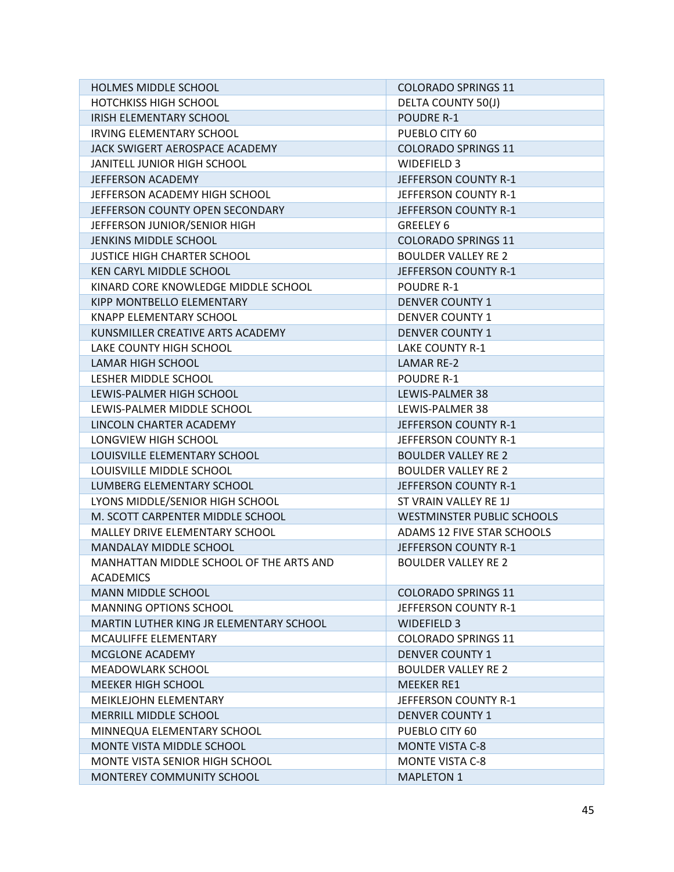| HOLMES MIDDLE SCHOOL                    | <b>COLORADO SPRINGS 11</b>        |  |  |
|-----------------------------------------|-----------------------------------|--|--|
| <b>HOTCHKISS HIGH SCHOOL</b>            | DELTA COUNTY 50(J)                |  |  |
| IRISH ELEMENTARY SCHOOL                 | POUDRE R-1                        |  |  |
| <b>IRVING ELEMENTARY SCHOOL</b>         | PUEBLO CITY 60                    |  |  |
| JACK SWIGERT AEROSPACE ACADEMY          | <b>COLORADO SPRINGS 11</b>        |  |  |
| JANITELL JUNIOR HIGH SCHOOL             | WIDEFIELD 3                       |  |  |
| JEFFERSON ACADEMY                       | JEFFERSON COUNTY R-1              |  |  |
| JEFFERSON ACADEMY HIGH SCHOOL           | JEFFERSON COUNTY R-1              |  |  |
| JEFFERSON COUNTY OPEN SECONDARY         | JEFFERSON COUNTY R-1              |  |  |
| JEFFERSON JUNIOR/SENIOR HIGH            | <b>GREELEY 6</b>                  |  |  |
| JENKINS MIDDLE SCHOOL                   | <b>COLORADO SPRINGS 11</b>        |  |  |
| <b>JUSTICE HIGH CHARTER SCHOOL</b>      | <b>BOULDER VALLEY RE 2</b>        |  |  |
| KEN CARYL MIDDLE SCHOOL                 | JEFFERSON COUNTY R-1              |  |  |
| KINARD CORE KNOWLEDGE MIDDLE SCHOOL     | POUDRE R-1                        |  |  |
| KIPP MONTBELLO ELEMENTARY               | <b>DENVER COUNTY 1</b>            |  |  |
| KNAPP ELEMENTARY SCHOOL                 | <b>DENVER COUNTY 1</b>            |  |  |
| KUNSMILLER CREATIVE ARTS ACADEMY        | <b>DENVER COUNTY 1</b>            |  |  |
| LAKE COUNTY HIGH SCHOOL                 | LAKE COUNTY R-1                   |  |  |
| <b>LAMAR HIGH SCHOOL</b>                | <b>LAMAR RE-2</b>                 |  |  |
| LESHER MIDDLE SCHOOL                    | <b>POUDRE R-1</b>                 |  |  |
| LEWIS-PALMER HIGH SCHOOL                | LEWIS-PALMER 38                   |  |  |
| LEWIS-PALMER MIDDLE SCHOOL              | LEWIS-PALMER 38                   |  |  |
| LINCOLN CHARTER ACADEMY                 | JEFFERSON COUNTY R-1              |  |  |
| LONGVIEW HIGH SCHOOL                    | JEFFERSON COUNTY R-1              |  |  |
| LOUISVILLE ELEMENTARY SCHOOL            | <b>BOULDER VALLEY RE 2</b>        |  |  |
| LOUISVILLE MIDDLE SCHOOL                | <b>BOULDER VALLEY RE 2</b>        |  |  |
| LUMBERG ELEMENTARY SCHOOL               | JEFFERSON COUNTY R-1              |  |  |
| LYONS MIDDLE/SENIOR HIGH SCHOOL         | ST VRAIN VALLEY RE 1J             |  |  |
| M. SCOTT CARPENTER MIDDLE SCHOOL        | <b>WESTMINSTER PUBLIC SCHOOLS</b> |  |  |
| MALLEY DRIVE ELEMENTARY SCHOOL          | ADAMS 12 FIVE STAR SCHOOLS        |  |  |
| MANDALAY MIDDLE SCHOOL                  | JEFFERSON COUNTY R-1              |  |  |
| MANHATTAN MIDDLE SCHOOL OF THE ARTS AND | <b>BOULDER VALLEY RE 2</b>        |  |  |
| <b>ACADEMICS</b>                        |                                   |  |  |
| <b>MANN MIDDLE SCHOOL</b>               | <b>COLORADO SPRINGS 11</b>        |  |  |
| <b>MANNING OPTIONS SCHOOL</b>           | JEFFERSON COUNTY R-1              |  |  |
| MARTIN LUTHER KING JR ELEMENTARY SCHOOL | WIDEFIELD 3                       |  |  |
| MCAULIFFE ELEMENTARY                    | <b>COLORADO SPRINGS 11</b>        |  |  |
| <b>MCGLONE ACADEMY</b>                  | <b>DENVER COUNTY 1</b>            |  |  |
| <b>MEADOWLARK SCHOOL</b>                | <b>BOULDER VALLEY RE 2</b>        |  |  |
| <b>MEEKER HIGH SCHOOL</b>               | <b>MEEKER RE1</b>                 |  |  |
| MEIKLEJOHN ELEMENTARY                   | JEFFERSON COUNTY R-1              |  |  |
| MERRILL MIDDLE SCHOOL                   | <b>DENVER COUNTY 1</b>            |  |  |
| MINNEQUA ELEMENTARY SCHOOL              | PUEBLO CITY 60                    |  |  |
| MONTE VISTA MIDDLE SCHOOL               | <b>MONTE VISTA C-8</b>            |  |  |
| MONTE VISTA SENIOR HIGH SCHOOL          | <b>MONTE VISTA C-8</b>            |  |  |
| MONTEREY COMMUNITY SCHOOL               | <b>MAPLETON 1</b>                 |  |  |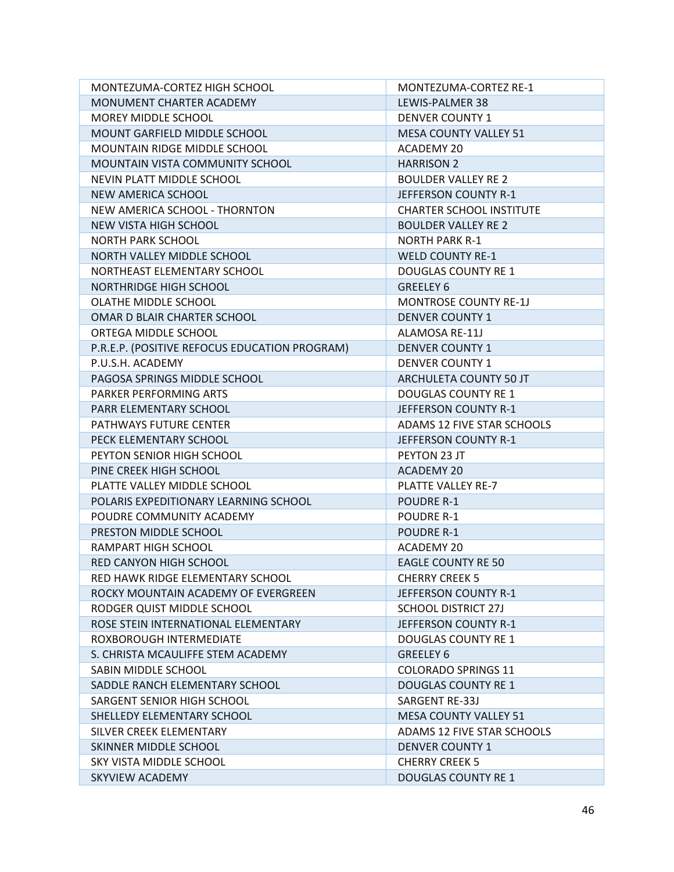| MONTEZUMA-CORTEZ HIGH SCHOOL                  | MONTEZUMA-CORTEZ RE-1           |  |  |
|-----------------------------------------------|---------------------------------|--|--|
| MONUMENT CHARTER ACADEMY                      | LEWIS-PALMER 38                 |  |  |
| MOREY MIDDLE SCHOOL                           | <b>DENVER COUNTY 1</b>          |  |  |
| MOUNT GARFIELD MIDDLE SCHOOL                  | <b>MESA COUNTY VALLEY 51</b>    |  |  |
| MOUNTAIN RIDGE MIDDLE SCHOOL                  | ACADEMY 20                      |  |  |
| MOUNTAIN VISTA COMMUNITY SCHOOL               | <b>HARRISON 2</b>               |  |  |
| NEVIN PLATT MIDDLE SCHOOL                     | <b>BOULDER VALLEY RE 2</b>      |  |  |
| NEW AMERICA SCHOOL                            | JEFFERSON COUNTY R-1            |  |  |
| NEW AMERICA SCHOOL - THORNTON                 | <b>CHARTER SCHOOL INSTITUTE</b> |  |  |
| NEW VISTA HIGH SCHOOL                         | <b>BOULDER VALLEY RE 2</b>      |  |  |
| <b>NORTH PARK SCHOOL</b>                      | <b>NORTH PARK R-1</b>           |  |  |
| NORTH VALLEY MIDDLE SCHOOL                    | <b>WELD COUNTY RE-1</b>         |  |  |
| NORTHEAST ELEMENTARY SCHOOL                   | <b>DOUGLAS COUNTY RE 1</b>      |  |  |
| NORTHRIDGE HIGH SCHOOL                        | <b>GREELEY 6</b>                |  |  |
| OLATHE MIDDLE SCHOOL                          | <b>MONTROSE COUNTY RE-1J</b>    |  |  |
| OMAR D BLAIR CHARTER SCHOOL                   | <b>DENVER COUNTY 1</b>          |  |  |
| ORTEGA MIDDLE SCHOOL                          | ALAMOSA RE-11J                  |  |  |
| P.R.E.P. (POSITIVE REFOCUS EDUCATION PROGRAM) | <b>DENVER COUNTY 1</b>          |  |  |
| P.U.S.H. ACADEMY                              | <b>DENVER COUNTY 1</b>          |  |  |
| PAGOSA SPRINGS MIDDLE SCHOOL                  | ARCHULETA COUNTY 50 JT          |  |  |
| PARKER PERFORMING ARTS                        | <b>DOUGLAS COUNTY RE 1</b>      |  |  |
| PARR ELEMENTARY SCHOOL                        | JEFFERSON COUNTY R-1            |  |  |
| PATHWAYS FUTURE CENTER                        | ADAMS 12 FIVE STAR SCHOOLS      |  |  |
| PECK ELEMENTARY SCHOOL                        | JEFFERSON COUNTY R-1            |  |  |
| PEYTON SENIOR HIGH SCHOOL                     | PEYTON 23 JT                    |  |  |
| PINE CREEK HIGH SCHOOL                        | <b>ACADEMY 20</b>               |  |  |
| PLATTE VALLEY MIDDLE SCHOOL                   | PLATTE VALLEY RE-7              |  |  |
| POLARIS EXPEDITIONARY LEARNING SCHOOL         | <b>POUDRE R-1</b>               |  |  |
| POUDRE COMMUNITY ACADEMY                      | <b>POUDRE R-1</b>               |  |  |
| PRESTON MIDDLE SCHOOL                         | <b>POUDRE R-1</b>               |  |  |
| RAMPART HIGH SCHOOL                           | ACADEMY 20                      |  |  |
| RED CANYON HIGH SCHOOL                        | <b>EAGLE COUNTY RE 50</b>       |  |  |
| RED HAWK RIDGE ELEMENTARY SCHOOL              | <b>CHERRY CREEK 5</b>           |  |  |
| ROCKY MOUNTAIN ACADEMY OF EVERGREEN           | JEFFERSON COUNTY R-1            |  |  |
| RODGER QUIST MIDDLE SCHOOL                    | <b>SCHOOL DISTRICT 27J</b>      |  |  |
| ROSE STEIN INTERNATIONAL ELEMENTARY           | JEFFERSON COUNTY R-1            |  |  |
| ROXBOROUGH INTERMEDIATE                       | <b>DOUGLAS COUNTY RE 1</b>      |  |  |
| S. CHRISTA MCAULIFFE STEM ACADEMY             | GREELEY 6                       |  |  |
| SABIN MIDDLE SCHOOL                           | <b>COLORADO SPRINGS 11</b>      |  |  |
| SADDLE RANCH ELEMENTARY SCHOOL                | <b>DOUGLAS COUNTY RE 1</b>      |  |  |
| SARGENT SENIOR HIGH SCHOOL                    | <b>SARGENT RE-33J</b>           |  |  |
| SHELLEDY ELEMENTARY SCHOOL                    | <b>MESA COUNTY VALLEY 51</b>    |  |  |
| SILVER CREEK ELEMENTARY                       | ADAMS 12 FIVE STAR SCHOOLS      |  |  |
| SKINNER MIDDLE SCHOOL                         | <b>DENVER COUNTY 1</b>          |  |  |
| SKY VISTA MIDDLE SCHOOL                       | <b>CHERRY CREEK 5</b>           |  |  |
| SKYVIEW ACADEMY                               | <b>DOUGLAS COUNTY RE 1</b>      |  |  |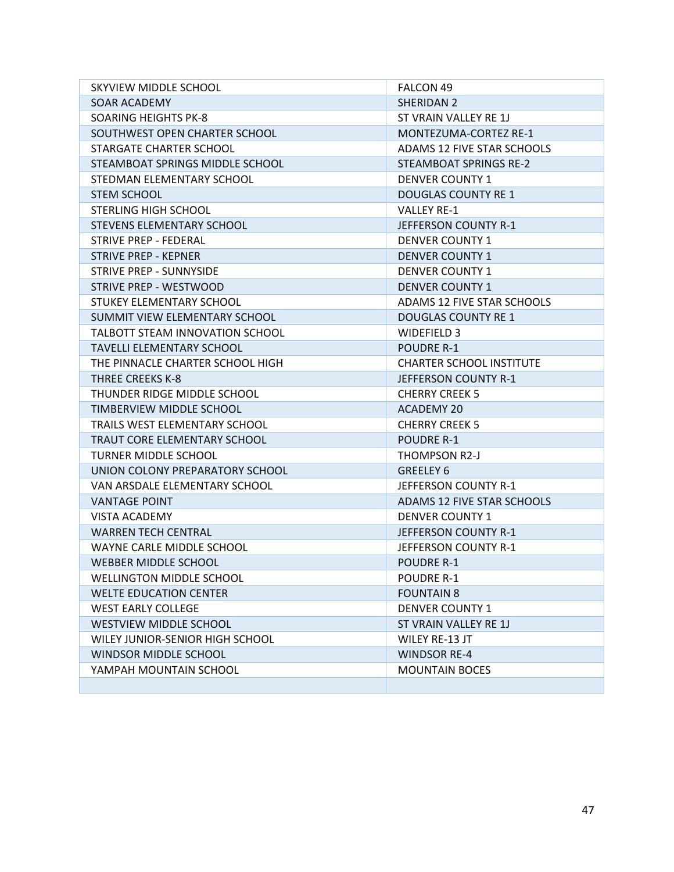| SKYVIEW MIDDLE SCHOOL                  | <b>FALCON 49</b>                |
|----------------------------------------|---------------------------------|
| SOAR ACADEMY                           | SHERIDAN 2                      |
| <b>SOARING HEIGHTS PK-8</b>            | ST VRAIN VALLEY RE 1J           |
| SOUTHWEST OPEN CHARTER SCHOOL          | MONTEZUMA-CORTEZ RE-1           |
| STARGATE CHARTER SCHOOL                | ADAMS 12 FIVE STAR SCHOOLS      |
| STEAMBOAT SPRINGS MIDDLE SCHOOL        | STEAMBOAT SPRINGS RE-2          |
| STEDMAN ELEMENTARY SCHOOL              | <b>DENVER COUNTY 1</b>          |
| <b>STEM SCHOOL</b>                     | <b>DOUGLAS COUNTY RE 1</b>      |
| STERLING HIGH SCHOOL                   | <b>VALLEY RE-1</b>              |
| STEVENS ELEMENTARY SCHOOL              | JEFFERSON COUNTY R-1            |
| STRIVE PREP - FEDERAL                  | <b>DENVER COUNTY 1</b>          |
| <b>STRIVE PREP - KEPNER</b>            | <b>DENVER COUNTY 1</b>          |
| STRIVE PREP - SUNNYSIDE                | <b>DENVER COUNTY 1</b>          |
| STRIVE PREP - WESTWOOD                 | <b>DENVER COUNTY 1</b>          |
| STUKEY ELEMENTARY SCHOOL               | ADAMS 12 FIVE STAR SCHOOLS      |
| SUMMIT VIEW ELEMENTARY SCHOOL          | <b>DOUGLAS COUNTY RE 1</b>      |
| <b>TALBOTT STEAM INNOVATION SCHOOL</b> | <b>WIDEFIELD 3</b>              |
| <b>TAVELLI ELEMENTARY SCHOOL</b>       | POUDRE R-1                      |
| THE PINNACLE CHARTER SCHOOL HIGH       | <b>CHARTER SCHOOL INSTITUTE</b> |
| THREE CREEKS K-8                       | JEFFERSON COUNTY R-1            |
| THUNDER RIDGE MIDDLE SCHOOL            | <b>CHERRY CREEK 5</b>           |
| TIMBERVIEW MIDDLE SCHOOL               | <b>ACADEMY 20</b>               |
| TRAILS WEST ELEMENTARY SCHOOL          | <b>CHERRY CREEK 5</b>           |
| TRAUT CORE ELEMENTARY SCHOOL           | <b>POUDRE R-1</b>               |
| <b>TURNER MIDDLE SCHOOL</b>            | THOMPSON R2-J                   |
| UNION COLONY PREPARATORY SCHOOL        | GREELEY 6                       |
| VAN ARSDALE ELEMENTARY SCHOOL          | JEFFERSON COUNTY R-1            |
| <b>VANTAGE POINT</b>                   | ADAMS 12 FIVE STAR SCHOOLS      |
| <b>VISTA ACADEMY</b>                   | <b>DENVER COUNTY 1</b>          |
| <b>WARREN TECH CENTRAL</b>             | JEFFERSON COUNTY R-1            |
| WAYNE CARLE MIDDLE SCHOOL              | JEFFERSON COUNTY R-1            |
| <b>WEBBER MIDDLE SCHOOL</b>            | <b>POUDRE R-1</b>               |
| <b>WELLINGTON MIDDLE SCHOOL</b>        | <b>POUDRE R-1</b>               |
| <b>WELTE EDUCATION CENTER</b>          | <b>FOUNTAIN 8</b>               |
| <b>WEST EARLY COLLEGE</b>              | <b>DENVER COUNTY 1</b>          |
| <b>WESTVIEW MIDDLE SCHOOL</b>          | ST VRAIN VALLEY RE 1J           |
| WILEY JUNIOR-SENIOR HIGH SCHOOL        | WILEY RE-13 JT                  |
| <b>WINDSOR MIDDLE SCHOOL</b>           | <b>WINDSOR RE-4</b>             |
| YAMPAH MOUNTAIN SCHOOL                 | <b>MOUNTAIN BOCES</b>           |
|                                        |                                 |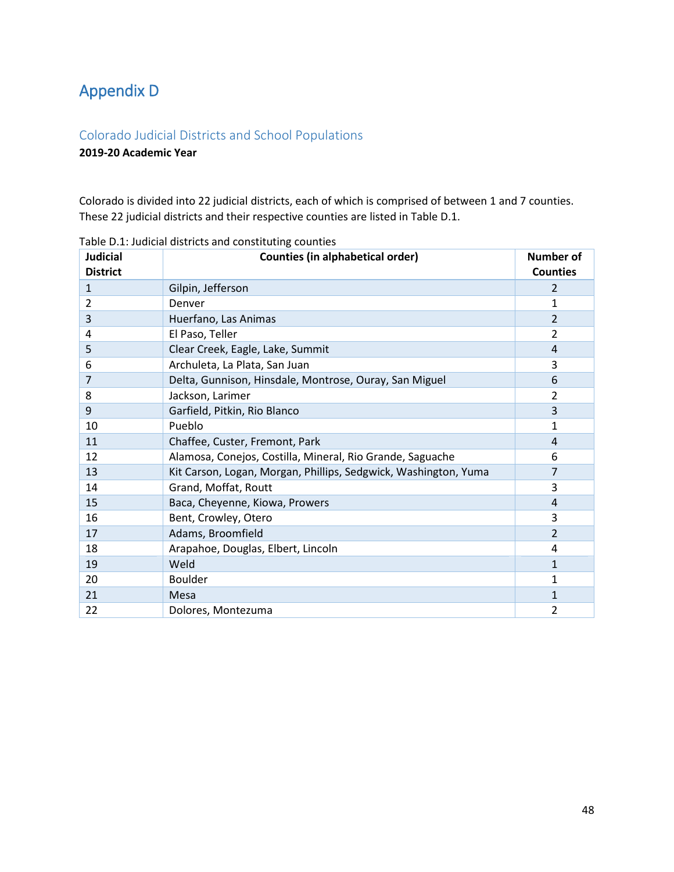# <span id="page-47-0"></span>Appendix D

## <span id="page-47-1"></span>Colorado Judicial Districts and School Populations

## **2019-20 Academic Year**

Colorado is divided into 22 judicial districts, each of which is comprised of between 1 and 7 counties. These 22 judicial districts and their respective counties are listed in Table D.1.

| <b>Judicial</b><br><b>District</b> | <b>Counties (in alphabetical order)</b>                         | Number of<br><b>Counties</b> |
|------------------------------------|-----------------------------------------------------------------|------------------------------|
| $\mathbf{1}$                       | Gilpin, Jefferson                                               | 2                            |
| 2                                  | Denver                                                          | 1                            |
| 3                                  | Huerfano, Las Animas                                            | $\overline{2}$               |
| 4                                  | El Paso, Teller                                                 | 2                            |
| 5                                  | Clear Creek, Eagle, Lake, Summit                                | 4                            |
| 6                                  | Archuleta, La Plata, San Juan                                   | 3                            |
| 7                                  | Delta, Gunnison, Hinsdale, Montrose, Ouray, San Miguel          | 6                            |
| 8                                  | Jackson, Larimer                                                | 2                            |
| 9                                  | Garfield, Pitkin, Rio Blanco                                    | 3                            |
| 10                                 | Pueblo                                                          | 1                            |
| 11                                 | Chaffee, Custer, Fremont, Park                                  | 4                            |
| 12                                 | Alamosa, Conejos, Costilla, Mineral, Rio Grande, Saguache       | 6                            |
| 13                                 | Kit Carson, Logan, Morgan, Phillips, Sedgwick, Washington, Yuma | 7                            |
| 14                                 | Grand, Moffat, Routt                                            | 3                            |
| 15                                 | Baca, Cheyenne, Kiowa, Prowers                                  | 4                            |
| 16                                 | Bent, Crowley, Otero                                            | 3                            |
| 17                                 | Adams, Broomfield                                               | $\overline{2}$               |
| 18                                 | Arapahoe, Douglas, Elbert, Lincoln                              | 4                            |
| 19                                 | Weld                                                            | 1                            |
| 20                                 | <b>Boulder</b>                                                  | 1                            |
| 21                                 | Mesa                                                            | 1                            |
| 22                                 | Dolores, Montezuma                                              | 2                            |

Table D.1: Judicial districts and constituting counties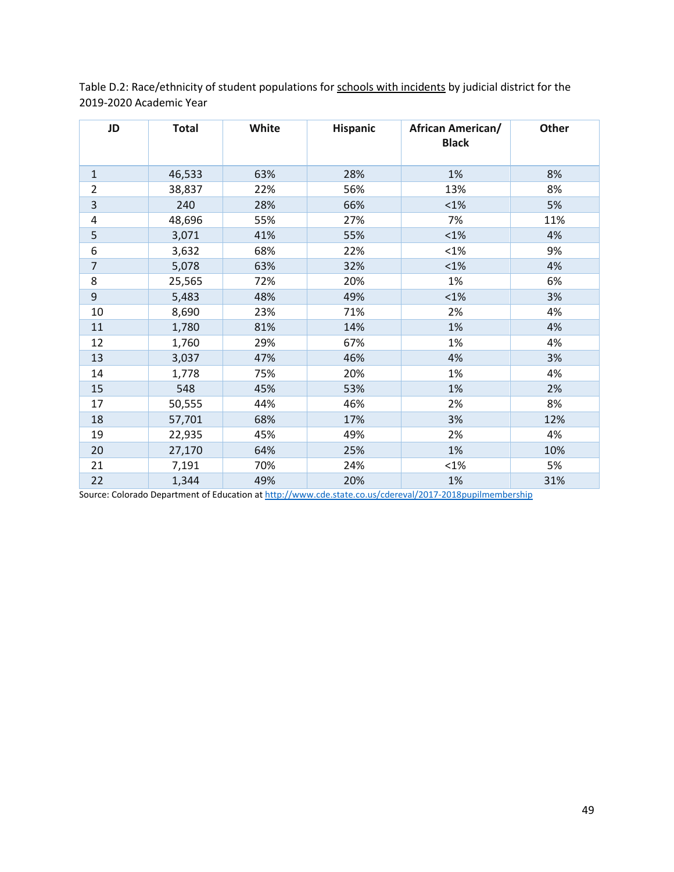Table D.2: Race/ethnicity of student populations for schools with incidents by judicial district for the 2019-2020 Academic Year

| JD                      | <b>Total</b> | White | <b>Hispanic</b> | <b>African American/</b><br><b>Black</b> | Other |
|-------------------------|--------------|-------|-----------------|------------------------------------------|-------|
| $1\,$                   | 46,533       | 63%   | 28%             | 1%                                       | 8%    |
| $\overline{2}$          | 38,837       | 22%   | 56%             | 13%                                      | 8%    |
| $\overline{\mathbf{3}}$ | 240          | 28%   | 66%             | $< 1\%$                                  | 5%    |
| 4                       | 48,696       | 55%   | 27%             | 7%                                       | 11%   |
| 5                       | 3,071        | 41%   | 55%             | $< 1\%$                                  | 4%    |
| 6                       | 3,632        | 68%   | 22%             | <1%                                      | 9%    |
| $\overline{7}$          | 5,078        | 63%   | 32%             | $< 1\%$                                  | 4%    |
| 8                       | 25,565       | 72%   | 20%             | 1%                                       | 6%    |
| 9                       | 5,483        | 48%   | 49%             | $< 1\%$                                  | 3%    |
| 10                      | 8,690        | 23%   | 71%             | 2%                                       | 4%    |
| 11                      | 1,780        | 81%   | 14%             | 1%                                       | 4%    |
| 12                      | 1,760        | 29%   | 67%             | 1%                                       | 4%    |
| 13                      | 3,037        | 47%   | 46%             | 4%                                       | 3%    |
| 14                      | 1,778        | 75%   | 20%             | 1%                                       | 4%    |
| 15                      | 548          | 45%   | 53%             | 1%                                       | 2%    |
| 17                      | 50,555       | 44%   | 46%             | 2%                                       | 8%    |
| 18                      | 57,701       | 68%   | 17%             | 3%                                       | 12%   |
| 19                      | 22,935       | 45%   | 49%             | 2%                                       | 4%    |
| 20                      | 27,170       | 64%   | 25%             | 1%                                       | 10%   |
| 21                      | 7,191        | 70%   | 24%             | $< 1\%$                                  | 5%    |
| 22                      | 1,344        | 49%   | 20%             | 1%                                       | 31%   |

Source: Colorado Department of Education at<http://www.cde.state.co.us/cdereval/2017-2018pupilmembership>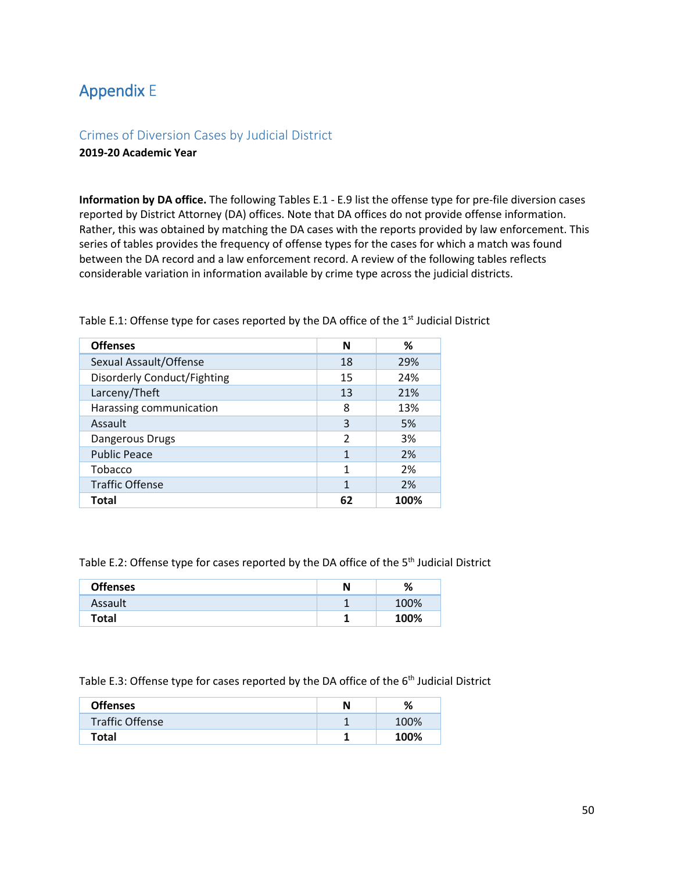## <span id="page-49-0"></span>Appendix E

### <span id="page-49-1"></span>Crimes of Diversion Cases by Judicial District **2019-20 Academic Year**

**Information by DA office.** The following Tables E.1 - E.9 list the offense type for pre-file diversion cases reported by District Attorney (DA) offices. Note that DA offices do not provide offense information. Rather, this was obtained by matching the DA cases with the reports provided by law enforcement. This series of tables provides the frequency of offense types for the cases for which a match was found between the DA record and a law enforcement record. A review of the following tables reflects considerable variation in information available by crime type across the judicial districts.

| <b>Offenses</b>                    | N              | ℅    |
|------------------------------------|----------------|------|
| Sexual Assault/Offense             | 18             | 29%  |
| <b>Disorderly Conduct/Fighting</b> | 15             | 24%  |
| Larceny/Theft                      | 13             | 21%  |
| Harassing communication            | 8              | 13%  |
| Assault                            | 3              | 5%   |
| Dangerous Drugs                    | $\mathfrak{p}$ | 3%   |
| <b>Public Peace</b>                | 1              | 2%   |
| Tobacco                            |                | 2%   |
| <b>Traffic Offense</b>             |                | 2%   |
| Total                              |                | 100% |

Table E.1: Offense type for cases reported by the DA office of the  $1<sup>st</sup>$  Judicial District

Table E.2: Offense type for cases reported by the DA office of the 5<sup>th</sup> Judicial District

| <b>Offenses</b> | N | %    |
|-----------------|---|------|
| Assault         | ٠ | 100% |
| Total           |   | 100% |

Table E.3: Offense type for cases reported by the DA office of the 6<sup>th</sup> Judicial District

| <b>Offenses</b>        | %    |
|------------------------|------|
| <b>Traffic Offense</b> | 100% |
| <b>Total</b>           | 100% |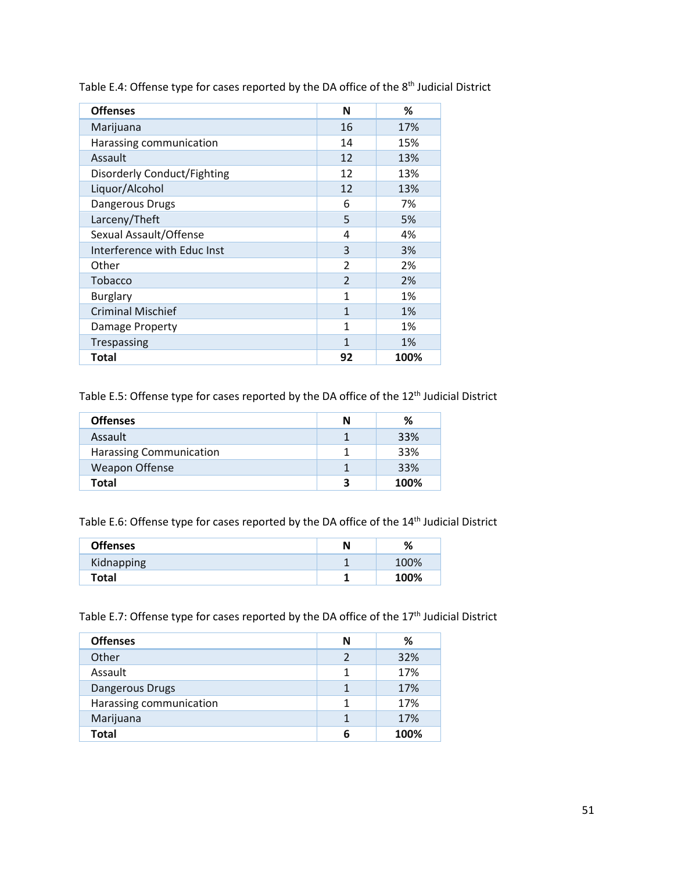| <b>Offenses</b>             | N              | ℅    |
|-----------------------------|----------------|------|
| Marijuana                   | 16             | 17%  |
| Harassing communication     | 14             | 15%  |
| Assault                     | 12             | 13%  |
| Disorderly Conduct/Fighting | 12             | 13%  |
| Liquor/Alcohol              | 12             | 13%  |
| Dangerous Drugs             | 6              | 7%   |
| Larceny/Theft               | 5              | 5%   |
| Sexual Assault/Offense      | 4              | 4%   |
| Interference with Educ Inst | 3              | 3%   |
| Other                       | $\mathfrak{p}$ | 2%   |
| Tobacco                     | $\mathfrak{D}$ | 2%   |
| <b>Burglary</b>             | 1              | 1%   |
| <b>Criminal Mischief</b>    | $\mathbf{1}$   | 1%   |
| Damage Property             | 1              | 1%   |
| Trespassing                 | $\mathbf{1}$   | 1%   |
| <b>Total</b>                | 92             | 100% |

Table E.4: Offense type for cases reported by the DA office of the 8<sup>th</sup> Judicial District

Table E.5: Offense type for cases reported by the DA office of the 12<sup>th</sup> Judicial District

| <b>Offenses</b>                | N | ℅    |
|--------------------------------|---|------|
| Assault                        |   | 33%  |
| <b>Harassing Communication</b> |   | 33%  |
| Weapon Offense                 |   | 33%  |
| Total                          |   | 100% |

Table E.6: Offense type for cases reported by the DA office of the 14<sup>th</sup> Judicial District

| <b>Offenses</b> | Ν | %    |
|-----------------|---|------|
| Kidnapping      |   | 100% |
| Total           |   | 100% |

Table E.7: Offense type for cases reported by the DA office of the 17<sup>th</sup> Judicial District

| <b>Offenses</b>         | Ν | ℅    |
|-------------------------|---|------|
| Other                   | 2 | 32%  |
| Assault                 | 1 | 17%  |
| Dangerous Drugs         |   | 17%  |
| Harassing communication | 1 | 17%  |
| Marijuana               | 1 | 17%  |
| <b>Total</b>            | 6 | 100% |